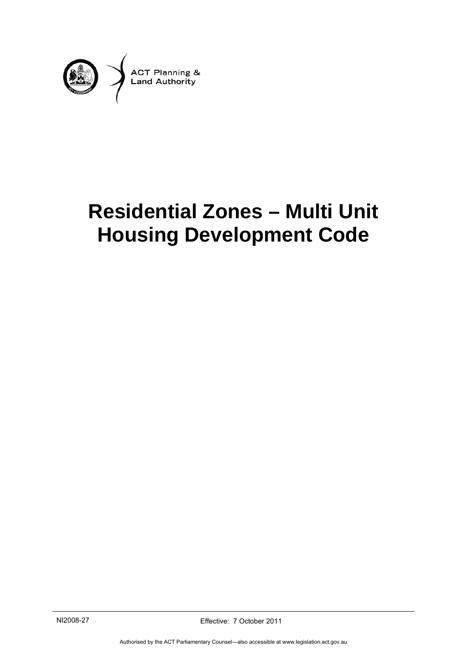

# **Residential Zones – Multi Unit Housing Development Code**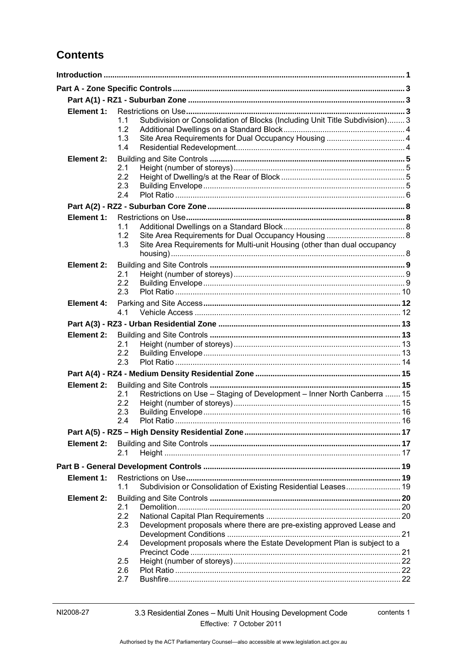# **Contents**

| Element 1:        |            |                                                                             |  |  |  |
|-------------------|------------|-----------------------------------------------------------------------------|--|--|--|
|                   | 1.1        | Subdivision or Consolidation of Blocks (Including Unit Title Subdivision) 3 |  |  |  |
|                   | 1.2        |                                                                             |  |  |  |
|                   | 1.3        |                                                                             |  |  |  |
|                   | 1.4        |                                                                             |  |  |  |
| <b>Element 2:</b> |            |                                                                             |  |  |  |
|                   | 2.1<br>2.2 |                                                                             |  |  |  |
|                   | 2.3        |                                                                             |  |  |  |
|                   | 2.4        |                                                                             |  |  |  |
|                   |            |                                                                             |  |  |  |
| Element 1:        |            |                                                                             |  |  |  |
|                   | 1.1        |                                                                             |  |  |  |
|                   | 1.2        |                                                                             |  |  |  |
|                   | 1.3        | Site Area Requirements for Multi-unit Housing (other than dual occupancy    |  |  |  |
|                   |            |                                                                             |  |  |  |
| Element 2:        |            |                                                                             |  |  |  |
|                   | 2.1<br>2.2 |                                                                             |  |  |  |
|                   | 2.3        |                                                                             |  |  |  |
| <b>Element 4:</b> |            |                                                                             |  |  |  |
|                   | 4.1        |                                                                             |  |  |  |
|                   |            |                                                                             |  |  |  |
| Element 2:        |            |                                                                             |  |  |  |
|                   | 2.1        |                                                                             |  |  |  |
|                   | 2.2        |                                                                             |  |  |  |
|                   | 2.3        |                                                                             |  |  |  |
|                   |            |                                                                             |  |  |  |
| Element 2:        |            |                                                                             |  |  |  |
|                   | 2.1        | Restrictions on Use - Staging of Development - Inner North Canberra  15     |  |  |  |
|                   | 2.2        |                                                                             |  |  |  |
|                   | 2.3<br>2 A |                                                                             |  |  |  |
|                   |            |                                                                             |  |  |  |
|                   |            |                                                                             |  |  |  |
| Element 2:        | 2.1        |                                                                             |  |  |  |
|                   |            |                                                                             |  |  |  |
|                   |            |                                                                             |  |  |  |
| Element 1:        |            |                                                                             |  |  |  |
|                   | 1.1        | Subdivision or Consolidation of Existing Residential Leases 19              |  |  |  |
| Element 2:        |            |                                                                             |  |  |  |
|                   | 2.1<br>2.2 |                                                                             |  |  |  |
|                   | 2.3        | Development proposals where there are pre-existing approved Lease and       |  |  |  |
|                   |            |                                                                             |  |  |  |
|                   | 2.4        | Development proposals where the Estate Development Plan is subject to a     |  |  |  |
|                   |            |                                                                             |  |  |  |
|                   | 2.5        |                                                                             |  |  |  |
|                   | 2.6<br>2.7 |                                                                             |  |  |  |
|                   |            |                                                                             |  |  |  |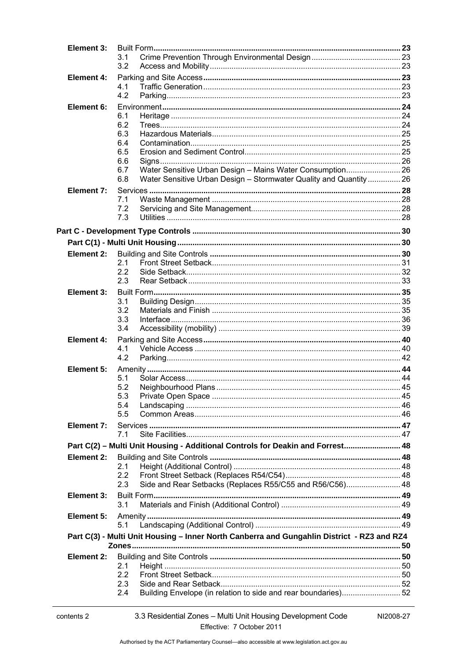| Element 3:        |                                                                                            |  |  |
|-------------------|--------------------------------------------------------------------------------------------|--|--|
|                   | 3.1                                                                                        |  |  |
|                   | 3.2                                                                                        |  |  |
| <b>Element 4:</b> |                                                                                            |  |  |
|                   | 4.1<br>4.2                                                                                 |  |  |
| Element 6:        |                                                                                            |  |  |
|                   | 6.1                                                                                        |  |  |
|                   | 6.2                                                                                        |  |  |
|                   | 6.3                                                                                        |  |  |
|                   | 6.4                                                                                        |  |  |
|                   | 6.5<br>6.6                                                                                 |  |  |
|                   | Water Sensitive Urban Design - Mains Water Consumption 26<br>6.7                           |  |  |
|                   | 6.8<br>Water Sensitive Urban Design - Stormwater Quality and Quantity 26                   |  |  |
| Element 7:        |                                                                                            |  |  |
|                   | 7.1                                                                                        |  |  |
|                   | 7.2                                                                                        |  |  |
|                   | 7.3                                                                                        |  |  |
|                   |                                                                                            |  |  |
|                   |                                                                                            |  |  |
| Element 2:        |                                                                                            |  |  |
|                   | 2.1                                                                                        |  |  |
|                   | 2.2                                                                                        |  |  |
|                   | 2.3                                                                                        |  |  |
| Element 3:        | 3.1                                                                                        |  |  |
|                   | 3.2                                                                                        |  |  |
|                   | 3.3                                                                                        |  |  |
|                   | 3.4                                                                                        |  |  |
| <b>Element 4:</b> |                                                                                            |  |  |
|                   | 4.1                                                                                        |  |  |
|                   | 4.2                                                                                        |  |  |
| Element 5:        |                                                                                            |  |  |
|                   | 5.1<br>5.2                                                                                 |  |  |
|                   | 5.3                                                                                        |  |  |
|                   | 5.4                                                                                        |  |  |
|                   | 5.5                                                                                        |  |  |
| Element 7:        |                                                                                            |  |  |
|                   | 7.1                                                                                        |  |  |
|                   | Part C(2) - Multi Unit Housing - Additional Controls for Deakin and Forrest 48             |  |  |
| Element 2:        |                                                                                            |  |  |
|                   | 2.1<br>2.2                                                                                 |  |  |
|                   | Side and Rear Setbacks (Replaces R55/C55 and R56/C56) 48<br>2.3                            |  |  |
| Element 3:        |                                                                                            |  |  |
|                   | 3.1                                                                                        |  |  |
| Element 5:        |                                                                                            |  |  |
|                   | 5.1                                                                                        |  |  |
|                   | Part C(3) - Multi Unit Housing - Inner North Canberra and Gungahlin District - RZ3 and RZ4 |  |  |
|                   |                                                                                            |  |  |
| <b>Element 2:</b> |                                                                                            |  |  |
|                   | 2.1                                                                                        |  |  |
|                   | 2.2<br>2.3                                                                                 |  |  |
|                   | Building Envelope (in relation to side and rear boundaries)52<br>2.4                       |  |  |
|                   |                                                                                            |  |  |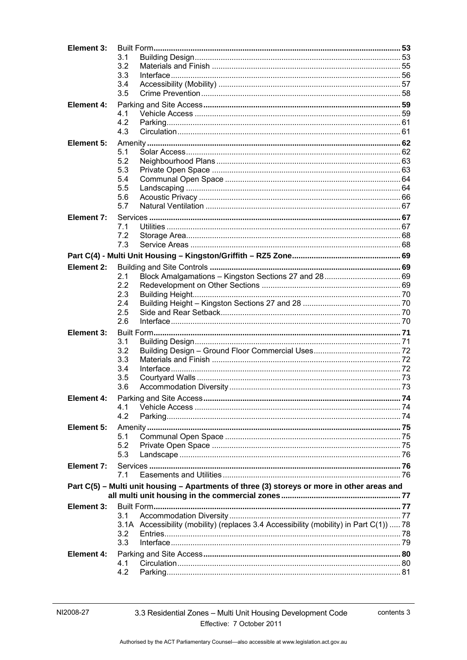| Element 3:        |                                                                                             |  |
|-------------------|---------------------------------------------------------------------------------------------|--|
|                   | 3.1                                                                                         |  |
|                   | 3.2                                                                                         |  |
|                   | 3.3                                                                                         |  |
|                   | 3.4                                                                                         |  |
|                   | 3.5                                                                                         |  |
| <b>Element 4:</b> |                                                                                             |  |
|                   | 4.1                                                                                         |  |
|                   | 4.2                                                                                         |  |
|                   | 4.3                                                                                         |  |
| Element 5:        |                                                                                             |  |
|                   | 5.1                                                                                         |  |
|                   | 5.2                                                                                         |  |
|                   | 5.3                                                                                         |  |
|                   | 5.4                                                                                         |  |
|                   | 5.5                                                                                         |  |
|                   | 5.6                                                                                         |  |
|                   | 5.7                                                                                         |  |
| Element 7:        |                                                                                             |  |
|                   | 7.1                                                                                         |  |
|                   | 7.2                                                                                         |  |
|                   | 7.3                                                                                         |  |
|                   |                                                                                             |  |
| Element 2:        |                                                                                             |  |
|                   | 2.1                                                                                         |  |
|                   | 2.2                                                                                         |  |
|                   | 2.3                                                                                         |  |
|                   | 2.4                                                                                         |  |
|                   | 2.5                                                                                         |  |
|                   | 2.6                                                                                         |  |
| Element 3:        |                                                                                             |  |
|                   | 3.1                                                                                         |  |
|                   | 3.2                                                                                         |  |
|                   | 3.3                                                                                         |  |
|                   | 3.4                                                                                         |  |
|                   | 3.5                                                                                         |  |
|                   | 3.6                                                                                         |  |
| Element 4:        |                                                                                             |  |
|                   | 4.1                                                                                         |  |
|                   | 4.2                                                                                         |  |
| Element 5:        |                                                                                             |  |
|                   | 5.1                                                                                         |  |
|                   | 5.2                                                                                         |  |
|                   | 5.3                                                                                         |  |
| Element 7:        |                                                                                             |  |
|                   | 7.1                                                                                         |  |
|                   | Part C(5) - Multi unit housing - Apartments of three (3) storeys or more in other areas and |  |
|                   |                                                                                             |  |
| Element 3:        |                                                                                             |  |
|                   | 3.1                                                                                         |  |
|                   | 3.1A Accessibility (mobility) (replaces 3.4 Accessibility (mobility) in Part C(1))  78      |  |
|                   | 3.2                                                                                         |  |
|                   | 3.3                                                                                         |  |
|                   |                                                                                             |  |
| <b>Element 4:</b> |                                                                                             |  |
|                   | 4.1<br>4.2                                                                                  |  |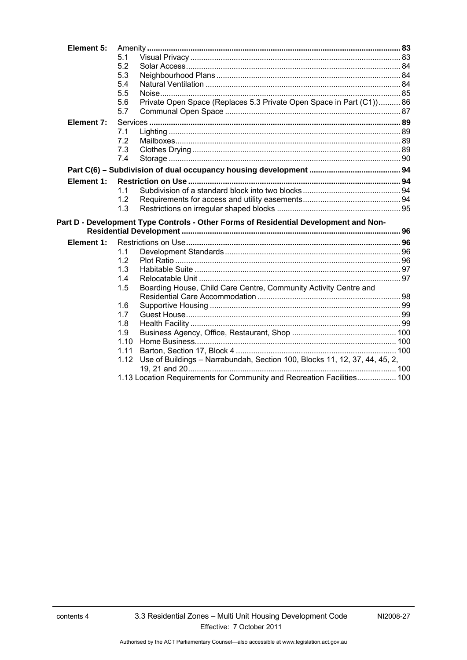| Element 5: |      |                                                                                      |  |
|------------|------|--------------------------------------------------------------------------------------|--|
|            | 5.1  |                                                                                      |  |
|            | 5.2  |                                                                                      |  |
|            | 5.3  |                                                                                      |  |
|            | 5.4  |                                                                                      |  |
|            | 5.5  |                                                                                      |  |
|            | 5.6  | Private Open Space (Replaces 5.3 Private Open Space in Part (C1)) 86                 |  |
|            | 5.7  |                                                                                      |  |
| Element 7: |      |                                                                                      |  |
|            | 7.1  |                                                                                      |  |
|            | 7.2  |                                                                                      |  |
|            | 7.3  |                                                                                      |  |
|            | 7.4  |                                                                                      |  |
|            |      |                                                                                      |  |
| Element 1: |      |                                                                                      |  |
|            | 1.1  |                                                                                      |  |
|            | 1.2  |                                                                                      |  |
|            | 1.3  |                                                                                      |  |
|            |      | Part D - Development Type Controls - Other Forms of Residential Development and Non- |  |
|            |      |                                                                                      |  |
| Element 1: |      |                                                                                      |  |
|            | 1.1  |                                                                                      |  |
|            | 1.2  |                                                                                      |  |
|            | 1.3  |                                                                                      |  |
|            | 1.4  |                                                                                      |  |
|            | 1.5  | Boarding House, Child Care Centre, Community Activity Centre and                     |  |
|            |      |                                                                                      |  |
|            | 1.6  |                                                                                      |  |
|            | 1.7  |                                                                                      |  |
|            | 1.8  |                                                                                      |  |
|            | 1.9  |                                                                                      |  |
|            | 1.10 |                                                                                      |  |
|            | 1.11 |                                                                                      |  |
|            | 1.12 | Use of Buildings - Narrabundah, Section 100, Blocks 11, 12, 37, 44, 45, 2,           |  |
|            |      |                                                                                      |  |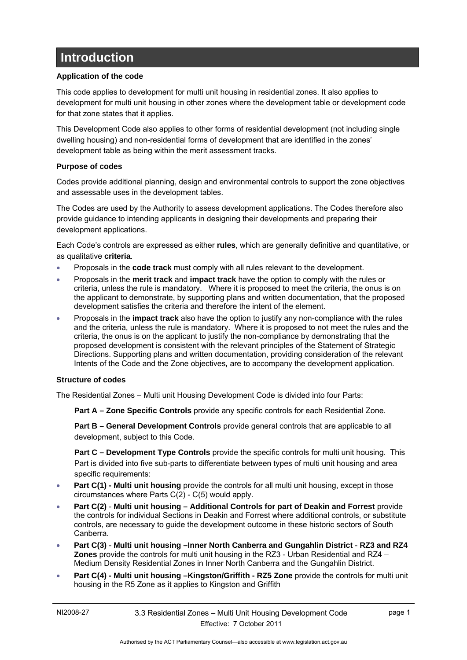# <span id="page-6-0"></span>**Introduction**

#### **Application of the code**

This code applies to development for multi unit housing in residential zones. It also applies to development for multi unit housing in other zones where the development table or development code for that zone states that it applies.

This Development Code also applies to other forms of residential development (not including single dwelling housing) and non-residential forms of development that are identified in the zones' development table as being within the merit assessment tracks.

#### **Purpose of codes**

Codes provide additional planning, design and environmental controls to support the zone objectives and assessable uses in the development tables.

The Codes are used by the Authority to assess development applications. The Codes therefore also provide guidance to intending applicants in designing their developments and preparing their development applications.

Each Code's controls are expressed as either **rules**, which are generally definitive and quantitative, or as qualitative **criteria**.

- Proposals in the **code track** must comply with all rules relevant to the development.
- Proposals in the **merit track** and **impact track** have the option to comply with the rules or criteria, unless the rule is mandatory. Where it is proposed to meet the criteria, the onus is on the applicant to demonstrate, by supporting plans and written documentation, that the proposed development satisfies the criteria and therefore the intent of the element.
- Proposals in the **impact track** also have the option to justify any non-compliance with the rules and the criteria, unless the rule is mandatory. Where it is proposed to not meet the rules and the criteria, the onus is on the applicant to justify the non-compliance by demonstrating that the proposed development is consistent with the relevant principles of the Statement of Strategic Directions. Supporting plans and written documentation, providing consideration of the relevant Intents of the Code and the Zone objectives*,* are to accompany the development application.

#### **Structure of codes**

The Residential Zones – Multi unit Housing Development Code is divided into four Parts:

**Part A – Zone Specific Controls** provide any specific controls for each Residential Zone.

**Part B – General Development Controls** provide general controls that are applicable to all development, subject to this Code.

**Part C – Development Type Controls** provide the specific controls for multi unit housing. This Part is divided into five sub-parts to differentiate between types of multi unit housing and area specific requirements:

- **Part C(1) Multi unit housing** provide the controls for all multi unit housing, except in those circumstances where Parts C(2) - C(5) would apply.
- **Part C(2) Multi unit housing Additional Controls for part of Deakin and Forrest** provide the controls for individual Sections in Deakin and Forrest where additional controls, or substitute controls, are necessary to guide the development outcome in these historic sectors of South Canberra.
- **Part C(3) Multi unit housing –Inner North Canberra and Gungahlin District RZ3 and RZ4 Zones** provide the controls for multi unit housing in the RZ3 - Urban Residential and RZ4 – Medium Density Residential Zones in Inner North Canberra and the Gungahlin District.
- **Part C(4) Multi unit housing –Kingston/Griffith RZ5 Zone** provide the controls for multi unit housing in the R5 Zone as it applies to Kingston and Griffith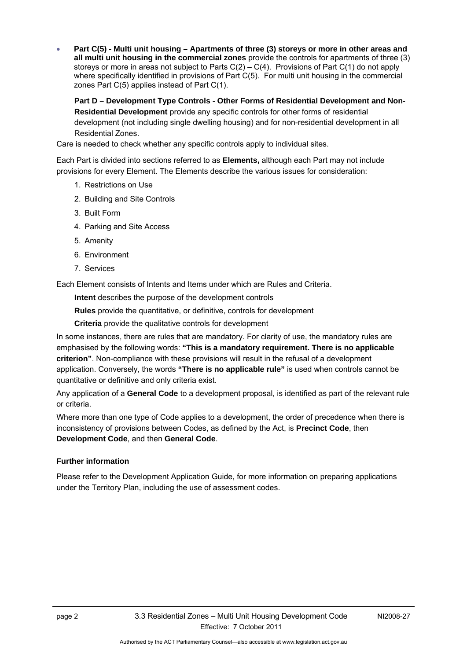**Part C(5) - Multi unit housing – Apartments of three (3) storeys or more in other areas and all multi unit housing in the commercial zones** provide the controls for apartments of three (3) storeys or more in areas not subject to Parts  $C(2) - C(4)$ . Provisions of Part  $C(1)$  do not apply where specifically identified in provisions of Part C(5). For multi unit housing in the commercial zones Part C(5) applies instead of Part C(1).

**Part D – Development Type Controls - Other Forms of Residential Development and Non-Residential Development** provide any specific controls for other forms of residential development (not including single dwelling housing) and for non-residential development in all Residential Zones.

Care is needed to check whether any specific controls apply to individual sites.

Each Part is divided into sections referred to as **Elements,** although each Part may not include provisions for every Element. The Elements describe the various issues for consideration:

- 1. Restrictions on Use
- 2. Building and Site Controls
- 3. Built Form
- 4. Parking and Site Access
- 5. Amenity
- 6. Environment
- 7. Services

Each Element consists of Intents and Items under which are Rules and Criteria.

**Intent** describes the purpose of the development controls

**Rules** provide the quantitative, or definitive, controls for development

**Criteria** provide the qualitative controls for development

In some instances, there are rules that are mandatory. For clarity of use, the mandatory rules are emphasised by the following words: **"This is a mandatory requirement. There is no applicable criterion"**. Non-compliance with these provisions will result in the refusal of a development application. Conversely, the words **"There is no applicable rule"** is used when controls cannot be quantitative or definitive and only criteria exist.

Any application of a **General Code** to a development proposal, is identified as part of the relevant rule or criteria.

Where more than one type of Code applies to a development, the order of precedence when there is inconsistency of provisions between Codes, as defined by the Act, is **Precinct Code**, then **Development Code**, and then **General Code**.

#### **Further information**

Please refer to the Development Application Guide, for more information on preparing applications under the Territory Plan, including the use of assessment codes.

Authorised by the ACT Parliamentary Counsel—also accessible at www.legislation.act.gov.au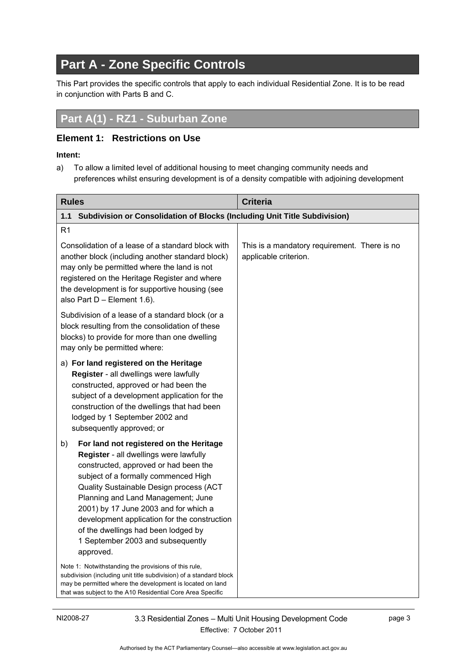# **Part A - Zone Specific Controls**

<span id="page-8-0"></span>This Part provides the specific controls that apply to each individual Residential Zone. It is to be read in conjunction with Parts B and C.

# <span id="page-8-1"></span>**Part A(1) - RZ1 - Suburban Zone**

### <span id="page-8-2"></span>**Element 1: Restrictions on Use**

#### **Intent:**

a) To allow a limited level of additional housing to meet changing community needs and preferences whilst ensuring development is of a density compatible with adjoining development

<span id="page-8-3"></span>

| <b>Rules</b>                                                                                                                                                                                                                                                                                                                                                                                                                                | <b>Criteria</b>                                                       |
|---------------------------------------------------------------------------------------------------------------------------------------------------------------------------------------------------------------------------------------------------------------------------------------------------------------------------------------------------------------------------------------------------------------------------------------------|-----------------------------------------------------------------------|
| Subdivision or Consolidation of Blocks (Including Unit Title Subdivision)<br>1.1                                                                                                                                                                                                                                                                                                                                                            |                                                                       |
| R <sub>1</sub>                                                                                                                                                                                                                                                                                                                                                                                                                              |                                                                       |
| Consolidation of a lease of a standard block with<br>another block (including another standard block)<br>may only be permitted where the land is not<br>registered on the Heritage Register and where<br>the development is for supportive housing (see<br>also Part D - Element 1.6).                                                                                                                                                      | This is a mandatory requirement. There is no<br>applicable criterion. |
| Subdivision of a lease of a standard block (or a<br>block resulting from the consolidation of these<br>blocks) to provide for more than one dwelling<br>may only be permitted where:                                                                                                                                                                                                                                                        |                                                                       |
| a) For land registered on the Heritage<br>Register - all dwellings were lawfully<br>constructed, approved or had been the<br>subject of a development application for the<br>construction of the dwellings that had been<br>lodged by 1 September 2002 and<br>subsequently approved; or                                                                                                                                                     |                                                                       |
| For land not registered on the Heritage<br>b)<br>Register - all dwellings were lawfully<br>constructed, approved or had been the<br>subject of a formally commenced High<br>Quality Sustainable Design process (ACT<br>Planning and Land Management; June<br>2001) by 17 June 2003 and for which a<br>development application for the construction<br>of the dwellings had been lodged by<br>1 September 2003 and subsequently<br>approved. |                                                                       |
| Note 1: Notwithstanding the provisions of this rule,<br>subdivision (including unit title subdivision) of a standard block<br>may be permitted where the development is located on land<br>that was subject to the A10 Residential Core Area Specific                                                                                                                                                                                       |                                                                       |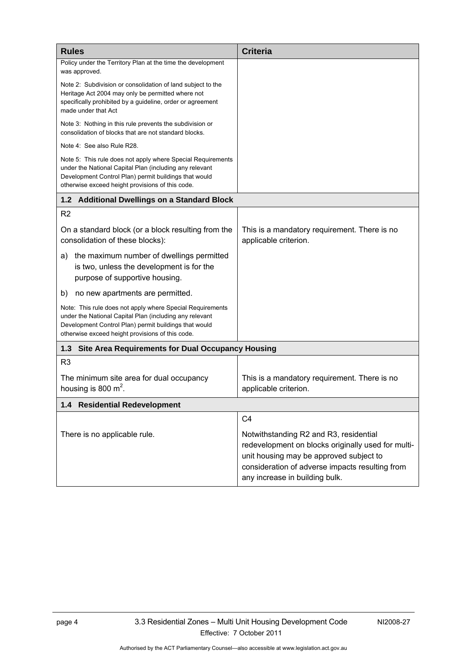<span id="page-9-2"></span><span id="page-9-1"></span><span id="page-9-0"></span>

| <b>Rules</b>                                                                                                                                                                                                                        | <b>Criteria</b>                                                                                                                                                                                                              |
|-------------------------------------------------------------------------------------------------------------------------------------------------------------------------------------------------------------------------------------|------------------------------------------------------------------------------------------------------------------------------------------------------------------------------------------------------------------------------|
| Policy under the Territory Plan at the time the development<br>was approved.                                                                                                                                                        |                                                                                                                                                                                                                              |
| Note 2: Subdivision or consolidation of land subject to the<br>Heritage Act 2004 may only be permitted where not<br>specifically prohibited by a guideline, order or agreement<br>made under that Act                               |                                                                                                                                                                                                                              |
| Note 3: Nothing in this rule prevents the subdivision or<br>consolidation of blocks that are not standard blocks.                                                                                                                   |                                                                                                                                                                                                                              |
| Note 4: See also Rule R28.                                                                                                                                                                                                          |                                                                                                                                                                                                                              |
| Note 5: This rule does not apply where Special Requirements<br>under the National Capital Plan (including any relevant<br>Development Control Plan) permit buildings that would<br>otherwise exceed height provisions of this code. |                                                                                                                                                                                                                              |
| 1.2 Additional Dwellings on a Standard Block                                                                                                                                                                                        |                                                                                                                                                                                                                              |
| R <sub>2</sub>                                                                                                                                                                                                                      |                                                                                                                                                                                                                              |
| On a standard block (or a block resulting from the<br>consolidation of these blocks):                                                                                                                                               | This is a mandatory requirement. There is no<br>applicable criterion.                                                                                                                                                        |
| the maximum number of dwellings permitted<br>a)<br>is two, unless the development is for the<br>purpose of supportive housing.                                                                                                      |                                                                                                                                                                                                                              |
| no new apartments are permitted.<br>b)                                                                                                                                                                                              |                                                                                                                                                                                                                              |
| Note: This rule does not apply where Special Requirements<br>under the National Capital Plan (including any relevant<br>Development Control Plan) permit buildings that would<br>otherwise exceed height provisions of this code.   |                                                                                                                                                                                                                              |
| <b>Site Area Requirements for Dual Occupancy Housing</b><br>1.3                                                                                                                                                                     |                                                                                                                                                                                                                              |
| R <sub>3</sub>                                                                                                                                                                                                                      |                                                                                                                                                                                                                              |
| The minimum site area for dual occupancy<br>housing is 800 $m2$ .                                                                                                                                                                   | This is a mandatory requirement. There is no<br>applicable criterion.                                                                                                                                                        |
| 1.4 Residential Redevelopment                                                                                                                                                                                                       |                                                                                                                                                                                                                              |
|                                                                                                                                                                                                                                     | C <sub>4</sub>                                                                                                                                                                                                               |
| There is no applicable rule.                                                                                                                                                                                                        | Notwithstanding R2 and R3, residential<br>redevelopment on blocks originally used for multi-<br>unit housing may be approved subject to<br>consideration of adverse impacts resulting from<br>any increase in building bulk. |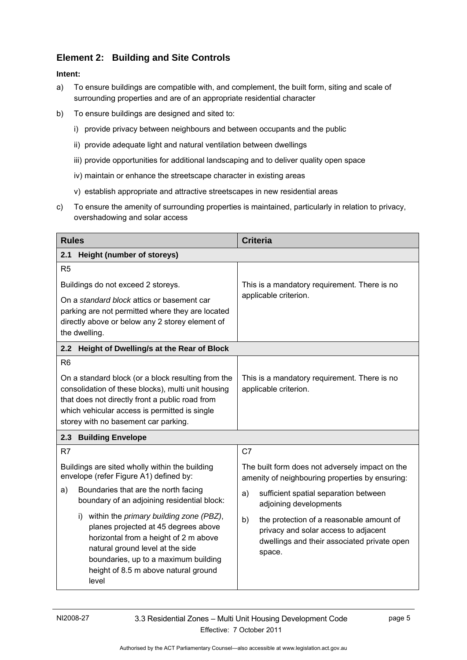# <span id="page-10-0"></span>**Element 2: Building and Site Controls**

- a) To ensure buildings are compatible with, and complement, the built form, siting and scale of surrounding properties and are of an appropriate residential character
- b) To ensure buildings are designed and sited to:
	- i) provide privacy between neighbours and between occupants and the public
	- ii) provide adequate light and natural ventilation between dwellings
	- iii) provide opportunities for additional landscaping and to deliver quality open space
	- iv) maintain or enhance the streetscape character in existing areas
	- v) establish appropriate and attractive streetscapes in new residential areas
- c) To ensure the amenity of surrounding properties is maintained, particularly in relation to privacy, overshadowing and solar access

<span id="page-10-3"></span><span id="page-10-2"></span><span id="page-10-1"></span>

| <b>Rules</b>                                                                                                                                                                                                                                                | <b>Criteria</b>                                                                                                                                 |  |
|-------------------------------------------------------------------------------------------------------------------------------------------------------------------------------------------------------------------------------------------------------------|-------------------------------------------------------------------------------------------------------------------------------------------------|--|
| <b>Height (number of storeys)</b><br>2.1                                                                                                                                                                                                                    |                                                                                                                                                 |  |
| R <sub>5</sub>                                                                                                                                                                                                                                              |                                                                                                                                                 |  |
| Buildings do not exceed 2 storeys.                                                                                                                                                                                                                          | This is a mandatory requirement. There is no                                                                                                    |  |
| On a standard block attics or basement car<br>parking are not permitted where they are located<br>directly above or below any 2 storey element of<br>the dwelling.                                                                                          | applicable criterion.                                                                                                                           |  |
| Height of Dwelling/s at the Rear of Block<br>2.2                                                                                                                                                                                                            |                                                                                                                                                 |  |
| R <sub>6</sub>                                                                                                                                                                                                                                              |                                                                                                                                                 |  |
| On a standard block (or a block resulting from the<br>consolidation of these blocks), multi unit housing<br>that does not directly front a public road from<br>which vehicular access is permitted is single<br>storey with no basement car parking.        | This is a mandatory requirement. There is no<br>applicable criterion.                                                                           |  |
| 2.3<br><b>Building Envelope</b>                                                                                                                                                                                                                             |                                                                                                                                                 |  |
| R7                                                                                                                                                                                                                                                          | C <sub>7</sub>                                                                                                                                  |  |
| Buildings are sited wholly within the building<br>envelope (refer Figure A1) defined by:                                                                                                                                                                    | The built form does not adversely impact on the<br>amenity of neighbouring properties by ensuring:                                              |  |
| Boundaries that are the north facing<br>a)<br>boundary of an adjoining residential block:                                                                                                                                                                   | sufficient spatial separation between<br>a)<br>adjoining developments                                                                           |  |
| within the primary building zone (PBZ),<br>i)<br>planes projected at 45 degrees above<br>horizontal from a height of 2 m above<br>natural ground level at the side<br>boundaries, up to a maximum building<br>height of 8.5 m above natural ground<br>level | the protection of a reasonable amount of<br>b)<br>privacy and solar access to adjacent<br>dwellings and their associated private open<br>space. |  |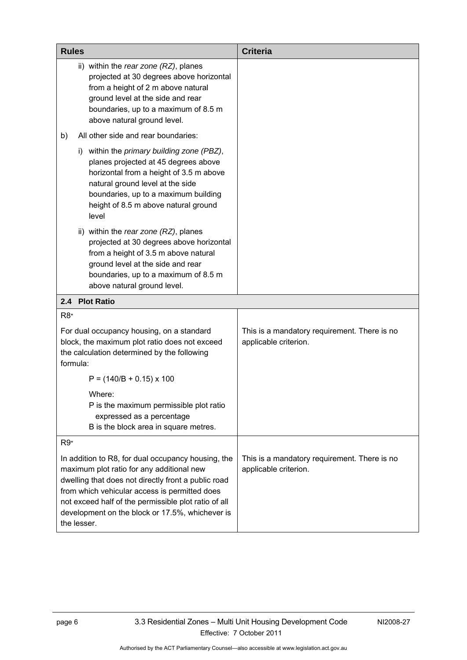<span id="page-11-0"></span>

| <b>Rules</b>                                                                                                                                                                                                                                                                                                                      | <b>Criteria</b>                                                       |
|-----------------------------------------------------------------------------------------------------------------------------------------------------------------------------------------------------------------------------------------------------------------------------------------------------------------------------------|-----------------------------------------------------------------------|
| ii) within the rear zone (RZ), planes<br>projected at 30 degrees above horizontal<br>from a height of 2 m above natural<br>ground level at the side and rear<br>boundaries, up to a maximum of 8.5 m<br>above natural ground level.                                                                                               |                                                                       |
| All other side and rear boundaries:<br>b)                                                                                                                                                                                                                                                                                         |                                                                       |
| within the primary building zone (PBZ),<br>$\mathbf{I}$<br>planes projected at 45 degrees above<br>horizontal from a height of 3.5 m above<br>natural ground level at the side<br>boundaries, up to a maximum building<br>height of 8.5 m above natural ground<br>level                                                           |                                                                       |
| ii) within the rear zone (RZ), planes<br>projected at 30 degrees above horizontal<br>from a height of 3.5 m above natural<br>ground level at the side and rear<br>boundaries, up to a maximum of 8.5 m<br>above natural ground level.                                                                                             |                                                                       |
| 2.4 Plot Ratio                                                                                                                                                                                                                                                                                                                    |                                                                       |
| R <sub>8</sub>                                                                                                                                                                                                                                                                                                                    |                                                                       |
| For dual occupancy housing, on a standard<br>block, the maximum plot ratio does not exceed<br>the calculation determined by the following<br>formula:                                                                                                                                                                             | This is a mandatory requirement. There is no<br>applicable criterion. |
| $P = (140/B + 0.15) \times 100$                                                                                                                                                                                                                                                                                                   |                                                                       |
| Where:<br>P is the maximum permissible plot ratio<br>expressed as a percentage<br>B is the block area in square metres.                                                                                                                                                                                                           |                                                                       |
| $R9*$                                                                                                                                                                                                                                                                                                                             |                                                                       |
| In addition to R8, for dual occupancy housing, the<br>maximum plot ratio for any additional new<br>dwelling that does not directly front a public road<br>from which vehicular access is permitted does<br>not exceed half of the permissible plot ratio of all<br>development on the block or 17.5%, whichever is<br>the lesser. | This is a mandatory requirement. There is no<br>applicable criterion. |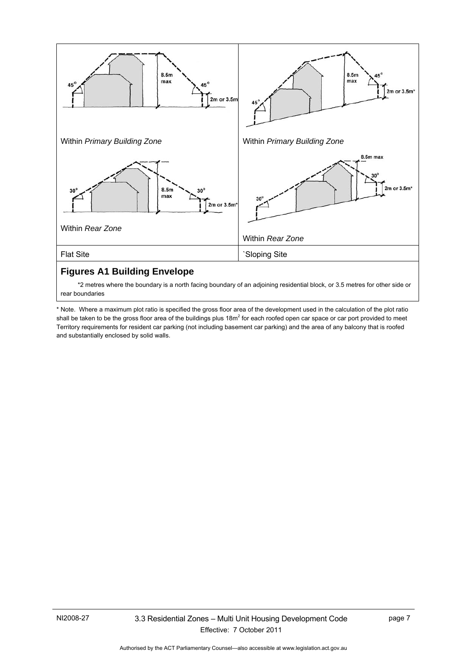

 \*2 metres where the boundary is a north facing boundary of an adjoining residential block, or 3.5 metres for other side or rear boundaries

\* Note. Where a maximum plot ratio is specified the gross floor area of the development used in the calculation of the plot ratio shall be taken to be the gross floor area of the buildings plus 18m<sup>2</sup> for each roofed open car space or car port provided to meet Territory requirements for resident car parking (not including basement car parking) and the area of any balcony that is roofed and substantially enclosed by solid walls.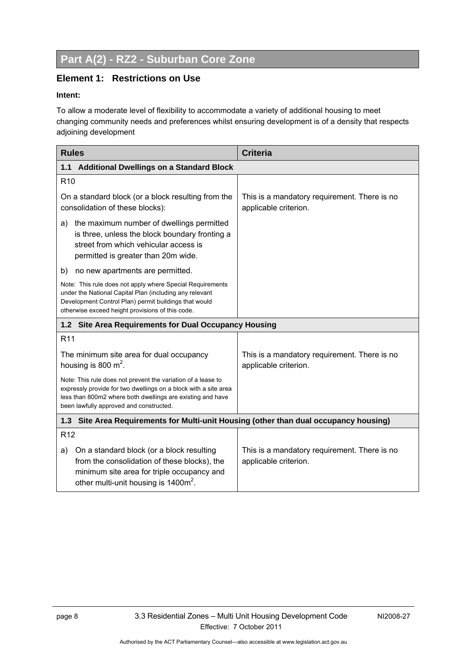# <span id="page-13-0"></span>**Part A(2) - RZ2 - Suburban Core Zone**

#### <span id="page-13-1"></span>**Element 1: Restrictions on Use**

#### **Intent:**

To allow a moderate level of flexibility to accommodate a variety of additional housing to meet changing community needs and preferences whilst ensuring development is of a density that respects adjoining development

<span id="page-13-4"></span><span id="page-13-3"></span><span id="page-13-2"></span>

| <b>Rules</b>                                                                                                                                                                                                                             | <b>Criteria</b>                                                       |  |  |  |
|------------------------------------------------------------------------------------------------------------------------------------------------------------------------------------------------------------------------------------------|-----------------------------------------------------------------------|--|--|--|
| <b>Additional Dwellings on a Standard Block</b><br>1.1                                                                                                                                                                                   |                                                                       |  |  |  |
| R <sub>10</sub>                                                                                                                                                                                                                          |                                                                       |  |  |  |
| On a standard block (or a block resulting from the<br>consolidation of these blocks):                                                                                                                                                    | This is a mandatory requirement. There is no<br>applicable criterion. |  |  |  |
| the maximum number of dwellings permitted<br>a)<br>is three, unless the block boundary fronting a<br>street from which vehicular access is<br>permitted is greater than 20m wide.                                                        |                                                                       |  |  |  |
| no new apartments are permitted.<br>b)                                                                                                                                                                                                   |                                                                       |  |  |  |
| Note: This rule does not apply where Special Requirements<br>under the National Capital Plan (including any relevant<br>Development Control Plan) permit buildings that would<br>otherwise exceed height provisions of this code.        |                                                                       |  |  |  |
| 1.2 Site Area Requirements for Dual Occupancy Housing                                                                                                                                                                                    |                                                                       |  |  |  |
| R <sub>11</sub>                                                                                                                                                                                                                          |                                                                       |  |  |  |
| The minimum site area for dual occupancy<br>housing is 800 $m^2$ .                                                                                                                                                                       | This is a mandatory requirement. There is no<br>applicable criterion. |  |  |  |
| Note: This rule does not prevent the variation of a lease to<br>expressly provide for two dwellings on a block with a site area<br>less than 800m2 where both dwellings are existing and have<br>been lawfully approved and constructed. |                                                                       |  |  |  |
| Site Area Requirements for Multi-unit Housing (other than dual occupancy housing)<br>1.3                                                                                                                                                 |                                                                       |  |  |  |
| R <sub>12</sub>                                                                                                                                                                                                                          |                                                                       |  |  |  |
| On a standard block (or a block resulting<br>a)<br>from the consolidation of these blocks), the<br>minimum site area for triple occupancy and<br>other multi-unit housing is 1400m <sup>2</sup> .                                        | This is a mandatory requirement. There is no<br>applicable criterion. |  |  |  |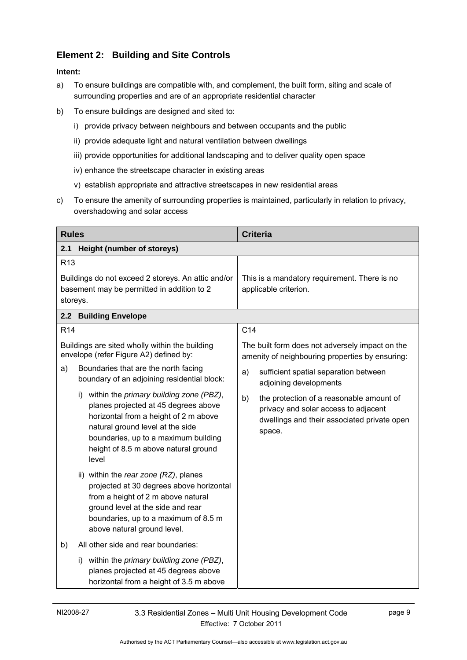# <span id="page-14-0"></span>**Element 2: Building and Site Controls**

- a) To ensure buildings are compatible with, and complement, the built form, siting and scale of surrounding properties and are of an appropriate residential character
- b) To ensure buildings are designed and sited to:
	- i) provide privacy between neighbours and between occupants and the public
	- ii) provide adequate light and natural ventilation between dwellings
	- iii) provide opportunities for additional landscaping and to deliver quality open space
	- iv) enhance the streetscape character in existing areas
	- v) establish appropriate and attractive streetscapes in new residential areas
- c) To ensure the amenity of surrounding properties is maintained, particularly in relation to privacy, overshadowing and solar access

<span id="page-14-2"></span><span id="page-14-1"></span>

| <b>Rules</b>    |                                                                                                                                                                                                                                                          | <b>Criteria</b>                                                                                                                                 |
|-----------------|----------------------------------------------------------------------------------------------------------------------------------------------------------------------------------------------------------------------------------------------------------|-------------------------------------------------------------------------------------------------------------------------------------------------|
| 2.1             | <b>Height (number of storeys)</b>                                                                                                                                                                                                                        |                                                                                                                                                 |
| R <sub>13</sub> | Buildings do not exceed 2 storeys. An attic and/or                                                                                                                                                                                                       | This is a mandatory requirement. There is no                                                                                                    |
|                 | basement may be permitted in addition to 2<br>storeys.                                                                                                                                                                                                   | applicable criterion.                                                                                                                           |
|                 | 2.2 Building Envelope                                                                                                                                                                                                                                    |                                                                                                                                                 |
| R <sub>14</sub> |                                                                                                                                                                                                                                                          | C <sub>14</sub>                                                                                                                                 |
|                 | Buildings are sited wholly within the building<br>envelope (refer Figure A2) defined by:                                                                                                                                                                 | The built form does not adversely impact on the<br>amenity of neighbouring properties by ensuring:                                              |
| a)              | Boundaries that are the north facing<br>boundary of an adjoining residential block:                                                                                                                                                                      | sufficient spatial separation between<br>a)<br>adjoining developments                                                                           |
|                 | i) within the primary building zone (PBZ),<br>planes projected at 45 degrees above<br>horizontal from a height of 2 m above<br>natural ground level at the side<br>boundaries, up to a maximum building<br>height of 8.5 m above natural ground<br>level | b)<br>the protection of a reasonable amount of<br>privacy and solar access to adjacent<br>dwellings and their associated private open<br>space. |
|                 | ii) within the rear zone (RZ), planes<br>projected at 30 degrees above horizontal<br>from a height of 2 m above natural<br>ground level at the side and rear<br>boundaries, up to a maximum of 8.5 m<br>above natural ground level.                      |                                                                                                                                                 |
| b)              | All other side and rear boundaries:                                                                                                                                                                                                                      |                                                                                                                                                 |
|                 | i) within the primary building zone (PBZ),<br>planes projected at 45 degrees above<br>horizontal from a height of 3.5 m above                                                                                                                            |                                                                                                                                                 |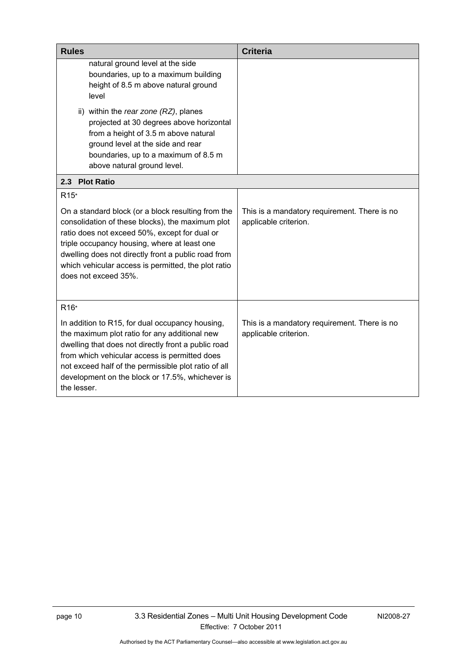<span id="page-15-0"></span>

| <b>Rules</b>                                                                                                                                                                                                                                                                                                                                  | <b>Criteria</b>                                                       |
|-----------------------------------------------------------------------------------------------------------------------------------------------------------------------------------------------------------------------------------------------------------------------------------------------------------------------------------------------|-----------------------------------------------------------------------|
| natural ground level at the side<br>boundaries, up to a maximum building<br>height of 8.5 m above natural ground<br>level<br>ii) within the rear zone (RZ), planes                                                                                                                                                                            |                                                                       |
| projected at 30 degrees above horizontal<br>from a height of 3.5 m above natural<br>ground level at the side and rear<br>boundaries, up to a maximum of 8.5 m<br>above natural ground level.                                                                                                                                                  |                                                                       |
| 2.3 Plot Ratio                                                                                                                                                                                                                                                                                                                                |                                                                       |
| R <sub>15</sub> <sup>*</sup>                                                                                                                                                                                                                                                                                                                  |                                                                       |
| On a standard block (or a block resulting from the<br>consolidation of these blocks), the maximum plot<br>ratio does not exceed 50%, except for dual or<br>triple occupancy housing, where at least one<br>dwelling does not directly front a public road from<br>which vehicular access is permitted, the plot ratio<br>does not exceed 35%. | This is a mandatory requirement. There is no<br>applicable criterion. |
| R <sub>16</sub> *                                                                                                                                                                                                                                                                                                                             |                                                                       |
| In addition to R15, for dual occupancy housing,<br>the maximum plot ratio for any additional new<br>dwelling that does not directly front a public road<br>from which vehicular access is permitted does<br>not exceed half of the permissible plot ratio of all<br>development on the block or 17.5%, whichever is<br>the lesser.            | This is a mandatory requirement. There is no<br>applicable criterion. |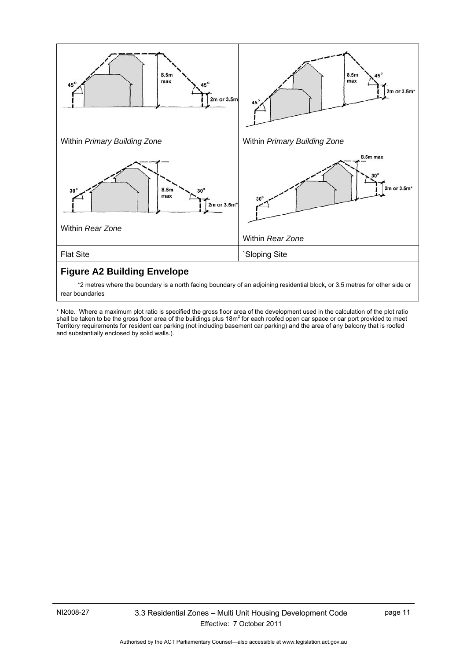

 \*2 metres where the boundary is a north facing boundary of an adjoining residential block, or 3.5 metres for other side or rear boundaries

\* Note. Where a maximum plot ratio is specified the gross floor area of the development used in the calculation of the plot ratio shall be taken to be the gross floor area of the buildings plus 18m<sup>2</sup> for each roofed open car space or car port provided to meet Territory requirements for resident car parking (not including basement car parking) and the area of any balcony that is roofed and substantially enclosed by solid walls.).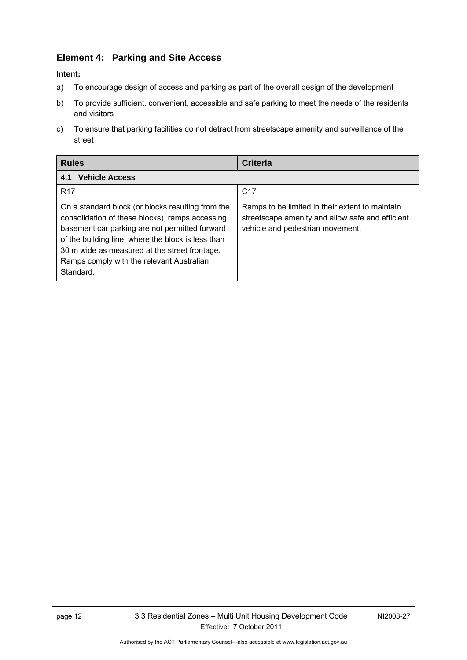# <span id="page-17-0"></span>**Element 4: Parking and Site Access**

#### **Intent:**

- a) To encourage design of access and parking as part of the overall design of the development
- b) To provide sufficient, convenient, accessible and safe parking to meet the needs of the residents and visitors
- c) To ensure that parking facilities do not detract from streetscape amenity and surveillance of the street

| <b>Rules</b>                                                                                                                                                                                                                                                                                                            | Criteria                                                                                                                                |
|-------------------------------------------------------------------------------------------------------------------------------------------------------------------------------------------------------------------------------------------------------------------------------------------------------------------------|-----------------------------------------------------------------------------------------------------------------------------------------|
| <b>Vehicle Access</b><br>4.1                                                                                                                                                                                                                                                                                            |                                                                                                                                         |
| <b>R17</b>                                                                                                                                                                                                                                                                                                              | C <sub>17</sub>                                                                                                                         |
| On a standard block (or blocks resulting from the<br>consolidation of these blocks), ramps accessing<br>basement car parking are not permitted forward<br>of the building line, where the block is less than<br>30 m wide as measured at the street frontage.<br>Ramps comply with the relevant Australian<br>Standard. | Ramps to be limited in their extent to maintain<br>streetscape amenity and allow safe and efficient<br>vehicle and pedestrian movement. |

Authorised by the ACT Parliamentary Counsel—also accessible at www.legislation.act.gov.au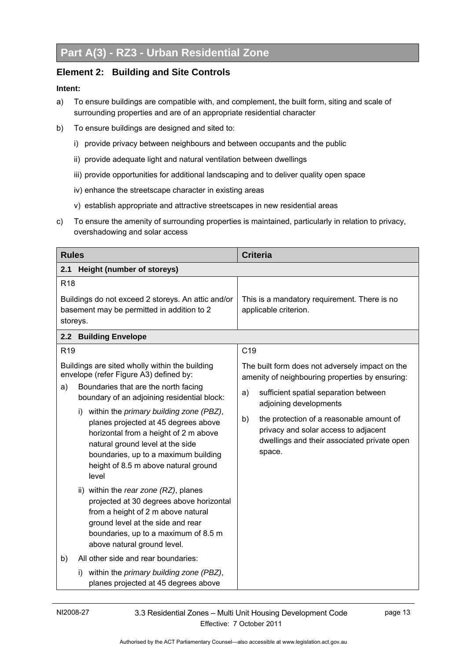### **Element 2: Building and Site Controls**

- a) To ensure buildings are compatible with, and complement, the built form, siting and scale of surrounding properties and are of an appropriate residential character
- b) To ensure buildings are designed and sited to:
	- i) provide privacy between neighbours and between occupants and the public
	- ii) provide adequate light and natural ventilation between dwellings
	- iii) provide opportunities for additional landscaping and to deliver quality open space
	- iv) enhance the streetscape character in existing areas
	- v) establish appropriate and attractive streetscapes in new residential areas
- <span id="page-18-0"></span>c) To ensure the amenity of surrounding properties is maintained, particularly in relation to privacy, overshadowing and solar access

| <b>Rules</b>                                                                                                                                                                                                                                             | <b>Criteria</b>                                                                                                                                                           |
|----------------------------------------------------------------------------------------------------------------------------------------------------------------------------------------------------------------------------------------------------------|---------------------------------------------------------------------------------------------------------------------------------------------------------------------------|
| <b>Height (number of storeys)</b><br>2.1                                                                                                                                                                                                                 |                                                                                                                                                                           |
| R <sub>18</sub><br>Buildings do not exceed 2 storeys. An attic and/or<br>basement may be permitted in addition to 2                                                                                                                                      | This is a mandatory requirement. There is no<br>applicable criterion.                                                                                                     |
| storeys.                                                                                                                                                                                                                                                 |                                                                                                                                                                           |
| 2.2 Building Envelope                                                                                                                                                                                                                                    |                                                                                                                                                                           |
| R <sub>19</sub>                                                                                                                                                                                                                                          | C <sub>19</sub>                                                                                                                                                           |
| Buildings are sited wholly within the building<br>envelope (refer Figure A3) defined by:<br>Boundaries that are the north facing<br>a)<br>boundary of an adjoining residential block:                                                                    | The built form does not adversely impact on the<br>amenity of neighbouring properties by ensuring:<br>sufficient spatial separation between<br>a)                         |
| i) within the primary building zone (PBZ),<br>planes projected at 45 degrees above<br>horizontal from a height of 2 m above<br>natural ground level at the side<br>boundaries, up to a maximum building<br>height of 8.5 m above natural ground<br>level | adjoining developments<br>the protection of a reasonable amount of<br>b)<br>privacy and solar access to adjacent<br>dwellings and their associated private open<br>space. |
| ii) within the rear zone (RZ), planes<br>projected at 30 degrees above horizontal<br>from a height of 2 m above natural<br>ground level at the side and rear<br>boundaries, up to a maximum of 8.5 m<br>above natural ground level.                      |                                                                                                                                                                           |
| All other side and rear boundaries:<br>b)<br>within the primary building zone (PBZ),<br>I)<br>planes projected at 45 degrees above                                                                                                                       |                                                                                                                                                                           |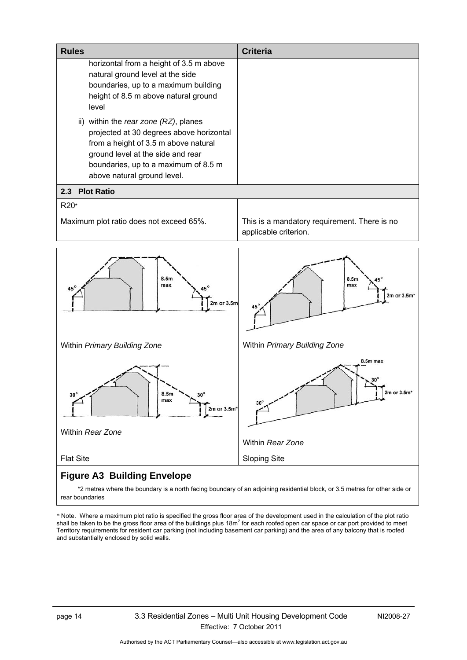<span id="page-19-1"></span><span id="page-19-0"></span>

| <b>Rules</b>                                                                                                                                                                                                                          | <b>Criteria</b>                                                       |
|---------------------------------------------------------------------------------------------------------------------------------------------------------------------------------------------------------------------------------------|-----------------------------------------------------------------------|
| horizontal from a height of 3.5 m above<br>natural ground level at the side<br>boundaries, up to a maximum building<br>height of 8.5 m above natural ground<br>level                                                                  |                                                                       |
| ii) within the rear zone (RZ), planes<br>projected at 30 degrees above horizontal<br>from a height of 3.5 m above natural<br>ground level at the side and rear<br>boundaries, up to a maximum of 8.5 m<br>above natural ground level. |                                                                       |
| <b>Plot Ratio</b><br>2.3                                                                                                                                                                                                              |                                                                       |
| R20*<br>Maximum plot ratio does not exceed 65%.                                                                                                                                                                                       | This is a mandatory requirement. There is no<br>applicable criterion. |
| 8.5m<br>max<br>2m or 3.5m                                                                                                                                                                                                             | 8.5m<br>max<br>2m or 3.5m*                                            |
| Within Primary Building Zone                                                                                                                                                                                                          | Within Primary Building Zone                                          |
| 8.5m<br>$30^\circ$<br>$30^\circ$<br>max<br>2m or 3.5m*<br>Within Rear Zone                                                                                                                                                            | 8.5m max<br>$2m$ or $3.5mth$<br>$30^\circ$<br>Within Rear Zone        |
| <b>Flat Site</b>                                                                                                                                                                                                                      | <b>Sloping Site</b>                                                   |

# <span id="page-19-3"></span><span id="page-19-2"></span>**Figure A3 Building Envelope**

 \*2 metres where the boundary is a north facing boundary of an adjoining residential block, or 3.5 metres for other side or rear boundaries

\* Note. Where a maximum plot ratio is specified the gross floor area of the development used in the calculation of the plot ratio<br>shall be taken to be the gross floor area of the buildings plus 18m<sup>2</sup> for each roofed open Territory requirements for resident car parking (not including basement car parking) and the area of any balcony that is roofed and substantially enclosed by solid walls.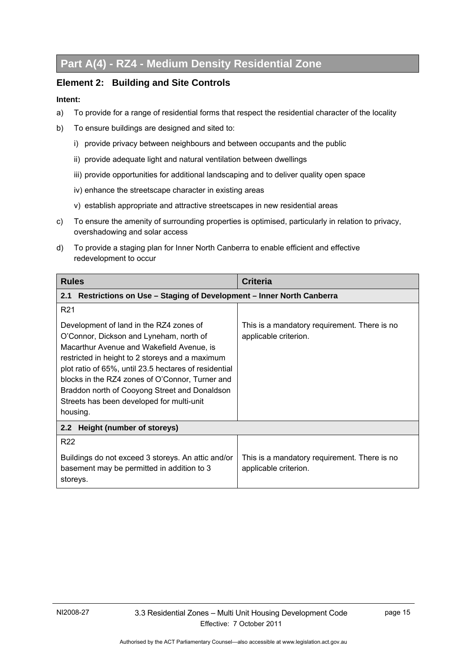# **Part A(4) - RZ4 - Medium Density Residential Zone**

#### **Element 2: Building and Site Controls**

- a) To provide for a range of residential forms that respect the residential character of the locality
- b) To ensure buildings are designed and sited to:
	- i) provide privacy between neighbours and between occupants and the public
	- ii) provide adequate light and natural ventilation between dwellings
	- iii) provide opportunities for additional landscaping and to deliver quality open space
	- iv) enhance the streetscape character in existing areas
	- v) establish appropriate and attractive streetscapes in new residential areas
- <span id="page-20-0"></span>c) To ensure the amenity of surrounding properties is optimised, particularly in relation to privacy, overshadowing and solar access
- d) To provide a staging plan for Inner North Canberra to enable efficient and effective redevelopment to occur

| <b>Rules</b>                                                                                                                                                                                                                                                                                                                                                                                             | <b>Criteria</b>                                                       |  |
|----------------------------------------------------------------------------------------------------------------------------------------------------------------------------------------------------------------------------------------------------------------------------------------------------------------------------------------------------------------------------------------------------------|-----------------------------------------------------------------------|--|
| Restrictions on Use - Staging of Development - Inner North Canberra<br>2.1                                                                                                                                                                                                                                                                                                                               |                                                                       |  |
| R <sub>21</sub>                                                                                                                                                                                                                                                                                                                                                                                          |                                                                       |  |
| Development of land in the RZ4 zones of<br>O'Connor, Dickson and Lyneham, north of<br>Macarthur Avenue and Wakefield Avenue, is<br>restricted in height to 2 storeys and a maximum<br>plot ratio of 65%, until 23.5 hectares of residential<br>blocks in the RZ4 zones of O'Connor, Turner and<br>Braddon north of Cooyong Street and Donaldson<br>Streets has been developed for multi-unit<br>housing. | This is a mandatory requirement. There is no<br>applicable criterion. |  |
| Height (number of storeys)<br>2.2 <sub>2</sub>                                                                                                                                                                                                                                                                                                                                                           |                                                                       |  |
| R <sub>22</sub>                                                                                                                                                                                                                                                                                                                                                                                          |                                                                       |  |
| Buildings do not exceed 3 storeys. An attic and/or<br>basement may be permitted in addition to 3<br>storeys.                                                                                                                                                                                                                                                                                             | This is a mandatory requirement. There is no<br>applicable criterion. |  |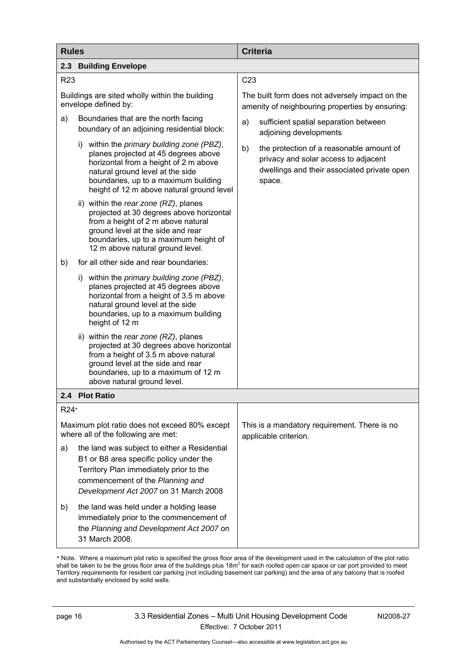| <b>Rules</b>    |                                                                                                                                                                                                                                                              | <b>Criteria</b>                                                                                                                                 |
|-----------------|--------------------------------------------------------------------------------------------------------------------------------------------------------------------------------------------------------------------------------------------------------------|-------------------------------------------------------------------------------------------------------------------------------------------------|
| 2.3             | <b>Building Envelope</b>                                                                                                                                                                                                                                     |                                                                                                                                                 |
| R <sub>23</sub> |                                                                                                                                                                                                                                                              | C <sub>23</sub>                                                                                                                                 |
|                 | Buildings are sited wholly within the building<br>envelope defined by:                                                                                                                                                                                       | The built form does not adversely impact on the<br>amenity of neighbouring properties by ensuring:                                              |
| a)              | Boundaries that are the north facing<br>boundary of an adjoining residential block:                                                                                                                                                                          | a)<br>sufficient spatial separation between<br>adjoining developments                                                                           |
|                 | i) within the <i>primary building zone (PBZ)</i> ,<br>planes projected at 45 degrees above<br>horizontal from a height of 2 m above<br>natural ground level at the side<br>boundaries, up to a maximum building<br>height of 12 m above natural ground level | b)<br>the protection of a reasonable amount of<br>privacy and solar access to adjacent<br>dwellings and their associated private open<br>space. |
|                 | ii) within the rear zone (RZ), planes<br>projected at 30 degrees above horizontal<br>from a height of 2 m above natural<br>ground level at the side and rear<br>boundaries, up to a maximum height of<br>12 m above natural ground level.                    |                                                                                                                                                 |
| b)              | for all other side and rear boundaries:                                                                                                                                                                                                                      |                                                                                                                                                 |
|                 | i) within the primary building zone (PBZ),<br>planes projected at 45 degrees above<br>horizontal from a height of 3.5 m above<br>natural ground level at the side<br>boundaries, up to a maximum building<br>height of 12 m                                  |                                                                                                                                                 |
|                 | ii) within the rear zone (RZ), planes<br>projected at 30 degrees above horizontal<br>from a height of 3.5 m above natural<br>ground level at the side and rear<br>boundaries, up to a maximum of 12 m<br>above natural ground level.                         |                                                                                                                                                 |
| 2.4             | <b>Plot Ratio</b>                                                                                                                                                                                                                                            |                                                                                                                                                 |
| R24*            |                                                                                                                                                                                                                                                              |                                                                                                                                                 |
|                 | Maximum plot ratio does not exceed 80% except<br>where all of the following are met:                                                                                                                                                                         | This is a mandatory requirement. There is no<br>applicable criterion.                                                                           |
| a)              | the land was subject to either a Residential<br>B1 or B8 area specific policy under the<br>Territory Plan immediately prior to the<br>commencement of the Planning and<br>Development Act 2007 on 31 March 2008                                              |                                                                                                                                                 |
| b)              | the land was held under a holding lease<br>immediately prior to the commencement of<br>the Planning and Development Act 2007 on<br>31 March 2008.                                                                                                            |                                                                                                                                                 |

\* Note. Where a maximum plot ratio is specified the gross floor area of the development used in the calculation of the plot ratio<br>shall be taken to be the gross floor area of the buildings plus 18m<sup>2</sup> for each roofed open Territory requirements for resident car parking (not including basement car parking) and the area of any balcony that is roofed and substantially enclosed by solid walls.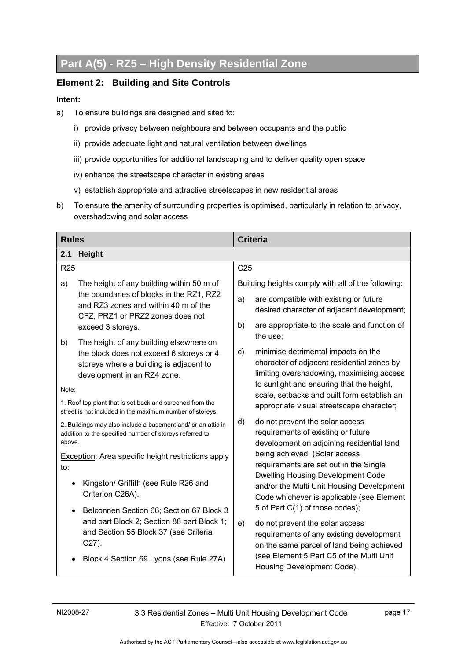# <span id="page-22-0"></span>**Part A(5) - RZ5 – High Density Residential Zone**

#### <span id="page-22-1"></span>**Element 2: Building and Site Controls**

- a) To ensure buildings are designed and sited to:
	- i) provide privacy between neighbours and between occupants and the public
	- ii) provide adequate light and natural ventilation between dwellings
	- iii) provide opportunities for additional landscaping and to deliver quality open space
	- iv) enhance the streetscape character in existing areas
	- v) establish appropriate and attractive streetscapes in new residential areas
- b) To ensure the amenity of surrounding properties is optimised, particularly in relation to privacy, overshadowing and solar access

<span id="page-22-3"></span><span id="page-22-2"></span>

| <b>Rules</b> |                                                                                                                         |                 | <b>Criteria</b>                                                                                                                    |
|--------------|-------------------------------------------------------------------------------------------------------------------------|-----------------|------------------------------------------------------------------------------------------------------------------------------------|
| 2.1          | <b>Height</b>                                                                                                           |                 |                                                                                                                                    |
| <b>R25</b>   |                                                                                                                         | C <sub>25</sub> |                                                                                                                                    |
| a)           | The height of any building within 50 m of<br>the boundaries of blocks in the RZ1, RZ2                                   |                 | Building heights comply with all of the following:                                                                                 |
|              | and RZ3 zones and within 40 m of the<br>CFZ, PRZ1 or PRZ2 zones does not                                                | a)              | are compatible with existing or future<br>desired character of adjacent development;                                               |
| b)           | exceed 3 storeys.<br>The height of any building elsewhere on                                                            | b)              | are appropriate to the scale and function of<br>the use;                                                                           |
|              | the block does not exceed 6 storeys or 4<br>storeys where a building is adjacent to<br>development in an RZ4 zone.      | $\mathsf{c}$ )  | minimise detrimental impacts on the<br>character of adjacent residential zones by<br>limiting overshadowing, maximising access     |
| Note:        |                                                                                                                         |                 | to sunlight and ensuring that the height,<br>scale, setbacks and built form establish an                                           |
|              | 1. Roof top plant that is set back and screened from the<br>street is not included in the maximum number of storeys.    |                 | appropriate visual streetscape character;                                                                                          |
| above.       | 2. Buildings may also include a basement and/ or an attic in<br>addition to the specified number of storeys referred to | d)              | do not prevent the solar access<br>requirements of existing or future<br>development on adjoining residential land                 |
| to:          | <b>Exception:</b> Area specific height restrictions apply                                                               |                 | being achieved (Solar access<br>requirements are set out in the Single                                                             |
| $\bullet$    | Kingston/ Griffith (see Rule R26 and<br>Criterion C26A).                                                                |                 | <b>Dwelling Housing Development Code</b><br>and/or the Multi Unit Housing Development<br>Code whichever is applicable (see Element |
| $\bullet$    | Belconnen Section 66; Section 67 Block 3                                                                                |                 | 5 of Part C(1) of those codes);                                                                                                    |
|              | and part Block 2; Section 88 part Block 1;<br>and Section 55 Block 37 (see Criteria<br>$C27$ ).                         | e)              | do not prevent the solar access<br>requirements of any existing development<br>on the same parcel of land being achieved           |
|              | Block 4 Section 69 Lyons (see Rule 27A)                                                                                 |                 | (see Element 5 Part C5 of the Multi Unit<br>Housing Development Code).                                                             |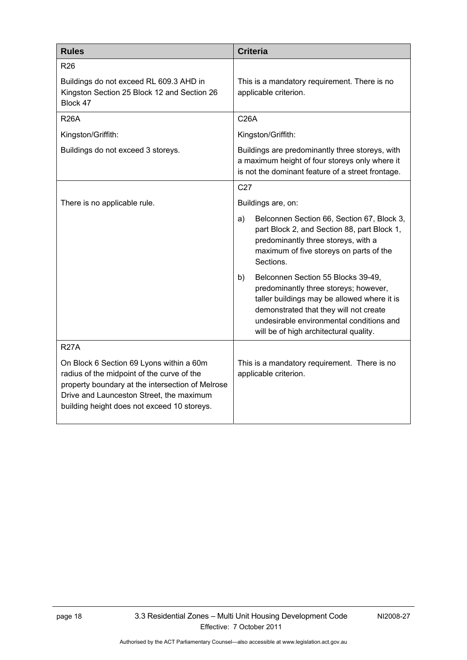<span id="page-23-1"></span><span id="page-23-0"></span>

| <b>Rules</b>                                                                                                                                                                                                                          | <b>Criteria</b>                                                                                                                                                                                                                                                  |
|---------------------------------------------------------------------------------------------------------------------------------------------------------------------------------------------------------------------------------------|------------------------------------------------------------------------------------------------------------------------------------------------------------------------------------------------------------------------------------------------------------------|
| <b>R26</b>                                                                                                                                                                                                                            |                                                                                                                                                                                                                                                                  |
| Buildings do not exceed RL 609.3 AHD in<br>Kingston Section 25 Block 12 and Section 26<br>Block 47                                                                                                                                    | This is a mandatory requirement. There is no<br>applicable criterion.                                                                                                                                                                                            |
| <b>R26A</b>                                                                                                                                                                                                                           | <b>C26A</b>                                                                                                                                                                                                                                                      |
| Kingston/Griffith:                                                                                                                                                                                                                    | Kingston/Griffith:                                                                                                                                                                                                                                               |
| Buildings do not exceed 3 storeys.                                                                                                                                                                                                    | Buildings are predominantly three storeys, with<br>a maximum height of four storeys only where it<br>is not the dominant feature of a street frontage.                                                                                                           |
|                                                                                                                                                                                                                                       | C <sub>27</sub>                                                                                                                                                                                                                                                  |
| There is no applicable rule.                                                                                                                                                                                                          | Buildings are, on:                                                                                                                                                                                                                                               |
|                                                                                                                                                                                                                                       | Belconnen Section 66, Section 67, Block 3,<br>a)<br>part Block 2, and Section 88, part Block 1,<br>predominantly three storeys, with a<br>maximum of five storeys on parts of the<br>Sections.                                                                   |
|                                                                                                                                                                                                                                       | Belconnen Section 55 Blocks 39-49,<br>b)<br>predominantly three storeys; however,<br>taller buildings may be allowed where it is<br>demonstrated that they will not create<br>undesirable environmental conditions and<br>will be of high architectural quality. |
| <b>R27A</b>                                                                                                                                                                                                                           |                                                                                                                                                                                                                                                                  |
| On Block 6 Section 69 Lyons within a 60m<br>radius of the midpoint of the curve of the<br>property boundary at the intersection of Melrose<br>Drive and Launceston Street, the maximum<br>building height does not exceed 10 storeys. | This is a mandatory requirement. There is no<br>applicable criterion.                                                                                                                                                                                            |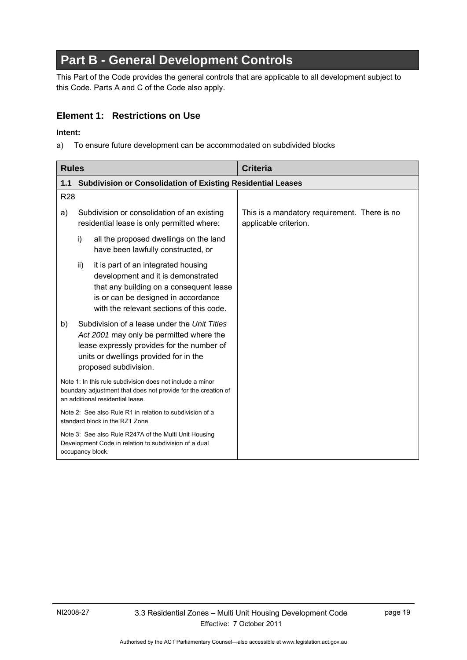# **Part B - General Development Controls**

This Part of the Code provides the general controls that are applicable to all development subject to this Code. Parts A and C of the Code also apply.

### **Element 1: Restrictions on Use**

#### **Intent:**

a) To ensure future development can be accommodated on subdivided blocks

| <b>Rules</b> |                                                                                                                                                                                                                | <b>Criteria</b>                                                       |  |
|--------------|----------------------------------------------------------------------------------------------------------------------------------------------------------------------------------------------------------------|-----------------------------------------------------------------------|--|
| 1.1          | <b>Subdivision or Consolidation of Existing Residential Leases</b>                                                                                                                                             |                                                                       |  |
| <b>R28</b>   |                                                                                                                                                                                                                |                                                                       |  |
| a)           | Subdivision or consolidation of an existing<br>residential lease is only permitted where:                                                                                                                      | This is a mandatory requirement. There is no<br>applicable criterion. |  |
|              | i)<br>all the proposed dwellings on the land<br>have been lawfully constructed, or                                                                                                                             |                                                                       |  |
|              | it is part of an integrated housing<br>ii)<br>development and it is demonstrated<br>that any building on a consequent lease<br>is or can be designed in accordance<br>with the relevant sections of this code. |                                                                       |  |
| b)           | Subdivision of a lease under the Unit Titles<br>Act 2001 may only be permitted where the<br>lease expressly provides for the number of<br>units or dwellings provided for in the<br>proposed subdivision.      |                                                                       |  |
|              | Note 1: In this rule subdivision does not include a minor<br>boundary adjustment that does not provide for the creation of<br>an additional residential lease.                                                 |                                                                       |  |
|              | Note 2: See also Rule R1 in relation to subdivision of a<br>standard block in the RZ1 Zone.                                                                                                                    |                                                                       |  |
|              | Note 3: See also Rule R247A of the Multi Unit Housing<br>Development Code in relation to subdivision of a dual<br>occupancy block.                                                                             |                                                                       |  |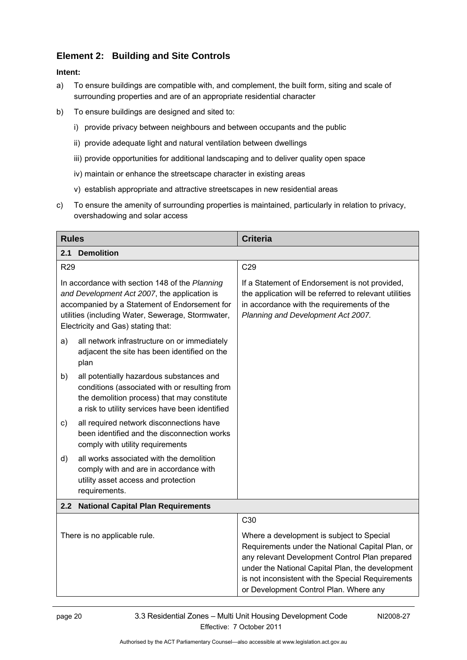# <span id="page-25-0"></span>**Element 2: Building and Site Controls**

- <span id="page-25-1"></span>a) To ensure buildings are compatible with, and complement, the built form, siting and scale of surrounding properties and are of an appropriate residential character
- b) To ensure buildings are designed and sited to:
	- i) provide privacy between neighbours and between occupants and the public
	- ii) provide adequate light and natural ventilation between dwellings
	- iii) provide opportunities for additional landscaping and to deliver quality open space
	- iv) maintain or enhance the streetscape character in existing areas
	- v) establish appropriate and attractive streetscapes in new residential areas
- c) To ensure the amenity of surrounding properties is maintained, particularly in relation to privacy, overshadowing and solar access

<span id="page-25-2"></span>

| <b>Rules</b>                                                                                                                                                                                                                               | <b>Criteria</b>                                                                                                                                                                                                                                                                                    |  |  |
|--------------------------------------------------------------------------------------------------------------------------------------------------------------------------------------------------------------------------------------------|----------------------------------------------------------------------------------------------------------------------------------------------------------------------------------------------------------------------------------------------------------------------------------------------------|--|--|
| 2.1<br><b>Demolition</b>                                                                                                                                                                                                                   |                                                                                                                                                                                                                                                                                                    |  |  |
| R29                                                                                                                                                                                                                                        | C29                                                                                                                                                                                                                                                                                                |  |  |
| In accordance with section 148 of the Planning<br>and Development Act 2007, the application is<br>accompanied by a Statement of Endorsement for<br>utilities (including Water, Sewerage, Stormwater,<br>Electricity and Gas) stating that: | If a Statement of Endorsement is not provided,<br>the application will be referred to relevant utilities<br>in accordance with the requirements of the<br>Planning and Development Act 2007.                                                                                                       |  |  |
| all network infrastructure on or immediately<br>a)<br>adjacent the site has been identified on the<br>plan                                                                                                                                 |                                                                                                                                                                                                                                                                                                    |  |  |
| all potentially hazardous substances and<br>b)<br>conditions (associated with or resulting from<br>the demolition process) that may constitute<br>a risk to utility services have been identified                                          |                                                                                                                                                                                                                                                                                                    |  |  |
| all required network disconnections have<br>c)<br>been identified and the disconnection works<br>comply with utility requirements                                                                                                          |                                                                                                                                                                                                                                                                                                    |  |  |
| all works associated with the demolition<br>d)<br>comply with and are in accordance with<br>utility asset access and protection<br>requirements.                                                                                           |                                                                                                                                                                                                                                                                                                    |  |  |
| 2.2<br><b>National Capital Plan Requirements</b>                                                                                                                                                                                           |                                                                                                                                                                                                                                                                                                    |  |  |
|                                                                                                                                                                                                                                            | C <sub>30</sub>                                                                                                                                                                                                                                                                                    |  |  |
| There is no applicable rule.                                                                                                                                                                                                               | Where a development is subject to Special<br>Requirements under the National Capital Plan, or<br>any relevant Development Control Plan prepared<br>under the National Capital Plan, the development<br>is not inconsistent with the Special Requirements<br>or Development Control Plan. Where any |  |  |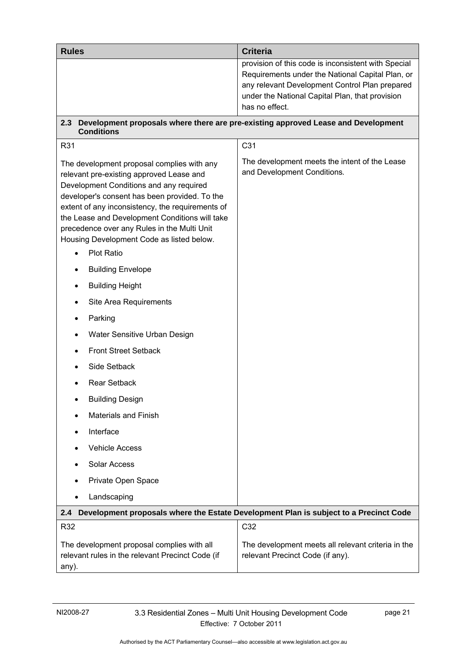| <b>Rules</b>                                                                                                                                                                                                                                                                                                                                                                         | <b>Criteria</b>                                                                                                                                                                                              |
|--------------------------------------------------------------------------------------------------------------------------------------------------------------------------------------------------------------------------------------------------------------------------------------------------------------------------------------------------------------------------------------|--------------------------------------------------------------------------------------------------------------------------------------------------------------------------------------------------------------|
|                                                                                                                                                                                                                                                                                                                                                                                      | provision of this code is inconsistent with Special<br>Requirements under the National Capital Plan, or<br>any relevant Development Control Plan prepared<br>under the National Capital Plan, that provision |
|                                                                                                                                                                                                                                                                                                                                                                                      | has no effect.                                                                                                                                                                                               |
| 2.3<br><b>Conditions</b>                                                                                                                                                                                                                                                                                                                                                             | Development proposals where there are pre-existing approved Lease and Development                                                                                                                            |
| R31                                                                                                                                                                                                                                                                                                                                                                                  | C <sub>31</sub>                                                                                                                                                                                              |
| The development proposal complies with any<br>relevant pre-existing approved Lease and<br>Development Conditions and any required<br>developer's consent has been provided. To the<br>extent of any inconsistency, the requirements of<br>the Lease and Development Conditions will take<br>precedence over any Rules in the Multi Unit<br>Housing Development Code as listed below. | The development meets the intent of the Lease<br>and Development Conditions.                                                                                                                                 |
| <b>Plot Ratio</b>                                                                                                                                                                                                                                                                                                                                                                    |                                                                                                                                                                                                              |
| <b>Building Envelope</b>                                                                                                                                                                                                                                                                                                                                                             |                                                                                                                                                                                                              |
| <b>Building Height</b>                                                                                                                                                                                                                                                                                                                                                               |                                                                                                                                                                                                              |
| Site Area Requirements                                                                                                                                                                                                                                                                                                                                                               |                                                                                                                                                                                                              |
| Parking                                                                                                                                                                                                                                                                                                                                                                              |                                                                                                                                                                                                              |
| Water Sensitive Urban Design                                                                                                                                                                                                                                                                                                                                                         |                                                                                                                                                                                                              |
| <b>Front Street Setback</b>                                                                                                                                                                                                                                                                                                                                                          |                                                                                                                                                                                                              |
| Side Setback                                                                                                                                                                                                                                                                                                                                                                         |                                                                                                                                                                                                              |
| <b>Rear Setback</b>                                                                                                                                                                                                                                                                                                                                                                  |                                                                                                                                                                                                              |
| <b>Building Design</b>                                                                                                                                                                                                                                                                                                                                                               |                                                                                                                                                                                                              |
| <b>Materials and Finish</b>                                                                                                                                                                                                                                                                                                                                                          |                                                                                                                                                                                                              |
| Interface                                                                                                                                                                                                                                                                                                                                                                            |                                                                                                                                                                                                              |
| <b>Vehicle Access</b>                                                                                                                                                                                                                                                                                                                                                                |                                                                                                                                                                                                              |
| Solar Access                                                                                                                                                                                                                                                                                                                                                                         |                                                                                                                                                                                                              |
| Private Open Space                                                                                                                                                                                                                                                                                                                                                                   |                                                                                                                                                                                                              |
| Landscaping<br>$\bullet$                                                                                                                                                                                                                                                                                                                                                             |                                                                                                                                                                                                              |
| 2.4                                                                                                                                                                                                                                                                                                                                                                                  | Development proposals where the Estate Development Plan is subject to a Precinct Code                                                                                                                        |
| R32                                                                                                                                                                                                                                                                                                                                                                                  | C32                                                                                                                                                                                                          |
| The development proposal complies with all<br>relevant rules in the relevant Precinct Code (if<br>any).                                                                                                                                                                                                                                                                              | The development meets all relevant criteria in the<br>relevant Precinct Code (if any).                                                                                                                       |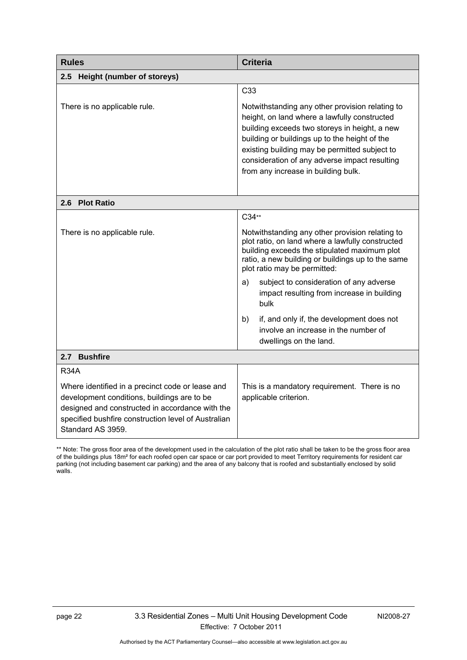| <b>Rules</b><br><b>Criteria</b>                                                                                                                                                                                                |                                                                                                                                                                                                                                                                                                                                            |
|--------------------------------------------------------------------------------------------------------------------------------------------------------------------------------------------------------------------------------|--------------------------------------------------------------------------------------------------------------------------------------------------------------------------------------------------------------------------------------------------------------------------------------------------------------------------------------------|
| 2.5<br>Height (number of storeys)                                                                                                                                                                                              |                                                                                                                                                                                                                                                                                                                                            |
|                                                                                                                                                                                                                                | C <sub>33</sub>                                                                                                                                                                                                                                                                                                                            |
| There is no applicable rule.                                                                                                                                                                                                   | Notwithstanding any other provision relating to<br>height, on land where a lawfully constructed<br>building exceeds two storeys in height, a new<br>building or buildings up to the height of the<br>existing building may be permitted subject to<br>consideration of any adverse impact resulting<br>from any increase in building bulk. |
| 2.6 Plot Ratio                                                                                                                                                                                                                 |                                                                                                                                                                                                                                                                                                                                            |
|                                                                                                                                                                                                                                | C34**                                                                                                                                                                                                                                                                                                                                      |
| There is no applicable rule.                                                                                                                                                                                                   | Notwithstanding any other provision relating to<br>plot ratio, on land where a lawfully constructed<br>building exceeds the stipulated maximum plot<br>ratio, a new building or buildings up to the same<br>plot ratio may be permitted:                                                                                                   |
|                                                                                                                                                                                                                                | subject to consideration of any adverse<br>a)<br>impact resulting from increase in building<br>bulk                                                                                                                                                                                                                                        |
|                                                                                                                                                                                                                                | if, and only if, the development does not<br>b)<br>involve an increase in the number of<br>dwellings on the land.                                                                                                                                                                                                                          |
| 2.7 Bushfire                                                                                                                                                                                                                   |                                                                                                                                                                                                                                                                                                                                            |
| <b>R34A</b>                                                                                                                                                                                                                    |                                                                                                                                                                                                                                                                                                                                            |
| Where identified in a precinct code or lease and<br>development conditions, buildings are to be<br>designed and constructed in accordance with the<br>specified bushfire construction level of Australian<br>Standard AS 3959. | This is a mandatory requirement. There is no<br>applicable criterion.                                                                                                                                                                                                                                                                      |

\*\* Note: The gross floor area of the development used in the calculation of the plot ratio shall be taken to be the gross floor area of the buildings plus 18m² for each roofed open car space or car port provided to meet Territory requirements for resident car parking (not including basement car parking) and the area of any balcony that is roofed and substantially enclosed by solid walls.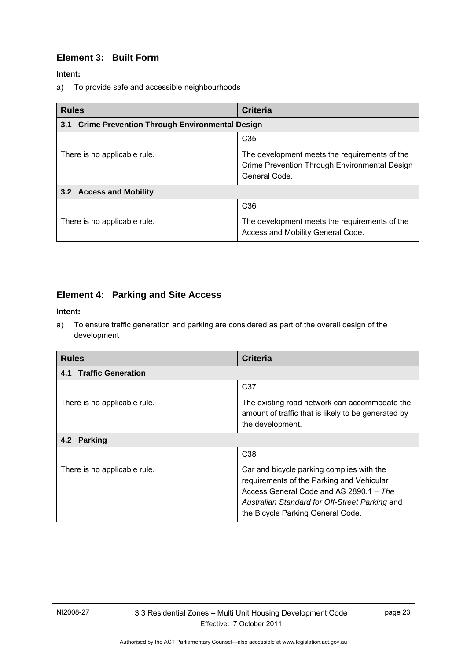# <span id="page-28-0"></span>**Element 3: Built Form**

**Intent:** 

a) To provide safe and accessible neighbourhoods

<span id="page-28-2"></span><span id="page-28-1"></span>

| <b>Rules</b>                                                | <b>Criteria</b>                                                                                                 |  |
|-------------------------------------------------------------|-----------------------------------------------------------------------------------------------------------------|--|
| <b>Crime Prevention Through Environmental Design</b><br>3.1 |                                                                                                                 |  |
|                                                             | C <sub>35</sub>                                                                                                 |  |
| There is no applicable rule.                                | The development meets the requirements of the<br>Crime Prevention Through Environmental Design<br>General Code. |  |
| 3.2 Access and Mobility                                     |                                                                                                                 |  |
|                                                             | C <sub>36</sub>                                                                                                 |  |
| There is no applicable rule.                                | The development meets the requirements of the<br>Access and Mobility General Code.                              |  |

# **Element 4: Parking and Site Access**

#### **Intent:**

a) To ensure traffic generation and parking are considered as part of the overall design of the development

| <b>Rules</b>                     | <b>Criteria</b>                                                                                                                                                                                                          |  |
|----------------------------------|--------------------------------------------------------------------------------------------------------------------------------------------------------------------------------------------------------------------------|--|
| <b>Traffic Generation</b><br>4.1 |                                                                                                                                                                                                                          |  |
|                                  | C <sub>37</sub>                                                                                                                                                                                                          |  |
| There is no applicable rule.     | The existing road network can accommodate the<br>amount of traffic that is likely to be generated by<br>the development.                                                                                                 |  |
| 4.2 Parking                      |                                                                                                                                                                                                                          |  |
|                                  | C <sub>38</sub>                                                                                                                                                                                                          |  |
| There is no applicable rule.     | Car and bicycle parking complies with the<br>requirements of the Parking and Vehicular<br>Access General Code and AS 2890.1 - The<br>Australian Standard for Off-Street Parking and<br>the Bicycle Parking General Code. |  |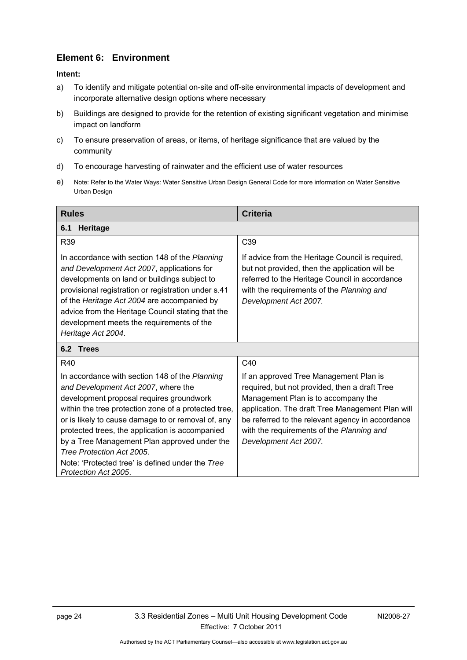# <span id="page-29-0"></span>**Element 6: Environment**

#### **Intent:**

- a) To identify and mitigate potential on-site and off-site environmental impacts of development and incorporate alternative design options where necessary
- b) Buildings are designed to provide for the retention of existing significant vegetation and minimise impact on landform
- c) To ensure preservation of areas, or items, of heritage significance that are valued by the community
- d) To encourage harvesting of rainwater and the efficient use of water resources
- e) Note: Refer to the Water Ways: Water Sensitive Urban Design General Code for more information on Water Sensitive Urban Design

<span id="page-29-1"></span>

| <b>Rules</b>                                                                                                                                                                                                                                                                                                                                                                                                                                                | <b>Criteria</b>                                                                                                                                                                                                                                                                                              |  |
|-------------------------------------------------------------------------------------------------------------------------------------------------------------------------------------------------------------------------------------------------------------------------------------------------------------------------------------------------------------------------------------------------------------------------------------------------------------|--------------------------------------------------------------------------------------------------------------------------------------------------------------------------------------------------------------------------------------------------------------------------------------------------------------|--|
| 6.1<br><b>Heritage</b>                                                                                                                                                                                                                                                                                                                                                                                                                                      |                                                                                                                                                                                                                                                                                                              |  |
| R39                                                                                                                                                                                                                                                                                                                                                                                                                                                         | C <sub>39</sub>                                                                                                                                                                                                                                                                                              |  |
| In accordance with section 148 of the Planning<br>and Development Act 2007, applications for<br>developments on land or buildings subject to<br>provisional registration or registration under s.41<br>of the Heritage Act 2004 are accompanied by<br>advice from the Heritage Council stating that the<br>development meets the requirements of the<br>Heritage Act 2004.                                                                                  | If advice from the Heritage Council is required,<br>but not provided, then the application will be<br>referred to the Heritage Council in accordance<br>with the requirements of the Planning and<br>Development Act 2007.                                                                                   |  |
| 6.2 Trees                                                                                                                                                                                                                                                                                                                                                                                                                                                   |                                                                                                                                                                                                                                                                                                              |  |
| R40                                                                                                                                                                                                                                                                                                                                                                                                                                                         | C40                                                                                                                                                                                                                                                                                                          |  |
| In accordance with section 148 of the Planning<br>and Development Act 2007, where the<br>development proposal requires groundwork<br>within the tree protection zone of a protected tree,<br>or is likely to cause damage to or removal of, any<br>protected trees, the application is accompanied<br>by a Tree Management Plan approved under the<br>Tree Protection Act 2005.<br>Note: 'Protected tree' is defined under the Tree<br>Protection Act 2005. | If an approved Tree Management Plan is<br>required, but not provided, then a draft Tree<br>Management Plan is to accompany the<br>application. The draft Tree Management Plan will<br>be referred to the relevant agency in accordance<br>with the requirements of the Planning and<br>Development Act 2007. |  |

<span id="page-29-2"></span>Authorised by the ACT Parliamentary Counsel—also accessible at www.legislation.act.gov.au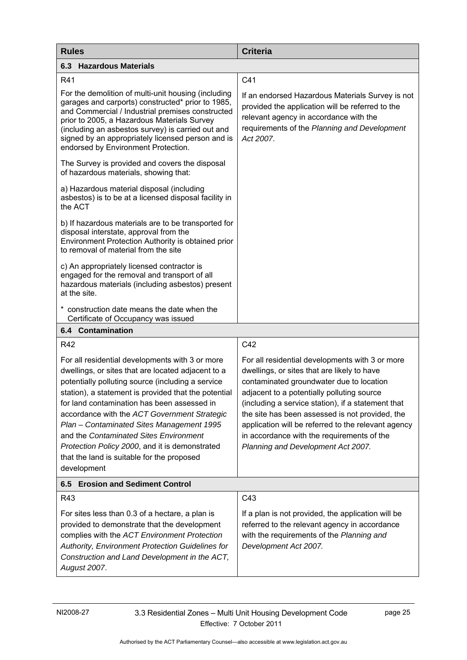<span id="page-30-1"></span><span id="page-30-0"></span>

| <b>Rules</b>                                                                                                                                                                                                                                                                                                                                                                                                                                                                                                            | <b>Criteria</b>                                                                                                                                                                                                                                                                                                                                                                                                                              |  |
|-------------------------------------------------------------------------------------------------------------------------------------------------------------------------------------------------------------------------------------------------------------------------------------------------------------------------------------------------------------------------------------------------------------------------------------------------------------------------------------------------------------------------|----------------------------------------------------------------------------------------------------------------------------------------------------------------------------------------------------------------------------------------------------------------------------------------------------------------------------------------------------------------------------------------------------------------------------------------------|--|
| <b>6.3 Hazardous Materials</b>                                                                                                                                                                                                                                                                                                                                                                                                                                                                                          |                                                                                                                                                                                                                                                                                                                                                                                                                                              |  |
| R41                                                                                                                                                                                                                                                                                                                                                                                                                                                                                                                     | C41                                                                                                                                                                                                                                                                                                                                                                                                                                          |  |
| For the demolition of multi-unit housing (including<br>garages and carports) constructed* prior to 1985,<br>and Commercial / Industrial premises constructed<br>prior to 2005, a Hazardous Materials Survey<br>(including an asbestos survey) is carried out and<br>signed by an appropriately licensed person and is<br>endorsed by Environment Protection.                                                                                                                                                            | If an endorsed Hazardous Materials Survey is not<br>provided the application will be referred to the<br>relevant agency in accordance with the<br>requirements of the Planning and Development<br>Act 2007.                                                                                                                                                                                                                                  |  |
| The Survey is provided and covers the disposal<br>of hazardous materials, showing that:                                                                                                                                                                                                                                                                                                                                                                                                                                 |                                                                                                                                                                                                                                                                                                                                                                                                                                              |  |
| a) Hazardous material disposal (including<br>asbestos) is to be at a licensed disposal facility in<br>the ACT                                                                                                                                                                                                                                                                                                                                                                                                           |                                                                                                                                                                                                                                                                                                                                                                                                                                              |  |
| b) If hazardous materials are to be transported for<br>disposal interstate, approval from the<br>Environment Protection Authority is obtained prior<br>to removal of material from the site                                                                                                                                                                                                                                                                                                                             |                                                                                                                                                                                                                                                                                                                                                                                                                                              |  |
| c) An appropriately licensed contractor is<br>engaged for the removal and transport of all<br>hazardous materials (including asbestos) present<br>at the site.                                                                                                                                                                                                                                                                                                                                                          |                                                                                                                                                                                                                                                                                                                                                                                                                                              |  |
| * construction date means the date when the<br>Certificate of Occupancy was issued                                                                                                                                                                                                                                                                                                                                                                                                                                      |                                                                                                                                                                                                                                                                                                                                                                                                                                              |  |
| <b>6.4 Contamination</b>                                                                                                                                                                                                                                                                                                                                                                                                                                                                                                |                                                                                                                                                                                                                                                                                                                                                                                                                                              |  |
| R42                                                                                                                                                                                                                                                                                                                                                                                                                                                                                                                     | C42                                                                                                                                                                                                                                                                                                                                                                                                                                          |  |
| For all residential developments with 3 or more<br>dwellings, or sites that are located adjacent to a<br>potentially polluting source (including a service<br>station), a statement is provided that the potential<br>for land contamination has been assessed in<br>accordance with the ACT Government Strategic<br>Plan - Contaminated Sites Management 1995<br>and the Contaminated Sites Environment<br>Protection Policy 2000, and it is demonstrated<br>that the land is suitable for the proposed<br>development | For all residential developments with 3 or more<br>dwellings, or sites that are likely to have<br>contaminated groundwater due to location<br>adjacent to a potentially polluting source<br>(including a service station), if a statement that<br>the site has been assessed is not provided, the<br>application will be referred to the relevant agency<br>in accordance with the requirements of the<br>Planning and Development Act 2007. |  |
| 6.5 Erosion and Sediment Control                                                                                                                                                                                                                                                                                                                                                                                                                                                                                        |                                                                                                                                                                                                                                                                                                                                                                                                                                              |  |
| R43                                                                                                                                                                                                                                                                                                                                                                                                                                                                                                                     | C43                                                                                                                                                                                                                                                                                                                                                                                                                                          |  |
| For sites less than 0.3 of a hectare, a plan is<br>provided to demonstrate that the development<br>complies with the ACT Environment Protection<br>Authority, Environment Protection Guidelines for<br>Construction and Land Development in the ACT,<br>August 2007.                                                                                                                                                                                                                                                    | If a plan is not provided, the application will be<br>referred to the relevant agency in accordance<br>with the requirements of the Planning and<br>Development Act 2007.                                                                                                                                                                                                                                                                    |  |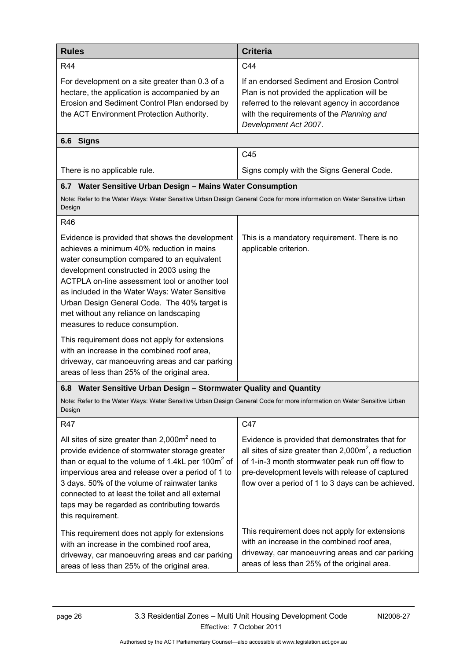| <b>Rules</b>                                                                                                                                                                                                                                                                                                                                                                                                               | <b>Criteria</b>                                                                                                                                                                                                                                                        |  |
|----------------------------------------------------------------------------------------------------------------------------------------------------------------------------------------------------------------------------------------------------------------------------------------------------------------------------------------------------------------------------------------------------------------------------|------------------------------------------------------------------------------------------------------------------------------------------------------------------------------------------------------------------------------------------------------------------------|--|
| R44                                                                                                                                                                                                                                                                                                                                                                                                                        | C44                                                                                                                                                                                                                                                                    |  |
| For development on a site greater than 0.3 of a<br>hectare, the application is accompanied by an<br>Erosion and Sediment Control Plan endorsed by<br>the ACT Environment Protection Authority.                                                                                                                                                                                                                             | If an endorsed Sediment and Erosion Control<br>Plan is not provided the application will be<br>referred to the relevant agency in accordance<br>with the requirements of the Planning and<br>Development Act 2007.                                                     |  |
| 6.6 Signs                                                                                                                                                                                                                                                                                                                                                                                                                  |                                                                                                                                                                                                                                                                        |  |
|                                                                                                                                                                                                                                                                                                                                                                                                                            | C45                                                                                                                                                                                                                                                                    |  |
| There is no applicable rule.                                                                                                                                                                                                                                                                                                                                                                                               | Signs comply with the Signs General Code.                                                                                                                                                                                                                              |  |
| 6.7 Water Sensitive Urban Design - Mains Water Consumption<br>Note: Refer to the Water Ways: Water Sensitive Urban Design General Code for more information on Water Sensitive Urban<br>Design                                                                                                                                                                                                                             |                                                                                                                                                                                                                                                                        |  |
| <b>R46</b>                                                                                                                                                                                                                                                                                                                                                                                                                 |                                                                                                                                                                                                                                                                        |  |
| Evidence is provided that shows the development<br>achieves a minimum 40% reduction in mains<br>water consumption compared to an equivalent<br>development constructed in 2003 using the<br>ACTPLA on-line assessment tool or another tool<br>as included in the Water Ways: Water Sensitive<br>Urban Design General Code. The 40% target is<br>met without any reliance on landscaping<br>measures to reduce consumption. | This is a mandatory requirement. There is no<br>applicable criterion.                                                                                                                                                                                                  |  |
| This requirement does not apply for extensions<br>with an increase in the combined roof area,<br>driveway, car manoeuvring areas and car parking<br>areas of less than 25% of the original area.                                                                                                                                                                                                                           |                                                                                                                                                                                                                                                                        |  |
| 6.8 Water Sensitive Urban Design - Stormwater Quality and Quantity                                                                                                                                                                                                                                                                                                                                                         |                                                                                                                                                                                                                                                                        |  |
| Note: Refer to the Water Ways: Water Sensitive Urban Design General Code for more information on Water Sensitive Urban<br>Design                                                                                                                                                                                                                                                                                           |                                                                                                                                                                                                                                                                        |  |
| <b>R47</b>                                                                                                                                                                                                                                                                                                                                                                                                                 | C47                                                                                                                                                                                                                                                                    |  |
| All sites of size greater than $2,000m^2$ need to<br>provide evidence of stormwater storage greater<br>than or equal to the volume of 1.4kL per 100 $m2$ of<br>impervious area and release over a period of 1 to<br>3 days. 50% of the volume of rainwater tanks<br>connected to at least the toilet and all external<br>taps may be regarded as contributing towards<br>this requirement.                                 | Evidence is provided that demonstrates that for<br>all sites of size greater than $2,000m^2$ , a reduction<br>of 1-in-3 month stormwater peak run off flow to<br>pre-development levels with release of captured<br>flow over a period of 1 to 3 days can be achieved. |  |
| This requirement does not apply for extensions<br>with an increase in the combined roof area,<br>driveway, car manoeuvring areas and car parking<br>areas of less than 25% of the original area.                                                                                                                                                                                                                           | This requirement does not apply for extensions<br>with an increase in the combined roof area,<br>driveway, car manoeuvring areas and car parking<br>areas of less than 25% of the original area.                                                                       |  |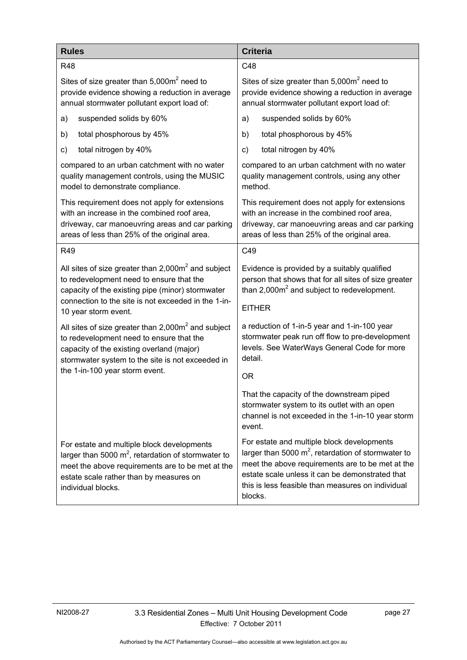<span id="page-32-2"></span><span id="page-32-1"></span><span id="page-32-0"></span>

| <b>Rules</b>                                                                                                                                                                                                                         | <b>Criteria</b>                                                                                                                                                                                                                                                            |
|--------------------------------------------------------------------------------------------------------------------------------------------------------------------------------------------------------------------------------------|----------------------------------------------------------------------------------------------------------------------------------------------------------------------------------------------------------------------------------------------------------------------------|
| <b>R48</b>                                                                                                                                                                                                                           | C48                                                                                                                                                                                                                                                                        |
| Sites of size greater than $5,000m^2$ need to                                                                                                                                                                                        | Sites of size greater than $5,000m^2$ need to                                                                                                                                                                                                                              |
| provide evidence showing a reduction in average                                                                                                                                                                                      | provide evidence showing a reduction in average                                                                                                                                                                                                                            |
| annual stormwater pollutant export load of:                                                                                                                                                                                          | annual stormwater pollutant export load of:                                                                                                                                                                                                                                |
| suspended solids by 60%                                                                                                                                                                                                              | suspended solids by 60%                                                                                                                                                                                                                                                    |
| a)                                                                                                                                                                                                                                   | a)                                                                                                                                                                                                                                                                         |
| total phosphorous by 45%                                                                                                                                                                                                             | total phosphorous by 45%                                                                                                                                                                                                                                                   |
| b)                                                                                                                                                                                                                                   | b)                                                                                                                                                                                                                                                                         |
| total nitrogen by 40%                                                                                                                                                                                                                | total nitrogen by 40%                                                                                                                                                                                                                                                      |
| C)                                                                                                                                                                                                                                   | C)                                                                                                                                                                                                                                                                         |
| compared to an urban catchment with no water                                                                                                                                                                                         | compared to an urban catchment with no water                                                                                                                                                                                                                               |
| quality management controls, using the MUSIC                                                                                                                                                                                         | quality management controls, using any other                                                                                                                                                                                                                               |
| model to demonstrate compliance.                                                                                                                                                                                                     | method.                                                                                                                                                                                                                                                                    |
| This requirement does not apply for extensions                                                                                                                                                                                       | This requirement does not apply for extensions                                                                                                                                                                                                                             |
| with an increase in the combined roof area,                                                                                                                                                                                          | with an increase in the combined roof area,                                                                                                                                                                                                                                |
| driveway, car manoeuvring areas and car parking                                                                                                                                                                                      | driveway, car manoeuvring areas and car parking                                                                                                                                                                                                                            |
| areas of less than 25% of the original area.                                                                                                                                                                                         | areas of less than 25% of the original area.                                                                                                                                                                                                                               |
| R49                                                                                                                                                                                                                                  | C49                                                                                                                                                                                                                                                                        |
| All sites of size greater than $2,000m^2$ and subject<br>to redevelopment need to ensure that the<br>capacity of the existing pipe (minor) stormwater<br>connection to the site is not exceeded in the 1-in-<br>10 year storm event. | Evidence is provided by a suitably qualified<br>person that shows that for all sites of size greater<br>than $2,000m^2$ and subject to redevelopment.<br><b>EITHER</b>                                                                                                     |
| All sites of size greater than $2,000m^2$ and subject                                                                                                                                                                                | a reduction of 1-in-5 year and 1-in-100 year                                                                                                                                                                                                                               |
| to redevelopment need to ensure that the                                                                                                                                                                                             | stormwater peak run off flow to pre-development                                                                                                                                                                                                                            |
| capacity of the existing overland (major)                                                                                                                                                                                            | levels. See WaterWays General Code for more                                                                                                                                                                                                                                |
| stormwater system to the site is not exceeded in                                                                                                                                                                                     | detail.                                                                                                                                                                                                                                                                    |
| the 1-in-100 year storm event.                                                                                                                                                                                                       | 0R                                                                                                                                                                                                                                                                         |
|                                                                                                                                                                                                                                      | That the capacity of the downstream piped<br>stormwater system to its outlet with an open<br>channel is not exceeded in the 1-in-10 year storm<br>event.                                                                                                                   |
| For estate and multiple block developments<br>larger than 5000 $m^2$ , retardation of stormwater to<br>meet the above requirements are to be met at the<br>estate scale rather than by measures on<br>individual blocks.             | For estate and multiple block developments<br>larger than 5000 $m^2$ , retardation of stormwater to<br>meet the above requirements are to be met at the<br>estate scale unless it can be demonstrated that<br>this is less feasible than measures on individual<br>blocks. |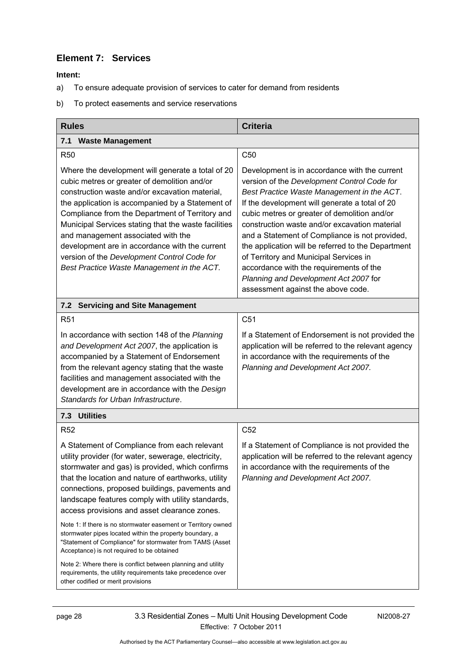### <span id="page-33-0"></span>**Element 7: Services**

- a) To ensure adequate provision of services to cater for demand from residents
- b) To protect easements and service reservations

<span id="page-33-5"></span><span id="page-33-4"></span><span id="page-33-3"></span><span id="page-33-2"></span><span id="page-33-1"></span>

| <b>Rules</b>                                                                                                                                                                                                                                                                                                                                                                                                                                                                                                                                                                                                                                                                 | <b>Criteria</b>                                                                                                                                                                                                                                                                                                                                                                                                                                                                                                                                                           |
|------------------------------------------------------------------------------------------------------------------------------------------------------------------------------------------------------------------------------------------------------------------------------------------------------------------------------------------------------------------------------------------------------------------------------------------------------------------------------------------------------------------------------------------------------------------------------------------------------------------------------------------------------------------------------|---------------------------------------------------------------------------------------------------------------------------------------------------------------------------------------------------------------------------------------------------------------------------------------------------------------------------------------------------------------------------------------------------------------------------------------------------------------------------------------------------------------------------------------------------------------------------|
| 7.1 Waste Management                                                                                                                                                                                                                                                                                                                                                                                                                                                                                                                                                                                                                                                         |                                                                                                                                                                                                                                                                                                                                                                                                                                                                                                                                                                           |
| <b>R50</b>                                                                                                                                                                                                                                                                                                                                                                                                                                                                                                                                                                                                                                                                   | C <sub>50</sub>                                                                                                                                                                                                                                                                                                                                                                                                                                                                                                                                                           |
| Where the development will generate a total of 20<br>cubic metres or greater of demolition and/or<br>construction waste and/or excavation material,<br>the application is accompanied by a Statement of<br>Compliance from the Department of Territory and<br>Municipal Services stating that the waste facilities<br>and management associated with the<br>development are in accordance with the current<br>version of the Development Control Code for<br>Best Practice Waste Management in the ACT.                                                                                                                                                                      | Development is in accordance with the current<br>version of the Development Control Code for<br>Best Practice Waste Management in the ACT.<br>If the development will generate a total of 20<br>cubic metres or greater of demolition and/or<br>construction waste and/or excavation material<br>and a Statement of Compliance is not provided,<br>the application will be referred to the Department<br>of Territory and Municipal Services in<br>accordance with the requirements of the<br>Planning and Development Act 2007 for<br>assessment against the above code. |
| <b>Servicing and Site Management</b><br>7.2                                                                                                                                                                                                                                                                                                                                                                                                                                                                                                                                                                                                                                  |                                                                                                                                                                                                                                                                                                                                                                                                                                                                                                                                                                           |
| R <sub>51</sub>                                                                                                                                                                                                                                                                                                                                                                                                                                                                                                                                                                                                                                                              | C <sub>51</sub>                                                                                                                                                                                                                                                                                                                                                                                                                                                                                                                                                           |
| In accordance with section 148 of the Planning<br>and Development Act 2007, the application is<br>accompanied by a Statement of Endorsement<br>from the relevant agency stating that the waste<br>facilities and management associated with the<br>development are in accordance with the Design<br>Standards for Urban Infrastructure.                                                                                                                                                                                                                                                                                                                                      | If a Statement of Endorsement is not provided the<br>application will be referred to the relevant agency<br>in accordance with the requirements of the<br>Planning and Development Act 2007.                                                                                                                                                                                                                                                                                                                                                                              |
| 7.3 Utilities                                                                                                                                                                                                                                                                                                                                                                                                                                                                                                                                                                                                                                                                |                                                                                                                                                                                                                                                                                                                                                                                                                                                                                                                                                                           |
| <b>R52</b>                                                                                                                                                                                                                                                                                                                                                                                                                                                                                                                                                                                                                                                                   | C <sub>52</sub>                                                                                                                                                                                                                                                                                                                                                                                                                                                                                                                                                           |
| A Statement of Compliance from each relevant<br>utility provider (for water, sewerage, electricity,<br>stormwater and gas) is provided, which confirms<br>that the location and nature of earthworks, utility<br>connections, proposed buildings, pavements and<br>landscape features comply with utility standards,<br>access provisions and asset clearance zones.<br>Note 1: If there is no stormwater easement or Territory owned<br>stormwater pipes located within the property boundary, a<br>"Statement of Compliance" for stormwater from TAMS (Asset<br>Acceptance) is not required to be obtained<br>Note 2: Where there is conflict between planning and utility | If a Statement of Compliance is not provided the<br>application will be referred to the relevant agency<br>in accordance with the requirements of the<br>Planning and Development Act 2007.                                                                                                                                                                                                                                                                                                                                                                               |
| requirements, the utility requirements take precedence over<br>other codified or merit provisions                                                                                                                                                                                                                                                                                                                                                                                                                                                                                                                                                                            |                                                                                                                                                                                                                                                                                                                                                                                                                                                                                                                                                                           |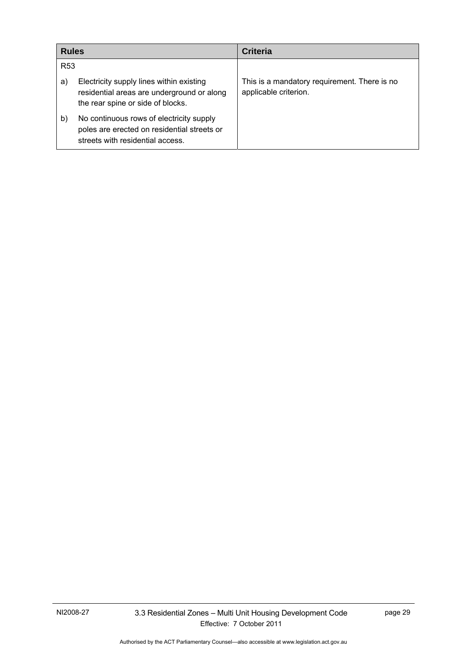| <b>Rules</b>    |                                                                                                                             | <b>Criteria</b>                                                       |
|-----------------|-----------------------------------------------------------------------------------------------------------------------------|-----------------------------------------------------------------------|
| R <sub>53</sub> |                                                                                                                             |                                                                       |
| a)              | Electricity supply lines within existing<br>residential areas are underground or along<br>the rear spine or side of blocks. | This is a mandatory requirement. There is no<br>applicable criterion. |
| b)              | No continuous rows of electricity supply<br>poles are erected on residential streets or<br>streets with residential access. |                                                                       |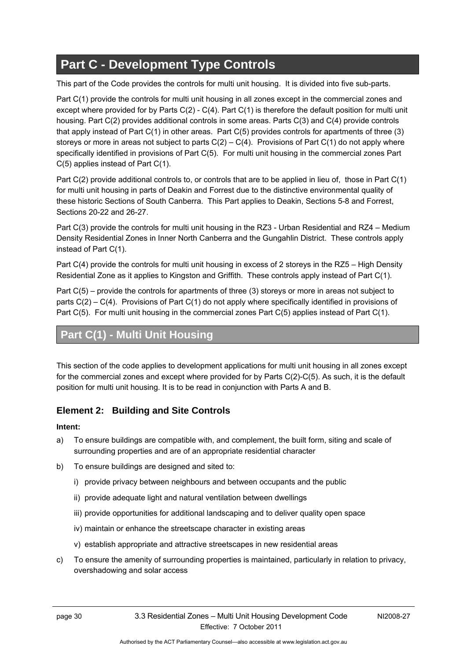# <span id="page-35-0"></span>**Part C - Development Type Controls**

This part of the Code provides the controls for multi unit housing. It is divided into five sub-parts.

Part C(1) provide the controls for multi unit housing in all zones except in the commercial zones and except where provided for by Parts C(2) - C(4). Part C(1) is therefore the default position for multi unit housing. Part C(2) provides additional controls in some areas. Parts C(3) and C(4) provide controls that apply instead of Part C(1) in other areas. Part C(5) provides controls for apartments of three (3) storeys or more in areas not subject to parts  $C(2) - C(4)$ . Provisions of Part  $C(1)$  do not apply where specifically identified in provisions of Part C(5). For multi unit housing in the commercial zones Part C(5) applies instead of Part C(1).

Part C(2) provide additional controls to, or controls that are to be applied in lieu of, those in Part C(1) for multi unit housing in parts of Deakin and Forrest due to the distinctive environmental quality of these historic Sections of South Canberra. This Part applies to Deakin, Sections 5-8 and Forrest, Sections 20-22 and 26-27.

<span id="page-35-1"></span>Part C(3) provide the controls for multi unit housing in the RZ3 - Urban Residential and RZ4 – Medium Density Residential Zones in Inner North Canberra and the Gungahlin District. These controls apply instead of Part C(1).

Part C(4) provide the controls for multi unit housing in excess of 2 storeys in the RZ5 – High Density Residential Zone as it applies to Kingston and Griffith. These controls apply instead of Part C(1).

Part C(5) – provide the controls for apartments of three (3) storeys or more in areas not subject to parts C(2) – C(4). Provisions of Part C(1) do not apply where specifically identified in provisions of Part C(5). For multi unit housing in the commercial zones Part C(5) applies instead of Part C(1).

# **Part C(1) - Multi Unit Housing**

<span id="page-35-2"></span>This section of the code applies to development applications for multi unit housing in all zones except for the commercial zones and except where provided for by Parts C(2)-C(5). As such, it is the default position for multi unit housing. It is to be read in conjunction with Parts A and B.

# **Element 2: Building and Site Controls**

- a) To ensure buildings are compatible with, and complement, the built form, siting and scale of surrounding properties and are of an appropriate residential character
- b) To ensure buildings are designed and sited to:
	- i) provide privacy between neighbours and between occupants and the public
	- ii) provide adequate light and natural ventilation between dwellings
	- iii) provide opportunities for additional landscaping and to deliver quality open space
	- iv) maintain or enhance the streetscape character in existing areas
	- v) establish appropriate and attractive streetscapes in new residential areas
- c) To ensure the amenity of surrounding properties is maintained, particularly in relation to privacy, overshadowing and solar access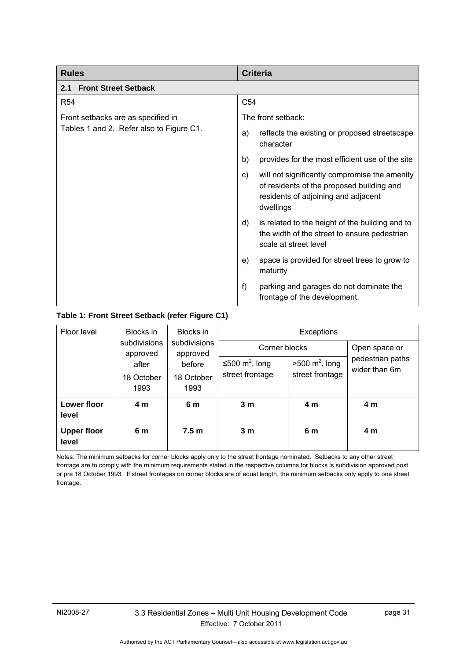| <b>Rules</b>                             | <b>Criteria</b>                                                                                                                                      |
|------------------------------------------|------------------------------------------------------------------------------------------------------------------------------------------------------|
| <b>Front Street Setback</b><br>2.1       |                                                                                                                                                      |
| <b>R54</b>                               | C <sub>54</sub>                                                                                                                                      |
| Front setbacks are as specified in       | The front setback:                                                                                                                                   |
| Tables 1 and 2. Refer also to Figure C1. | reflects the existing or proposed streetscape<br>a)<br>character                                                                                     |
|                                          | provides for the most efficient use of the site<br>b)                                                                                                |
|                                          | will not significantly compromise the amenity<br>C)<br>of residents of the proposed building and<br>residents of adjoining and adjacent<br>dwellings |
|                                          | is related to the height of the building and to<br>d)<br>the width of the street to ensure pedestrian<br>scale at street level                       |
|                                          | space is provided for street trees to grow to<br>e)<br>maturity                                                                                      |
|                                          | f)<br>parking and garages do not dominate the<br>frontage of the development.                                                                        |

## **Table 1: Front Street Setback (refer Figure C1)**

| Floor level                 | Blocks in                                | Blocks in                |                            | Exceptions                |                                   |
|-----------------------------|------------------------------------------|--------------------------|----------------------------|---------------------------|-----------------------------------|
|                             | subdivisions<br>approved                 | subdivisions<br>approved | Corner blocks              |                           | Open space or                     |
|                             | after                                    | before                   | ≤500 m <sup>2</sup> , long | $>500 \text{ m}^2$ , long | pedestrian paths<br>wider than 6m |
|                             | 18 October<br>18 October<br>1993<br>1993 | street frontage          | street frontage            |                           |                                   |
| Lower floor<br>level        | 4 m                                      | 6 m                      | 3 <sub>m</sub>             | 4 m                       | 4 <sub>m</sub>                    |
| <b>Upper floor</b><br>level | 6 m                                      | 7.5 <sub>m</sub>         | 3 <sub>m</sub>             | 6 m                       | 4 m                               |

Notes: The minimum setbacks for corner blocks apply only to the street frontage nominated. Setbacks to any other street frontage are to comply with the minimum requirements stated in the respective columns for blocks is subdivision approved post or pre 18 October 1993. If street frontages on corner blocks are of equal length, the minimum setbacks only apply to one street frontage.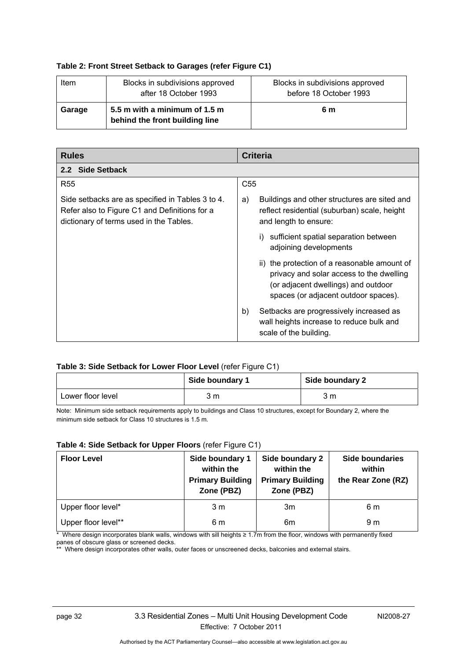#### **Table 2: Front Street Setback to Garages (refer Figure C1)**

| Item   | Blocks in subdivisions approved<br>after 18 October 1993        | Blocks in subdivisions approved<br>before 18 October 1993 |
|--------|-----------------------------------------------------------------|-----------------------------------------------------------|
| Garage | 5.5 m with a minimum of 1.5 m<br>behind the front building line | 6 m                                                       |

| <b>Rules</b>                                                                                                                                 | <b>Criteria</b>                                                                                                                                                         |
|----------------------------------------------------------------------------------------------------------------------------------------------|-------------------------------------------------------------------------------------------------------------------------------------------------------------------------|
| 2.2 Side Setback                                                                                                                             |                                                                                                                                                                         |
| <b>R55</b>                                                                                                                                   | C <sub>55</sub>                                                                                                                                                         |
| Side setbacks are as specified in Tables 3 to 4.<br>Refer also to Figure C1 and Definitions for a<br>dictionary of terms used in the Tables. | Buildings and other structures are sited and<br>a)<br>reflect residential (suburban) scale, height<br>and length to ensure:                                             |
|                                                                                                                                              | sufficient spatial separation between<br>adjoining developments                                                                                                         |
|                                                                                                                                              | ii) the protection of a reasonable amount of<br>privacy and solar access to the dwelling<br>(or adjacent dwellings) and outdoor<br>spaces (or adjacent outdoor spaces). |
|                                                                                                                                              | b)<br>Setbacks are progressively increased as<br>wall heights increase to reduce bulk and<br>scale of the building.                                                     |

#### **Table 3: Side Setback for Lower Floor Level** (refer Figure C1)

|                   | Side boundary 1 | Side boundary 2 |
|-------------------|-----------------|-----------------|
| Lower floor level | 3 m             | 3 m             |

Note: Minimum side setback requirements apply to buildings and Class 10 structures, except for Boundary 2, where the minimum side setback for Class 10 structures is 1.5 m.

#### **Table 4: Side Setback for Upper Floors** (refer Figure C1)

| <b>Floor Level</b>  | Side boundary 1<br>within the<br><b>Primary Building</b><br>Zone (PBZ) | Side boundary 2<br>within the<br><b>Primary Building</b><br>Zone (PBZ) | <b>Side boundaries</b><br>within<br>the Rear Zone (RZ) |
|---------------------|------------------------------------------------------------------------|------------------------------------------------------------------------|--------------------------------------------------------|
| Upper floor level*  | 3 <sub>m</sub>                                                         | 3m                                                                     | 6 m                                                    |
| Upper floor level** | 6 m                                                                    | 6m                                                                     | 9 m                                                    |

\* Where design incorporates blank walls, windows with sill heights ≥ 1.7m from the floor, windows with permanently fixed panes of obscure glass or screened decks.

\*\* Where design incorporates other walls, outer faces or unscreened decks, balconies and external stairs.

Authorised by the ACT Parliamentary Counsel—also accessible at www.legislation.act.gov.au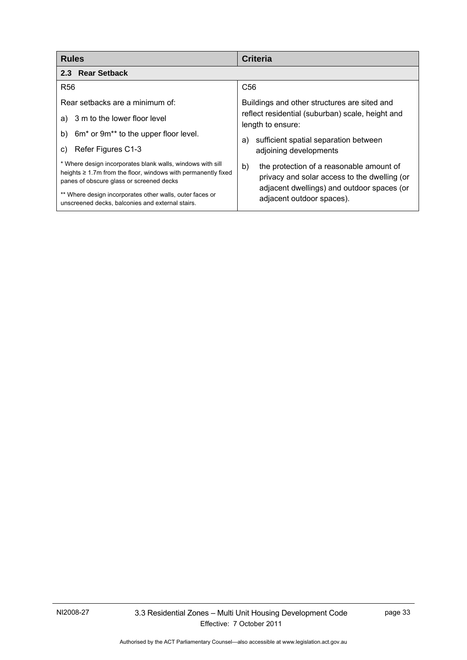| <b>Rules</b>                                                                                                                                                                  | <b>Criteria</b>                                                                                                                              |
|-------------------------------------------------------------------------------------------------------------------------------------------------------------------------------|----------------------------------------------------------------------------------------------------------------------------------------------|
| 2.3 Rear Setback                                                                                                                                                              |                                                                                                                                              |
| <b>R56</b>                                                                                                                                                                    | C <sub>56</sub>                                                                                                                              |
| Rear setbacks are a minimum of:                                                                                                                                               | Buildings and other structures are sited and                                                                                                 |
| a) 3 m to the lower floor level                                                                                                                                               | reflect residential (suburban) scale, height and<br>length to ensure:                                                                        |
| 6m <sup>*</sup> or 9m <sup>**</sup> to the upper floor level.<br>b)                                                                                                           | sufficient spatial separation between<br>a)                                                                                                  |
| Refer Figures C1-3<br>C)                                                                                                                                                      | adjoining developments                                                                                                                       |
| * Where design incorporates blank walls, windows with sill<br>heights $\geq 1.7$ m from the floor, windows with permanently fixed<br>panes of obscure glass or screened decks | b)<br>the protection of a reasonable amount of<br>privacy and solar access to the dwelling (or<br>adjacent dwellings) and outdoor spaces (or |
| ** Where design incorporates other walls, outer faces or<br>unscreened decks, balconies and external stairs.                                                                  | adjacent outdoor spaces).                                                                                                                    |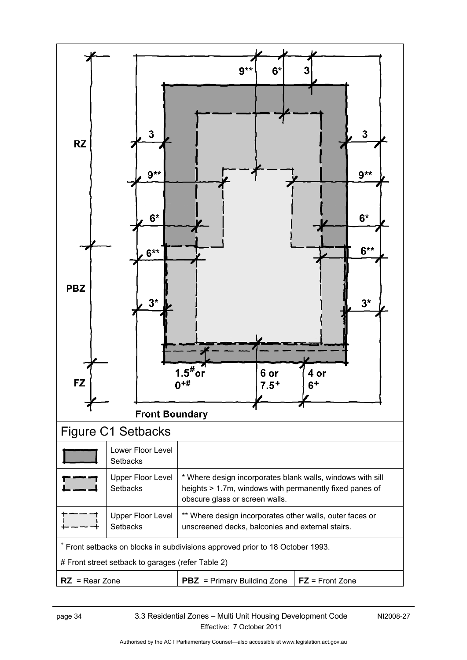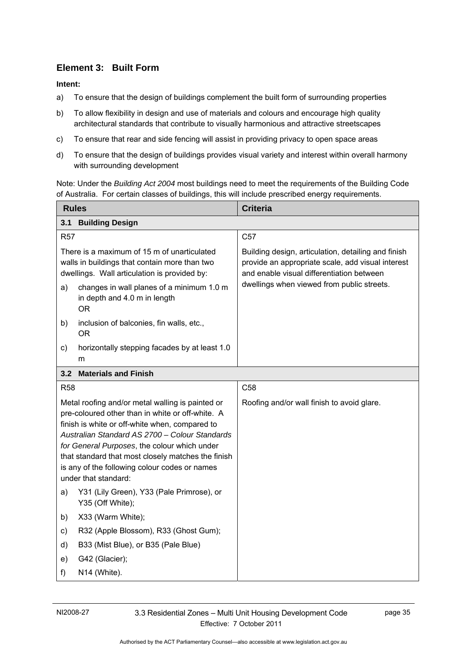# **Element 3: Built Form**

**Intent:** 

- a) To ensure that the design of buildings complement the built form of surrounding properties
- b) To allow flexibility in design and use of materials and colours and encourage high quality architectural standards that contribute to visually harmonious and attractive streetscapes
- c) To ensure that rear and side fencing will assist in providing privacy to open space areas
- d) To ensure that the design of buildings provides visual variety and interest within overall harmony with surrounding development

Note: Under the *Building Act 2004* most buildings need to meet the requirements of the Building Code of Australia. For certain classes of buildings, this will include prescribed energy requirements.

| <b>Rules</b>                                                                                                                                                                                                                                                                                                                                                                            |                                                                                        | <b>Criteria</b>                                                                                                                                       |  |
|-----------------------------------------------------------------------------------------------------------------------------------------------------------------------------------------------------------------------------------------------------------------------------------------------------------------------------------------------------------------------------------------|----------------------------------------------------------------------------------------|-------------------------------------------------------------------------------------------------------------------------------------------------------|--|
| 3.1                                                                                                                                                                                                                                                                                                                                                                                     | <b>Building Design</b>                                                                 |                                                                                                                                                       |  |
| <b>R57</b>                                                                                                                                                                                                                                                                                                                                                                              |                                                                                        | C <sub>57</sub>                                                                                                                                       |  |
| There is a maximum of 15 m of unarticulated<br>walls in buildings that contain more than two<br>dwellings. Wall articulation is provided by:                                                                                                                                                                                                                                            |                                                                                        | Building design, articulation, detailing and finish<br>provide an appropriate scale, add visual interest<br>and enable visual differentiation between |  |
| a)                                                                                                                                                                                                                                                                                                                                                                                      | changes in wall planes of a minimum 1.0 m<br>in depth and 4.0 m in length<br><b>OR</b> | dwellings when viewed from public streets.                                                                                                            |  |
| b)                                                                                                                                                                                                                                                                                                                                                                                      | inclusion of balconies, fin walls, etc.,<br><b>OR</b>                                  |                                                                                                                                                       |  |
| c)                                                                                                                                                                                                                                                                                                                                                                                      | horizontally stepping facades by at least 1.0<br>m                                     |                                                                                                                                                       |  |
| 3.2                                                                                                                                                                                                                                                                                                                                                                                     | <b>Materials and Finish</b>                                                            |                                                                                                                                                       |  |
| <b>R58</b>                                                                                                                                                                                                                                                                                                                                                                              |                                                                                        | C <sub>58</sub>                                                                                                                                       |  |
| Metal roofing and/or metal walling is painted or<br>pre-coloured other than in white or off-white. A<br>finish is white or off-white when, compared to<br>Australian Standard AS 2700 - Colour Standards<br>for General Purposes, the colour which under<br>that standard that most closely matches the finish<br>is any of the following colour codes or names<br>under that standard: |                                                                                        | Roofing and/or wall finish to avoid glare.                                                                                                            |  |
| a)                                                                                                                                                                                                                                                                                                                                                                                      | Y31 (Lily Green), Y33 (Pale Primrose), or<br>Y35 (Off White);                          |                                                                                                                                                       |  |
| b)                                                                                                                                                                                                                                                                                                                                                                                      | X33 (Warm White);                                                                      |                                                                                                                                                       |  |
| C)                                                                                                                                                                                                                                                                                                                                                                                      | R32 (Apple Blossom), R33 (Ghost Gum);                                                  |                                                                                                                                                       |  |
| d)                                                                                                                                                                                                                                                                                                                                                                                      | B33 (Mist Blue), or B35 (Pale Blue)                                                    |                                                                                                                                                       |  |
| e)                                                                                                                                                                                                                                                                                                                                                                                      | G42 (Glacier);                                                                         |                                                                                                                                                       |  |
| f)                                                                                                                                                                                                                                                                                                                                                                                      | N14 (White).                                                                           |                                                                                                                                                       |  |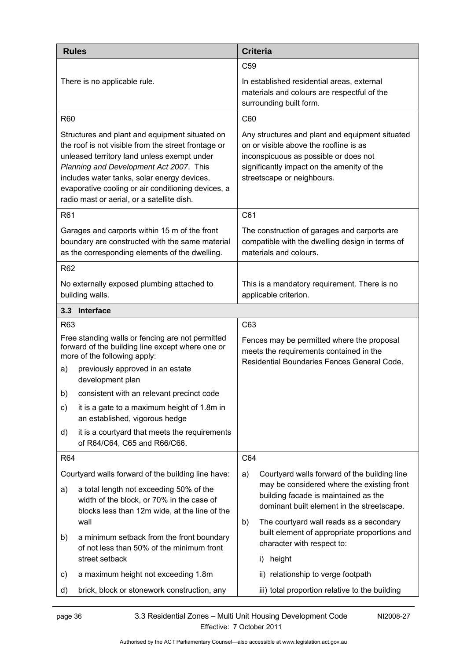| <b>Rules</b>                                                                                                                                                                                                                                                                                                                                       | <b>Criteria</b>                                                                                                                                                                                                |
|----------------------------------------------------------------------------------------------------------------------------------------------------------------------------------------------------------------------------------------------------------------------------------------------------------------------------------------------------|----------------------------------------------------------------------------------------------------------------------------------------------------------------------------------------------------------------|
|                                                                                                                                                                                                                                                                                                                                                    | C <sub>59</sub>                                                                                                                                                                                                |
| There is no applicable rule.                                                                                                                                                                                                                                                                                                                       | In established residential areas, external<br>materials and colours are respectful of the<br>surrounding built form.                                                                                           |
| <b>R60</b>                                                                                                                                                                                                                                                                                                                                         | C60                                                                                                                                                                                                            |
| Structures and plant and equipment situated on<br>the roof is not visible from the street frontage or<br>unleased territory land unless exempt under<br>Planning and Development Act 2007. This<br>includes water tanks, solar energy devices,<br>evaporative cooling or air conditioning devices, a<br>radio mast or aerial, or a satellite dish. | Any structures and plant and equipment situated<br>on or visible above the roofline is as<br>inconspicuous as possible or does not<br>significantly impact on the amenity of the<br>streetscape or neighbours. |
| R61                                                                                                                                                                                                                                                                                                                                                | C61                                                                                                                                                                                                            |
| Garages and carports within 15 m of the front<br>boundary are constructed with the same material<br>as the corresponding elements of the dwelling.                                                                                                                                                                                                 | The construction of garages and carports are<br>compatible with the dwelling design in terms of<br>materials and colours.                                                                                      |
| R62                                                                                                                                                                                                                                                                                                                                                |                                                                                                                                                                                                                |
| No externally exposed plumbing attached to<br>building walls.                                                                                                                                                                                                                                                                                      | This is a mandatory requirement. There is no<br>applicable criterion.                                                                                                                                          |
| 3.3 Interface                                                                                                                                                                                                                                                                                                                                      |                                                                                                                                                                                                                |
| R63                                                                                                                                                                                                                                                                                                                                                | C63                                                                                                                                                                                                            |
| Free standing walls or fencing are not permitted<br>forward of the building line except where one or<br>more of the following apply:                                                                                                                                                                                                               | Fences may be permitted where the proposal<br>meets the requirements contained in the<br>Residential Boundaries Fences General Code.                                                                           |
| previously approved in an estate<br>a)<br>development plan                                                                                                                                                                                                                                                                                         |                                                                                                                                                                                                                |
| b) consistent with an relevant precinct code                                                                                                                                                                                                                                                                                                       |                                                                                                                                                                                                                |
| it is a gate to a maximum height of 1.8m in<br>C)<br>an established, vigorous hedge                                                                                                                                                                                                                                                                |                                                                                                                                                                                                                |
| it is a courtyard that meets the requirements<br>d)<br>of R64/C64, C65 and R66/C66.                                                                                                                                                                                                                                                                |                                                                                                                                                                                                                |
| <b>R64</b>                                                                                                                                                                                                                                                                                                                                         | C64                                                                                                                                                                                                            |
| Courtyard walls forward of the building line have:                                                                                                                                                                                                                                                                                                 | Courtyard walls forward of the building line<br>a)                                                                                                                                                             |
| a total length not exceeding 50% of the<br>a)<br>width of the block, or 70% in the case of<br>blocks less than 12m wide, at the line of the<br>wall                                                                                                                                                                                                | may be considered where the existing front<br>building facade is maintained as the<br>dominant built element in the streetscape.<br>The courtyard wall reads as a secondary<br>b)                              |
| a minimum setback from the front boundary<br>b)<br>of not less than 50% of the minimum front                                                                                                                                                                                                                                                       | built element of appropriate proportions and<br>character with respect to:                                                                                                                                     |
| street setback                                                                                                                                                                                                                                                                                                                                     | height<br>i)                                                                                                                                                                                                   |
| a maximum height not exceeding 1.8m<br>C)                                                                                                                                                                                                                                                                                                          | ii) relationship to verge footpath                                                                                                                                                                             |
| brick, block or stonework construction, any<br>d)                                                                                                                                                                                                                                                                                                  | iii) total proportion relative to the building                                                                                                                                                                 |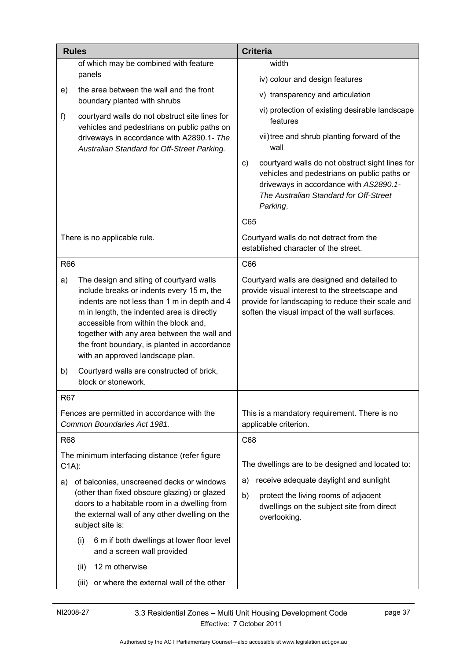|            | <b>Rules</b>                                                                                                                                                                                                                                                                                                                                                    | <b>Criteria</b>                                                                                                                                                                                       |
|------------|-----------------------------------------------------------------------------------------------------------------------------------------------------------------------------------------------------------------------------------------------------------------------------------------------------------------------------------------------------------------|-------------------------------------------------------------------------------------------------------------------------------------------------------------------------------------------------------|
|            | of which may be combined with feature                                                                                                                                                                                                                                                                                                                           | width                                                                                                                                                                                                 |
|            | panels                                                                                                                                                                                                                                                                                                                                                          | iv) colour and design features                                                                                                                                                                        |
| e)         | the area between the wall and the front<br>boundary planted with shrubs                                                                                                                                                                                                                                                                                         | v) transparency and articulation                                                                                                                                                                      |
| f)         | courtyard walls do not obstruct site lines for<br>vehicles and pedestrians on public paths on                                                                                                                                                                                                                                                                   | vi) protection of existing desirable landscape<br>features                                                                                                                                            |
|            | driveways in accordance with A2890.1- The<br>Australian Standard for Off-Street Parking.                                                                                                                                                                                                                                                                        | vii) tree and shrub planting forward of the<br>wall                                                                                                                                                   |
|            |                                                                                                                                                                                                                                                                                                                                                                 | courtyard walls do not obstruct sight lines for<br>C)<br>vehicles and pedestrians on public paths or<br>driveways in accordance with AS2890.1-<br>The Australian Standard for Off-Street<br>Parking.  |
|            |                                                                                                                                                                                                                                                                                                                                                                 | C65                                                                                                                                                                                                   |
|            | There is no applicable rule.                                                                                                                                                                                                                                                                                                                                    | Courtyard walls do not detract from the<br>established character of the street.                                                                                                                       |
| <b>R66</b> |                                                                                                                                                                                                                                                                                                                                                                 | C66                                                                                                                                                                                                   |
| a)         | The design and siting of courtyard walls<br>include breaks or indents every 15 m, the<br>indents are not less than 1 m in depth and 4<br>m in length, the indented area is directly<br>accessible from within the block and,<br>together with any area between the wall and<br>the front boundary, is planted in accordance<br>with an approved landscape plan. | Courtyard walls are designed and detailed to<br>provide visual interest to the streetscape and<br>provide for landscaping to reduce their scale and<br>soften the visual impact of the wall surfaces. |
| b)         | Courtyard walls are constructed of brick,<br>block or stonework.                                                                                                                                                                                                                                                                                                |                                                                                                                                                                                                       |
| R67        |                                                                                                                                                                                                                                                                                                                                                                 |                                                                                                                                                                                                       |
|            | Fences are permitted in accordance with the<br>Common Boundaries Act 1981.                                                                                                                                                                                                                                                                                      | This is a mandatory requirement. There is no<br>applicable criterion.                                                                                                                                 |
| R68        |                                                                                                                                                                                                                                                                                                                                                                 | C68                                                                                                                                                                                                   |
| $C1A)$ :   | The minimum interfacing distance (refer figure                                                                                                                                                                                                                                                                                                                  | The dwellings are to be designed and located to:                                                                                                                                                      |
| a)         | of balconies, unscreened decks or windows                                                                                                                                                                                                                                                                                                                       | receive adequate daylight and sunlight<br>a)                                                                                                                                                          |
|            | (other than fixed obscure glazing) or glazed<br>doors to a habitable room in a dwelling from<br>the external wall of any other dwelling on the<br>subject site is:                                                                                                                                                                                              | b)<br>protect the living rooms of adjacent<br>dwellings on the subject site from direct<br>overlooking.                                                                                               |
|            | 6 m if both dwellings at lower floor level<br>(i)<br>and a screen wall provided                                                                                                                                                                                                                                                                                 |                                                                                                                                                                                                       |
|            | 12 m otherwise<br>(ii)                                                                                                                                                                                                                                                                                                                                          |                                                                                                                                                                                                       |
|            | or where the external wall of the other<br>(iii)                                                                                                                                                                                                                                                                                                                |                                                                                                                                                                                                       |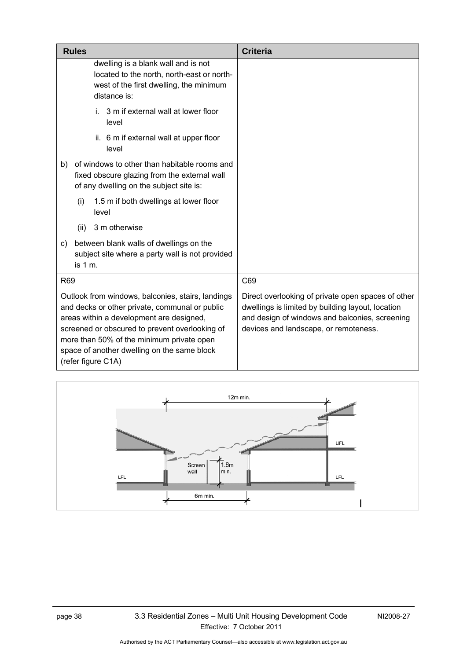| <b>Rules</b>                                                                                                                                                                                                                                                                                                        | <b>Criteria</b>                                                                                                                                                                                    |
|---------------------------------------------------------------------------------------------------------------------------------------------------------------------------------------------------------------------------------------------------------------------------------------------------------------------|----------------------------------------------------------------------------------------------------------------------------------------------------------------------------------------------------|
| dwelling is a blank wall and is not<br>located to the north, north-east or north-<br>west of the first dwelling, the minimum<br>distance is:                                                                                                                                                                        |                                                                                                                                                                                                    |
| i. 3 m if external wall at lower floor<br>level                                                                                                                                                                                                                                                                     |                                                                                                                                                                                                    |
| ii. 6 m if external wall at upper floor<br>level                                                                                                                                                                                                                                                                    |                                                                                                                                                                                                    |
| of windows to other than habitable rooms and<br>b)<br>fixed obscure glazing from the external wall<br>of any dwelling on the subject site is:                                                                                                                                                                       |                                                                                                                                                                                                    |
| 1.5 m if both dwellings at lower floor<br>(i)<br>level                                                                                                                                                                                                                                                              |                                                                                                                                                                                                    |
| 3 m otherwise<br>(ii)                                                                                                                                                                                                                                                                                               |                                                                                                                                                                                                    |
| between blank walls of dwellings on the<br>C)<br>subject site where a party wall is not provided<br>is 1 m.                                                                                                                                                                                                         |                                                                                                                                                                                                    |
| R69                                                                                                                                                                                                                                                                                                                 | C69                                                                                                                                                                                                |
| Outlook from windows, balconies, stairs, landings<br>and decks or other private, communal or public<br>areas within a development are designed,<br>screened or obscured to prevent overlooking of<br>more than 50% of the minimum private open<br>space of another dwelling on the same block<br>(refer figure C1A) | Direct overlooking of private open spaces of other<br>dwellings is limited by building layout, location<br>and design of windows and balconies, screening<br>devices and landscape, or remoteness. |

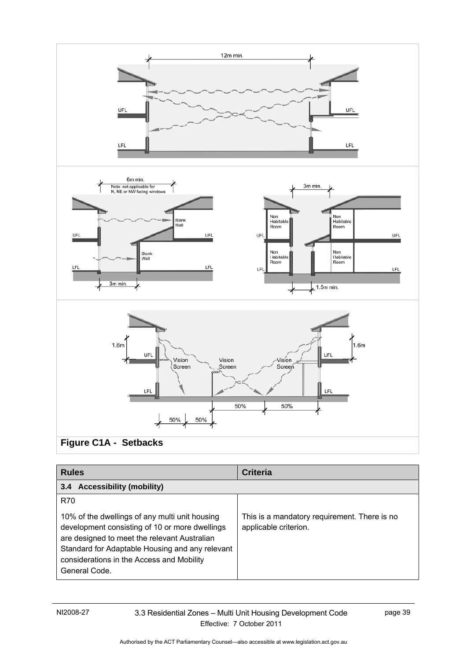

| <b>Rules</b>                                                                                                                                                                                                                                                      | <b>Criteria</b>                                                       |
|-------------------------------------------------------------------------------------------------------------------------------------------------------------------------------------------------------------------------------------------------------------------|-----------------------------------------------------------------------|
| <b>Accessibility (mobility)</b><br>$3.4^{\circ}$                                                                                                                                                                                                                  |                                                                       |
| <b>R70</b>                                                                                                                                                                                                                                                        |                                                                       |
| 10% of the dwellings of any multi unit housing<br>development consisting of 10 or more dwellings<br>are designed to meet the relevant Australian<br>Standard for Adaptable Housing and any relevant<br>considerations in the Access and Mobility<br>General Code. | This is a mandatory requirement. There is no<br>applicable criterion. |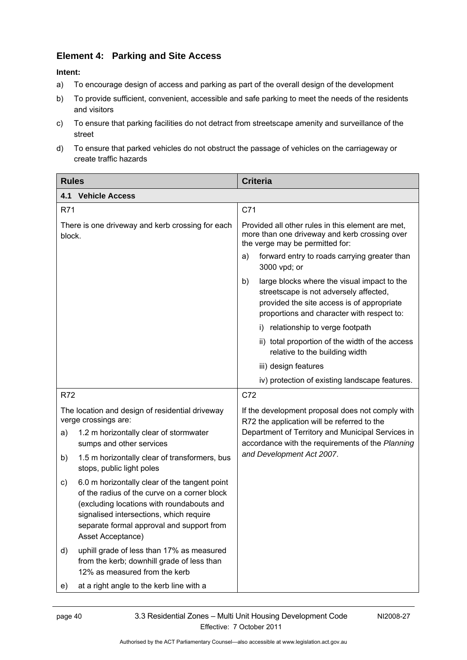# **Element 4: Parking and Site Access**

### **Intent:**

- a) To encourage design of access and parking as part of the overall design of the development
- b) To provide sufficient, convenient, accessible and safe parking to meet the needs of the residents and visitors
- c) To ensure that parking facilities do not detract from streetscape amenity and surveillance of the street
- d) To ensure that parked vehicles do not obstruct the passage of vehicles on the carriageway or create traffic hazards

| <b>Rules</b>                                                                                                                                                                                                                                                  | <b>Criteria</b>                                                                                                                                                                         |
|---------------------------------------------------------------------------------------------------------------------------------------------------------------------------------------------------------------------------------------------------------------|-----------------------------------------------------------------------------------------------------------------------------------------------------------------------------------------|
| 4.1<br><b>Vehicle Access</b>                                                                                                                                                                                                                                  |                                                                                                                                                                                         |
| <b>R71</b>                                                                                                                                                                                                                                                    | C71                                                                                                                                                                                     |
| There is one driveway and kerb crossing for each<br>block.                                                                                                                                                                                                    | Provided all other rules in this element are met,<br>more than one driveway and kerb crossing over<br>the verge may be permitted for:                                                   |
|                                                                                                                                                                                                                                                               | forward entry to roads carrying greater than<br>a)<br>3000 vpd; or                                                                                                                      |
|                                                                                                                                                                                                                                                               | large blocks where the visual impact to the<br>b)<br>streetscape is not adversely affected,<br>provided the site access is of appropriate<br>proportions and character with respect to: |
|                                                                                                                                                                                                                                                               | i) relationship to verge footpath                                                                                                                                                       |
|                                                                                                                                                                                                                                                               | ii) total proportion of the width of the access<br>relative to the building width                                                                                                       |
|                                                                                                                                                                                                                                                               | iii) design features                                                                                                                                                                    |
|                                                                                                                                                                                                                                                               | iv) protection of existing landscape features.                                                                                                                                          |
| <b>R72</b>                                                                                                                                                                                                                                                    | C72                                                                                                                                                                                     |
| The location and design of residential driveway<br>verge crossings are:                                                                                                                                                                                       | If the development proposal does not comply with<br>R72 the application will be referred to the                                                                                         |
| 1.2 m horizontally clear of stormwater<br>a)<br>sumps and other services                                                                                                                                                                                      | Department of Territory and Municipal Services in<br>accordance with the requirements of the Planning                                                                                   |
| 1.5 m horizontally clear of transformers, bus<br>b)<br>stops, public light poles                                                                                                                                                                              | and Development Act 2007.                                                                                                                                                               |
| 6.0 m horizontally clear of the tangent point<br>c)<br>of the radius of the curve on a corner block<br>(excluding locations with roundabouts and<br>signalised intersections, which require<br>separate formal approval and support from<br>Asset Acceptance) |                                                                                                                                                                                         |
| uphill grade of less than 17% as measured<br>d)<br>from the kerb; downhill grade of less than<br>12% as measured from the kerb                                                                                                                                |                                                                                                                                                                                         |
| at a right angle to the kerb line with a<br>e)                                                                                                                                                                                                                |                                                                                                                                                                                         |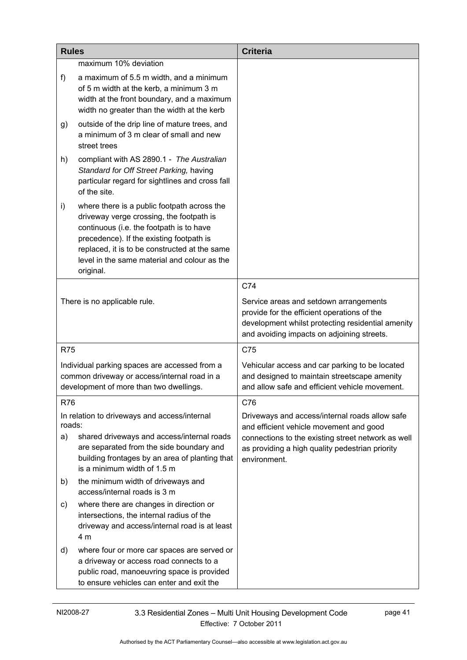| <b>Rules</b> |                                                                                                                                                                                                                                                                                               | <b>Criteria</b>                                                                                                                                                                          |
|--------------|-----------------------------------------------------------------------------------------------------------------------------------------------------------------------------------------------------------------------------------------------------------------------------------------------|------------------------------------------------------------------------------------------------------------------------------------------------------------------------------------------|
|              | maximum 10% deviation                                                                                                                                                                                                                                                                         |                                                                                                                                                                                          |
| f)           | a maximum of 5.5 m width, and a minimum<br>of 5 m width at the kerb, a minimum 3 m<br>width at the front boundary, and a maximum<br>width no greater than the width at the kerb                                                                                                               |                                                                                                                                                                                          |
| g)           | outside of the drip line of mature trees, and<br>a minimum of 3 m clear of small and new<br>street trees                                                                                                                                                                                      |                                                                                                                                                                                          |
| h)           | compliant with AS 2890.1 - The Australian<br>Standard for Off Street Parking, having<br>particular regard for sightlines and cross fall<br>of the site.                                                                                                                                       |                                                                                                                                                                                          |
| i)           | where there is a public footpath across the<br>driveway verge crossing, the footpath is<br>continuous (i.e. the footpath is to have<br>precedence). If the existing footpath is<br>replaced, it is to be constructed at the same<br>level in the same material and colour as the<br>original. |                                                                                                                                                                                          |
|              |                                                                                                                                                                                                                                                                                               | C74                                                                                                                                                                                      |
|              | There is no applicable rule.                                                                                                                                                                                                                                                                  | Service areas and setdown arrangements<br>provide for the efficient operations of the<br>development whilst protecting residential amenity<br>and avoiding impacts on adjoining streets. |
| <b>R75</b>   |                                                                                                                                                                                                                                                                                               | C75                                                                                                                                                                                      |
|              | Individual parking spaces are accessed from a<br>common driveway or access/internal road in a<br>development of more than two dwellings.                                                                                                                                                      | Vehicular access and car parking to be located<br>and designed to maintain streetscape amenity<br>and allow safe and efficient vehicle movement.                                         |
| R76          |                                                                                                                                                                                                                                                                                               | C76                                                                                                                                                                                      |
| roads:       | In relation to driveways and access/internal                                                                                                                                                                                                                                                  | Driveways and access/internal roads allow safe<br>and efficient vehicle movement and good                                                                                                |
| a)           | shared driveways and access/internal roads<br>are separated from the side boundary and<br>building frontages by an area of planting that<br>is a minimum width of 1.5 m                                                                                                                       | connections to the existing street network as well<br>as providing a high quality pedestrian priority<br>environment.                                                                    |
| b)           | the minimum width of driveways and<br>access/internal roads is 3 m                                                                                                                                                                                                                            |                                                                                                                                                                                          |
| C)           | where there are changes in direction or<br>intersections, the internal radius of the<br>driveway and access/internal road is at least<br>4 m                                                                                                                                                  |                                                                                                                                                                                          |
| d)           | where four or more car spaces are served or<br>a driveway or access road connects to a<br>public road, manoeuvring space is provided<br>to ensure vehicles can enter and exit the                                                                                                             |                                                                                                                                                                                          |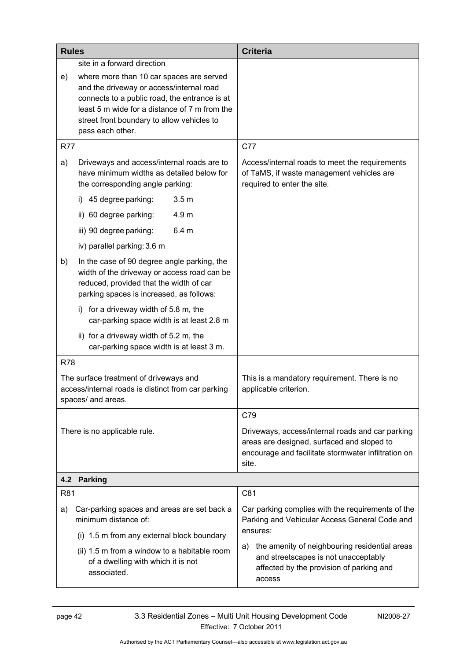| <b>Rules</b> |                                                                                                                                                                                                                                                                                         | <b>Criteria</b>                                                                                                                                                |
|--------------|-----------------------------------------------------------------------------------------------------------------------------------------------------------------------------------------------------------------------------------------------------------------------------------------|----------------------------------------------------------------------------------------------------------------------------------------------------------------|
| e)           | site in a forward direction<br>where more than 10 car spaces are served<br>and the driveway or access/internal road<br>connects to a public road, the entrance is at<br>least 5 m wide for a distance of 7 m from the<br>street front boundary to allow vehicles to<br>pass each other. |                                                                                                                                                                |
| <b>R77</b>   |                                                                                                                                                                                                                                                                                         | C77                                                                                                                                                            |
| a)           | Driveways and access/internal roads are to<br>have minimum widths as detailed below for<br>the corresponding angle parking:                                                                                                                                                             | Access/internal roads to meet the requirements<br>of TaMS, if waste management vehicles are<br>required to enter the site.                                     |
|              | 45 degree parking:<br>3.5 <sub>m</sub><br>$\mathbf{I}$                                                                                                                                                                                                                                  |                                                                                                                                                                |
|              | ii) 60 degree parking:<br>4.9 m                                                                                                                                                                                                                                                         |                                                                                                                                                                |
|              | iii) 90 degree parking:<br>6.4 <sub>m</sub>                                                                                                                                                                                                                                             |                                                                                                                                                                |
|              | iv) parallel parking: 3.6 m                                                                                                                                                                                                                                                             |                                                                                                                                                                |
| b)           | In the case of 90 degree angle parking, the<br>width of the driveway or access road can be<br>reduced, provided that the width of car<br>parking spaces is increased, as follows:                                                                                                       |                                                                                                                                                                |
|              | for a driveway width of 5.8 m, the<br>i)<br>car-parking space width is at least 2.8 m                                                                                                                                                                                                   |                                                                                                                                                                |
|              | ii) for a driveway width of 5.2 m, the<br>car-parking space width is at least 3 m.                                                                                                                                                                                                      |                                                                                                                                                                |
| <b>R78</b>   |                                                                                                                                                                                                                                                                                         |                                                                                                                                                                |
|              | The surface treatment of driveways and<br>access/internal roads is distinct from car parking<br>spaces/ and areas.                                                                                                                                                                      | This is a mandatory requirement. There is no<br>applicable criterion.                                                                                          |
|              |                                                                                                                                                                                                                                                                                         | C79                                                                                                                                                            |
|              | There is no applicable rule.                                                                                                                                                                                                                                                            | Driveways, access/internal roads and car parking<br>areas are designed, surfaced and sloped to<br>encourage and facilitate stormwater infiltration on<br>site. |
| 4.2          | <b>Parking</b>                                                                                                                                                                                                                                                                          |                                                                                                                                                                |
| R81          |                                                                                                                                                                                                                                                                                         | C81                                                                                                                                                            |
| a)           | Car-parking spaces and areas are set back a<br>minimum distance of:<br>(i) 1.5 m from any external block boundary                                                                                                                                                                       | Car parking complies with the requirements of the<br>Parking and Vehicular Access General Code and<br>ensures:                                                 |
|              | (ii) 1.5 m from a window to a habitable room<br>of a dwelling with which it is not<br>associated.                                                                                                                                                                                       | the amenity of neighbouring residential areas<br>a)<br>and streetscapes is not unacceptably<br>affected by the provision of parking and<br>access              |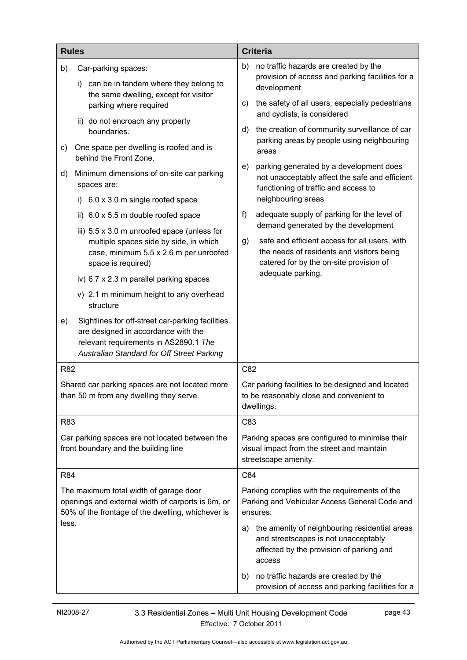|                                                                                                                | <b>Rules</b>                                                                                                                                                                   | <b>Criteria</b>                                                                                                                                   |
|----------------------------------------------------------------------------------------------------------------|--------------------------------------------------------------------------------------------------------------------------------------------------------------------------------|---------------------------------------------------------------------------------------------------------------------------------------------------|
| b)                                                                                                             | Car-parking spaces:                                                                                                                                                            | b)<br>no traffic hazards are created by the                                                                                                       |
| can be in tandem where they belong to<br>i)<br>the same dwelling, except for visitor<br>parking where required | provision of access and parking facilities for a<br>development                                                                                                                |                                                                                                                                                   |
|                                                                                                                | the safety of all users, especially pedestrians<br>C)<br>and cyclists, is considered                                                                                           |                                                                                                                                                   |
|                                                                                                                | ii) do not encroach any property<br>boundaries.                                                                                                                                | the creation of community surveillance of car<br>d)<br>parking areas by people using neighbouring                                                 |
| c)                                                                                                             | One space per dwelling is roofed and is<br>behind the Front Zone.                                                                                                              | areas                                                                                                                                             |
| d)                                                                                                             | Minimum dimensions of on-site car parking<br>spaces are:                                                                                                                       | parking generated by a development does<br>e)<br>not unacceptably affect the safe and efficient<br>functioning of traffic and access to           |
|                                                                                                                | 6.0 x 3.0 m single roofed space<br>i)                                                                                                                                          | neighbouring areas                                                                                                                                |
|                                                                                                                | ii) 6.0 x 5.5 m double roofed space                                                                                                                                            | adequate supply of parking for the level of<br>f)<br>demand generated by the development                                                          |
|                                                                                                                | iii) $5.5 \times 3.0$ m unroofed space (unless for                                                                                                                             | safe and efficient access for all users, with                                                                                                     |
|                                                                                                                | multiple spaces side by side, in which<br>case, minimum 5.5 x 2.6 m per unroofed<br>space is required)                                                                         | g)<br>the needs of residents and visitors being<br>catered for by the on-site provision of                                                        |
|                                                                                                                | iv) 6.7 x 2.3 m parallel parking spaces                                                                                                                                        | adequate parking.                                                                                                                                 |
|                                                                                                                | v) 2.1 m minimum height to any overhead<br>structure                                                                                                                           |                                                                                                                                                   |
| e)                                                                                                             | Sightlines for off-street car-parking facilities<br>are designed in accordance with the<br>relevant requirements in AS2890.1 The<br>Australian Standard for Off Street Parking |                                                                                                                                                   |
| <b>R82</b>                                                                                                     |                                                                                                                                                                                | C82                                                                                                                                               |
|                                                                                                                | Shared car parking spaces are not located more<br>than 50 m from any dwelling they serve.                                                                                      | Car parking facilities to be designed and located<br>to be reasonably close and convenient to<br>dwellings.                                       |
| R83                                                                                                            |                                                                                                                                                                                | C83                                                                                                                                               |
|                                                                                                                | Car parking spaces are not located between the<br>front boundary and the building line                                                                                         | Parking spaces are configured to minimise their<br>visual impact from the street and maintain<br>streetscape amenity.                             |
| R84                                                                                                            |                                                                                                                                                                                | C84                                                                                                                                               |
|                                                                                                                | The maximum total width of garage door<br>openings and external width of carports is 6m, or<br>50% of the frontage of the dwelling, whichever is                               | Parking complies with the requirements of the<br>Parking and Vehicular Access General Code and<br>ensures:                                        |
| less.                                                                                                          |                                                                                                                                                                                | the amenity of neighbouring residential areas<br>a)<br>and streetscapes is not unacceptably<br>affected by the provision of parking and<br>access |
|                                                                                                                |                                                                                                                                                                                | no traffic hazards are created by the<br>b)<br>provision of access and parking facilities for a                                                   |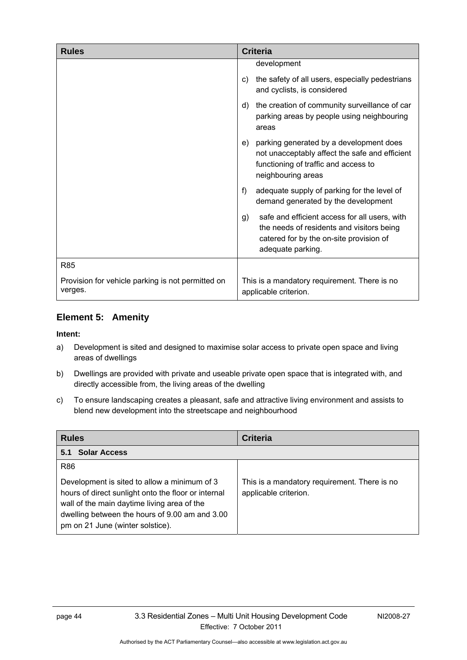| <b>Rules</b>                                                 | <b>Criteria</b>                                                                                                                                                  |
|--------------------------------------------------------------|------------------------------------------------------------------------------------------------------------------------------------------------------------------|
|                                                              | development                                                                                                                                                      |
|                                                              | the safety of all users, especially pedestrians<br>C)<br>and cyclists, is considered                                                                             |
|                                                              | the creation of community surveillance of car<br>d)<br>parking areas by people using neighbouring<br>areas                                                       |
|                                                              | parking generated by a development does<br>e)<br>not unacceptably affect the safe and efficient<br>functioning of traffic and access to<br>neighbouring areas    |
|                                                              | f)<br>adequate supply of parking for the level of<br>demand generated by the development                                                                         |
|                                                              | safe and efficient access for all users, with<br>g)<br>the needs of residents and visitors being<br>catered for by the on-site provision of<br>adequate parking. |
| <b>R85</b>                                                   |                                                                                                                                                                  |
| Provision for vehicle parking is not permitted on<br>verges. | This is a mandatory requirement. There is no<br>applicable criterion.                                                                                            |

## **Element 5: Amenity**

#### **Intent:**

- a) Development is sited and designed to maximise solar access to private open space and living areas of dwellings
- b) Dwellings are provided with private and useable private open space that is integrated with, and directly accessible from, the living areas of the dwelling
- c) To ensure landscaping creates a pleasant, safe and attractive living environment and assists to blend new development into the streetscape and neighbourhood

| <b>Rules</b>                                                                                                                                                                                                                                           | <b>Criteria</b>                                                       |
|--------------------------------------------------------------------------------------------------------------------------------------------------------------------------------------------------------------------------------------------------------|-----------------------------------------------------------------------|
| <b>Solar Access</b><br>5.1                                                                                                                                                                                                                             |                                                                       |
| <b>R86</b><br>Development is sited to allow a minimum of 3<br>hours of direct sunlight onto the floor or internal<br>wall of the main daytime living area of the<br>dwelling between the hours of 9.00 am and 3.00<br>pm on 21 June (winter solstice). | This is a mandatory requirement. There is no<br>applicable criterion. |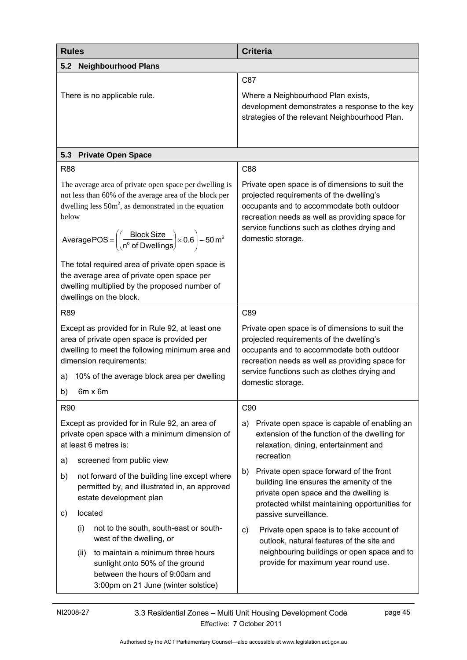| <b>Rules</b>                                                                                                                                                                                                                                                                                                           | <b>Criteria</b>                                                                                                                                                                                                                                                  |
|------------------------------------------------------------------------------------------------------------------------------------------------------------------------------------------------------------------------------------------------------------------------------------------------------------------------|------------------------------------------------------------------------------------------------------------------------------------------------------------------------------------------------------------------------------------------------------------------|
| <b>Neighbourhood Plans</b><br>5.2                                                                                                                                                                                                                                                                                      |                                                                                                                                                                                                                                                                  |
|                                                                                                                                                                                                                                                                                                                        | C87                                                                                                                                                                                                                                                              |
| There is no applicable rule.                                                                                                                                                                                                                                                                                           | Where a Neighbourhood Plan exists,<br>development demonstrates a response to the key<br>strategies of the relevant Neighbourhood Plan.                                                                                                                           |
| <b>Private Open Space</b><br>5.3                                                                                                                                                                                                                                                                                       |                                                                                                                                                                                                                                                                  |
| <b>R88</b>                                                                                                                                                                                                                                                                                                             | C88                                                                                                                                                                                                                                                              |
| The average area of private open space per dwelling is<br>not less than 60% of the average area of the block per<br>dwelling less $50m^2$ , as demonstrated in the equation<br>below<br>Average POS = $\left(\left(\frac{\text{Block Size}}{n^{\circ} \text{ of Dwellings}}\right) \times 0.6\right) - 50 \text{ m}^2$ | Private open space is of dimensions to suit the<br>projected requirements of the dwelling's<br>occupants and to accommodate both outdoor<br>recreation needs as well as providing space for<br>service functions such as clothes drying and<br>domestic storage. |
| The total required area of private open space is<br>the average area of private open space per<br>dwelling multiplied by the proposed number of<br>dwellings on the block.                                                                                                                                             |                                                                                                                                                                                                                                                                  |
| <b>R89</b>                                                                                                                                                                                                                                                                                                             | C89                                                                                                                                                                                                                                                              |
| Except as provided for in Rule 92, at least one<br>area of private open space is provided per<br>dwelling to meet the following minimum area and<br>dimension requirements:<br>10% of the average block area per dwelling<br>a)<br>b)<br>6m x 6m                                                                       | Private open space is of dimensions to suit the<br>projected requirements of the dwelling's<br>occupants and to accommodate both outdoor<br>recreation needs as well as providing space for<br>service functions such as clothes drying and<br>domestic storage. |
| R90                                                                                                                                                                                                                                                                                                                    | C90                                                                                                                                                                                                                                                              |
| Except as provided for in Rule 92, an area of<br>private open space with a minimum dimension of<br>at least 6 metres is:                                                                                                                                                                                               | Private open space is capable of enabling an<br>a)<br>extension of the function of the dwelling for<br>relaxation, dining, entertainment and<br>recreation                                                                                                       |
| screened from public view<br>a)                                                                                                                                                                                                                                                                                        | Private open space forward of the front<br>b)                                                                                                                                                                                                                    |
| not forward of the building line except where<br>b)<br>permitted by, and illustrated in, an approved<br>estate development plan                                                                                                                                                                                        | building line ensures the amenity of the<br>private open space and the dwelling is<br>protected whilst maintaining opportunities for                                                                                                                             |
| located<br>C)                                                                                                                                                                                                                                                                                                          | passive surveillance.                                                                                                                                                                                                                                            |
| not to the south, south-east or south-<br>(i)<br>west of the dwelling, or                                                                                                                                                                                                                                              | Private open space is to take account of<br>C)<br>outlook, natural features of the site and                                                                                                                                                                      |
| to maintain a minimum three hours<br>(ii)<br>sunlight onto 50% of the ground<br>between the hours of 9:00am and<br>3:00pm on 21 June (winter solstice)                                                                                                                                                                 | neighbouring buildings or open space and to<br>provide for maximum year round use.                                                                                                                                                                               |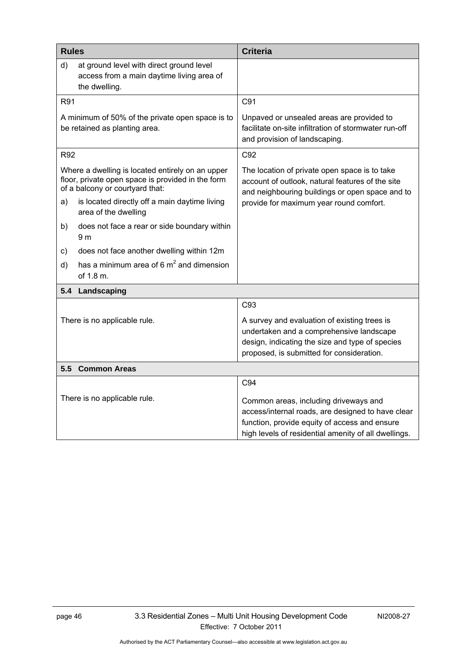| <b>Rules</b> |                                                                                                                                          | <b>Criteria</b>                                                                                                                                                                                     |
|--------------|------------------------------------------------------------------------------------------------------------------------------------------|-----------------------------------------------------------------------------------------------------------------------------------------------------------------------------------------------------|
| d)           | at ground level with direct ground level<br>access from a main daytime living area of<br>the dwelling.                                   |                                                                                                                                                                                                     |
| R91          |                                                                                                                                          | C91                                                                                                                                                                                                 |
|              | A minimum of 50% of the private open space is to<br>be retained as planting area.                                                        | Unpaved or unsealed areas are provided to<br>facilitate on-site infiltration of stormwater run-off<br>and provision of landscaping.                                                                 |
| <b>R92</b>   |                                                                                                                                          | C92                                                                                                                                                                                                 |
|              | Where a dwelling is located entirely on an upper<br>floor, private open space is provided in the form<br>of a balcony or courtyard that: | The location of private open space is to take<br>account of outlook, natural features of the site<br>and neighbouring buildings or open space and to                                                |
| a)           | is located directly off a main daytime living<br>area of the dwelling                                                                    | provide for maximum year round comfort.                                                                                                                                                             |
| b)           | does not face a rear or side boundary within<br>9 <sub>m</sub>                                                                           |                                                                                                                                                                                                     |
| c)           | does not face another dwelling within 12m                                                                                                |                                                                                                                                                                                                     |
| d)           | has a minimum area of 6 $m^2$ and dimension<br>of 1.8 m.                                                                                 |                                                                                                                                                                                                     |
| 5.4          | Landscaping                                                                                                                              |                                                                                                                                                                                                     |
|              |                                                                                                                                          | C <sub>93</sub>                                                                                                                                                                                     |
|              | There is no applicable rule.                                                                                                             | A survey and evaluation of existing trees is<br>undertaken and a comprehensive landscape<br>design, indicating the size and type of species<br>proposed, is submitted for consideration.            |
|              | 5.5 Common Areas                                                                                                                         |                                                                                                                                                                                                     |
|              |                                                                                                                                          | C94                                                                                                                                                                                                 |
|              | There is no applicable rule.                                                                                                             | Common areas, including driveways and<br>access/internal roads, are designed to have clear<br>function, provide equity of access and ensure<br>high levels of residential amenity of all dwellings. |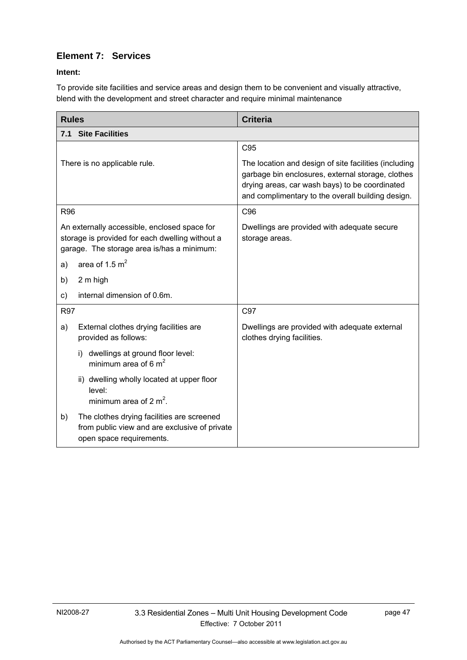# **Element 7: Services**

## **Intent:**

To provide site facilities and service areas and design them to be convenient and visually attractive, blend with the development and street character and require minimal maintenance

| <b>Rules</b>                                                                                                                                  | <b>Criteria</b>                                                                                                                                                                                                   |
|-----------------------------------------------------------------------------------------------------------------------------------------------|-------------------------------------------------------------------------------------------------------------------------------------------------------------------------------------------------------------------|
| 7.1 Site Facilities                                                                                                                           |                                                                                                                                                                                                                   |
|                                                                                                                                               | C95                                                                                                                                                                                                               |
| There is no applicable rule.                                                                                                                  | The location and design of site facilities (including<br>garbage bin enclosures, external storage, clothes<br>drying areas, car wash bays) to be coordinated<br>and complimentary to the overall building design. |
| R96                                                                                                                                           | C96                                                                                                                                                                                                               |
| An externally accessible, enclosed space for<br>storage is provided for each dwelling without a<br>garage. The storage area is/has a minimum: | Dwellings are provided with adequate secure<br>storage areas.                                                                                                                                                     |
| area of 1.5 $m2$<br>a)                                                                                                                        |                                                                                                                                                                                                                   |
| 2 m high<br>b)                                                                                                                                |                                                                                                                                                                                                                   |
| internal dimension of 0.6m.<br>C)                                                                                                             |                                                                                                                                                                                                                   |
| <b>R97</b>                                                                                                                                    | C97                                                                                                                                                                                                               |
| External clothes drying facilities are<br>a)<br>provided as follows:                                                                          | Dwellings are provided with adequate external<br>clothes drying facilities.                                                                                                                                       |
| i) dwellings at ground floor level:<br>minimum area of 6 $m2$                                                                                 |                                                                                                                                                                                                                   |
| ii) dwelling wholly located at upper floor<br>level:<br>minimum area of 2 $m^2$ .                                                             |                                                                                                                                                                                                                   |
| b)<br>The clothes drying facilities are screened<br>from public view and are exclusive of private<br>open space requirements.                 |                                                                                                                                                                                                                   |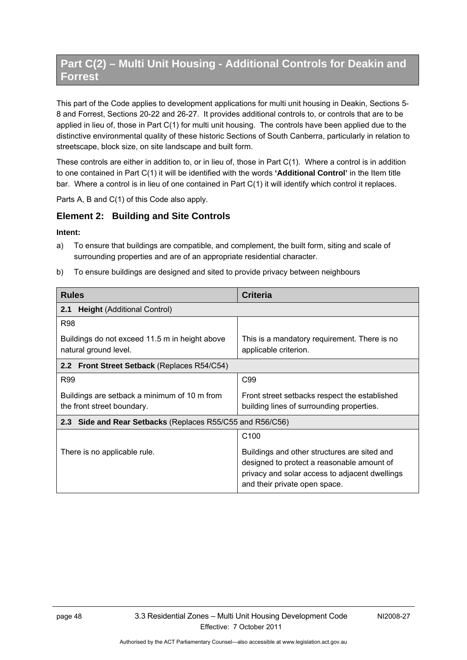# **Part C(2) – Multi Unit Housing - Additional Controls for Deakin and Forrest**

This part of the Code applies to development applications for multi unit housing in Deakin, Sections 5- 8 and Forrest, Sections 20-22 and 26-27. It provides additional controls to, or controls that are to be applied in lieu of, those in Part C(1) for multi unit housing. The controls have been applied due to the distinctive environmental quality of these historic Sections of South Canberra, particularly in relation to streetscape, block size, on site landscape and built form.

These controls are either in addition to, or in lieu of, those in Part C(1). Where a control is in addition to one contained in Part C(1) it will be identified with the words **'Additional Control'** in the Item title bar. Where a control is in lieu of one contained in Part C(1) it will identify which control it replaces.

Parts A, B and C(1) of this Code also apply.

## **Element 2: Building and Site Controls**

#### **Intent:**

- a) To ensure that buildings are compatible, and complement, the built form, siting and scale of surrounding properties and are of an appropriate residential character.
- b) To ensure buildings are designed and sited to provide privacy between neighbours

| <b>Rules</b>                                                               | <b>Criteria</b>                                                                                                                                                               |  |
|----------------------------------------------------------------------------|-------------------------------------------------------------------------------------------------------------------------------------------------------------------------------|--|
| <b>Height (Additional Control)</b><br>2.1                                  |                                                                                                                                                                               |  |
| <b>R98</b>                                                                 |                                                                                                                                                                               |  |
| Buildings do not exceed 11.5 m in height above<br>natural ground level.    | This is a mandatory requirement. There is no<br>applicable criterion.                                                                                                         |  |
| 2.2 Front Street Setback (Replaces R54/C54)                                |                                                                                                                                                                               |  |
| R99                                                                        | C99                                                                                                                                                                           |  |
| Buildings are setback a minimum of 10 m from<br>the front street boundary. | Front street setbacks respect the established<br>building lines of surrounding properties.                                                                                    |  |
| 2.3 Side and Rear Setbacks (Replaces R55/C55 and R56/C56)                  |                                                                                                                                                                               |  |
|                                                                            | C <sub>100</sub>                                                                                                                                                              |  |
| There is no applicable rule.                                               | Buildings and other structures are sited and<br>designed to protect a reasonable amount of<br>privacy and solar access to adjacent dwellings<br>and their private open space. |  |

Authorised by the ACT Parliamentary Counsel—also accessible at www.legislation.act.gov.au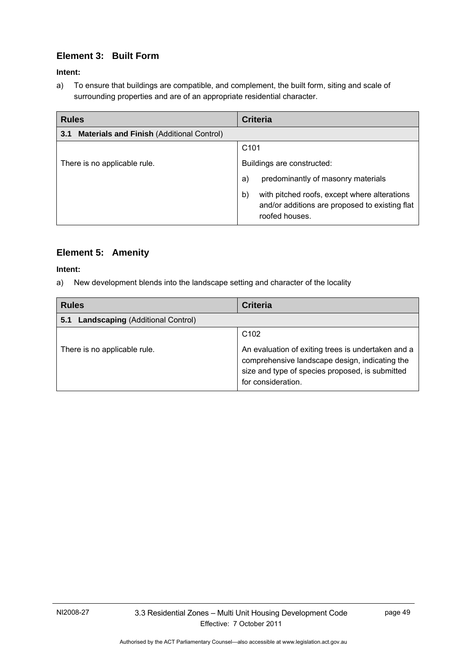# **Element 3: Built Form**

## **Intent:**

a) To ensure that buildings are compatible, and complement, the built form, siting and scale of surrounding properties and are of an appropriate residential character.

| <b>Rules</b>                                            | <b>Criteria</b>                                                                                                        |
|---------------------------------------------------------|------------------------------------------------------------------------------------------------------------------------|
| <b>Materials and Finish (Additional Control)</b><br>3.1 |                                                                                                                        |
|                                                         | C <sub>101</sub>                                                                                                       |
| There is no applicable rule.                            | Buildings are constructed:                                                                                             |
|                                                         | predominantly of masonry materials<br>a)                                                                               |
|                                                         | with pitched roofs, except where alterations<br>b)<br>and/or additions are proposed to existing flat<br>roofed houses. |

# **Element 5: Amenity**

### **Intent:**

a) New development blends into the landscape setting and character of the locality

| <b>Rules</b>                                   | <b>Criteria</b>                                                                                                                                                                                   |
|------------------------------------------------|---------------------------------------------------------------------------------------------------------------------------------------------------------------------------------------------------|
| <b>Landscaping (Additional Control)</b><br>5.1 |                                                                                                                                                                                                   |
| There is no applicable rule.                   | C <sub>102</sub><br>An evaluation of exiting trees is undertaken and a<br>comprehensive landscape design, indicating the<br>size and type of species proposed, is submitted<br>for consideration. |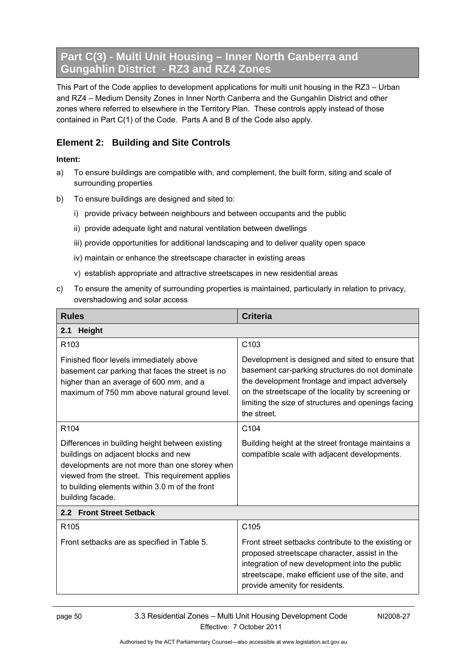# **Part C(3) - Multi Unit Housing – Inner North Canberra and Gungahlin District - RZ3 and RZ4 Zones**

This Part of the Code applies to development applications for multi unit housing in the RZ3 – Urban and RZ4 – Medium Density Zones in Inner North Canberra and the Gungahlin District and other zones where referred to elsewhere in the Territory Plan. These controls apply instead of those contained in Part C(1) of the Code. Parts A and B of the Code also apply.

# **Element 2: Building and Site Controls**

## **Intent:**

- a) To ensure buildings are compatible with, and complement, the built form, siting and scale of surrounding properties
- b) To ensure buildings are designed and sited to:
	- i) provide privacy between neighbours and between occupants and the public
	- ii) provide adequate light and natural ventilation between dwellings
	- iii) provide opportunities for additional landscaping and to deliver quality open space
	- iv) maintain or enhance the streetscape character in existing areas
	- v) establish appropriate and attractive streetscapes in new residential areas
- c) To ensure the amenity of surrounding properties is maintained, particularly in relation to privacy, overshadowing and solar access

| <b>Rules</b>                                                                                                                                                                                                                                                        | <b>Criteria</b>                                                                                                                                                                                                                                                                  |  |
|---------------------------------------------------------------------------------------------------------------------------------------------------------------------------------------------------------------------------------------------------------------------|----------------------------------------------------------------------------------------------------------------------------------------------------------------------------------------------------------------------------------------------------------------------------------|--|
| Height<br>2.1                                                                                                                                                                                                                                                       |                                                                                                                                                                                                                                                                                  |  |
| R <sub>103</sub>                                                                                                                                                                                                                                                    | C <sub>103</sub>                                                                                                                                                                                                                                                                 |  |
| Finished floor levels immediately above<br>basement car parking that faces the street is no<br>higher than an average of 600 mm, and a<br>maximum of 750 mm above natural ground level.                                                                             | Development is designed and sited to ensure that<br>basement car-parking structures do not dominate<br>the development frontage and impact adversely<br>on the streetscape of the locality by screening or<br>limiting the size of structures and openings facing<br>the street. |  |
| R <sub>104</sub>                                                                                                                                                                                                                                                    | C <sub>104</sub>                                                                                                                                                                                                                                                                 |  |
| Differences in building height between existing<br>buildings on adjacent blocks and new<br>developments are not more than one storey when<br>viewed from the street. This requirement applies<br>to building elements within 3.0 m of the front<br>building facade. | Building height at the street frontage maintains a<br>compatible scale with adjacent developments.                                                                                                                                                                               |  |
| 2.2 Front Street Setback                                                                                                                                                                                                                                            |                                                                                                                                                                                                                                                                                  |  |
| R <sub>105</sub>                                                                                                                                                                                                                                                    | C <sub>105</sub>                                                                                                                                                                                                                                                                 |  |
| Front setbacks are as specified in Table 5.                                                                                                                                                                                                                         | Front street setbacks contribute to the existing or<br>proposed streetscape character, assist in the<br>integration of new development into the public<br>streetscape, make efficient use of the site, and<br>provide amenity for residents.                                     |  |

NI2008-27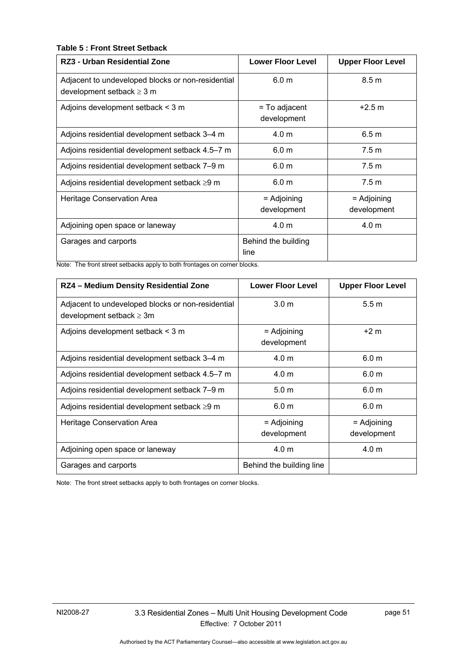## **Table 5 : Front Street Setback**

| RZ3 - Urban Residential Zone                                                        | <b>Lower Floor Level</b>       | <b>Upper Floor Level</b>     |
|-------------------------------------------------------------------------------------|--------------------------------|------------------------------|
| Adjacent to undeveloped blocks or non-residential<br>development setback $\geq 3$ m | 6.0 <sub>m</sub>               | 8.5 m                        |
| Adjoins development setback < 3 m                                                   | $=$ To adjacent<br>development | $+2.5 m$                     |
| Adjoins residential development setback 3–4 m                                       | 4.0 <sub>m</sub>               | 6.5 m                        |
| Adjoins residential development setback 4.5–7 m                                     | 6.0 <sub>m</sub>               | 7.5 <sub>m</sub>             |
| Adjoins residential development setback 7-9 m                                       | 6.0 <sub>m</sub>               | 7.5 m                        |
| Adjoins residential development setback $\geq$ 9 m                                  | 6.0 <sub>m</sub>               | 7.5 <sub>m</sub>             |
| Heritage Conservation Area                                                          | = Adjoining<br>development     | $=$ Adjoining<br>development |
| Adjoining open space or laneway                                                     | 4.0 <sub>m</sub>               | 4.0 <sub>m</sub>             |
| Garages and carports                                                                | Behind the building<br>line    |                              |

Note: The front street setbacks apply to both frontages on corner blocks.

| RZ4 - Medium Density Residential Zone                                              | <b>Lower Floor Level</b>     | <b>Upper Floor Level</b>     |
|------------------------------------------------------------------------------------|------------------------------|------------------------------|
| Adjacent to undeveloped blocks or non-residential<br>development setback $\geq 3m$ | 3.0 <sub>m</sub>             | 5.5 <sub>m</sub>             |
| Adjoins development setback < 3 m                                                  | $=$ Adjoining<br>development | $+2m$                        |
| Adjoins residential development setback 3-4 m                                      | 4.0 <sub>m</sub>             | 6.0 <sub>m</sub>             |
| Adjoins residential development setback 4.5–7 m                                    | 4.0 m                        | 6.0 m                        |
| Adjoins residential development setback 7-9 m                                      | 5.0 <sub>m</sub>             | 6.0 <sub>m</sub>             |
| Adjoins residential development setback ≥9 m                                       | 6.0 <sub>m</sub>             | 6.0 <sub>m</sub>             |
| Heritage Conservation Area                                                         | $=$ Adjoining<br>development | $=$ Adjoining<br>development |
| Adjoining open space or laneway                                                    | 4.0 m                        | 4.0 <sub>m</sub>             |
| Garages and carports                                                               | Behind the building line     |                              |

Note: The front street setbacks apply to both frontages on corner blocks.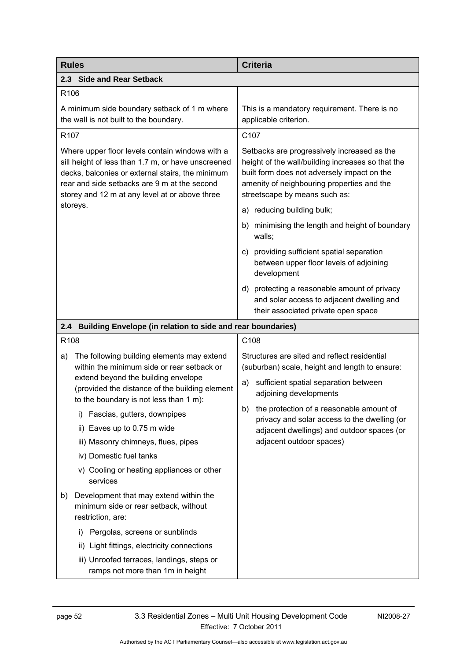| <b>Rules</b>                                                                                                                                                                                                                                                                                                                                                                                                                     | <b>Criteria</b>                                                                                                                                                                                                                                                                                                                                  |
|----------------------------------------------------------------------------------------------------------------------------------------------------------------------------------------------------------------------------------------------------------------------------------------------------------------------------------------------------------------------------------------------------------------------------------|--------------------------------------------------------------------------------------------------------------------------------------------------------------------------------------------------------------------------------------------------------------------------------------------------------------------------------------------------|
| 2.3 Side and Rear Setback                                                                                                                                                                                                                                                                                                                                                                                                        |                                                                                                                                                                                                                                                                                                                                                  |
| R106                                                                                                                                                                                                                                                                                                                                                                                                                             |                                                                                                                                                                                                                                                                                                                                                  |
| A minimum side boundary setback of 1 m where<br>the wall is not built to the boundary.                                                                                                                                                                                                                                                                                                                                           | This is a mandatory requirement. There is no<br>applicable criterion.                                                                                                                                                                                                                                                                            |
| R <sub>107</sub>                                                                                                                                                                                                                                                                                                                                                                                                                 | C107                                                                                                                                                                                                                                                                                                                                             |
| Where upper floor levels contain windows with a<br>sill height of less than 1.7 m, or have unscreened<br>decks, balconies or external stairs, the minimum<br>rear and side setbacks are 9 m at the second<br>storey and 12 m at any level at or above three                                                                                                                                                                      | Setbacks are progressively increased as the<br>height of the wall/building increases so that the<br>built form does not adversely impact on the<br>amenity of neighbouring properties and the<br>streetscape by means such as:                                                                                                                   |
| storeys.                                                                                                                                                                                                                                                                                                                                                                                                                         | a) reducing building bulk;                                                                                                                                                                                                                                                                                                                       |
|                                                                                                                                                                                                                                                                                                                                                                                                                                  | minimising the length and height of boundary<br>b)<br>walls;                                                                                                                                                                                                                                                                                     |
|                                                                                                                                                                                                                                                                                                                                                                                                                                  | c) providing sufficient spatial separation<br>between upper floor levels of adjoining<br>development                                                                                                                                                                                                                                             |
|                                                                                                                                                                                                                                                                                                                                                                                                                                  | d) protecting a reasonable amount of privacy<br>and solar access to adjacent dwelling and<br>their associated private open space                                                                                                                                                                                                                 |
| Building Envelope (in relation to side and rear boundaries)<br>2.4                                                                                                                                                                                                                                                                                                                                                               |                                                                                                                                                                                                                                                                                                                                                  |
| R <sub>108</sub>                                                                                                                                                                                                                                                                                                                                                                                                                 | C108                                                                                                                                                                                                                                                                                                                                             |
| The following building elements may extend<br>a)<br>within the minimum side or rear setback or<br>extend beyond the building envelope<br>(provided the distance of the building element<br>to the boundary is not less than 1 m):<br>Fascias, gutters, downpipes<br>I)<br>ii) Eaves up to 0.75 m wide<br>iii) Masonry chimneys, flues, pipes<br>iv) Domestic fuel tanks<br>v) Cooling or heating appliances or other<br>services | Structures are sited and reflect residential<br>(suburban) scale, height and length to ensure:<br>sufficient spatial separation between<br>a)<br>adjoining developments<br>b) the protection of a reasonable amount of<br>privacy and solar access to the dwelling (or<br>adjacent dwellings) and outdoor spaces (or<br>adjacent outdoor spaces) |
| Development that may extend within the<br>b)<br>minimum side or rear setback, without<br>restriction, are:<br>Pergolas, screens or sunblinds<br>i)<br>Light fittings, electricity connections<br>ii)<br>iii) Unroofed terraces, landings, steps or<br>ramps not more than 1m in height                                                                                                                                           |                                                                                                                                                                                                                                                                                                                                                  |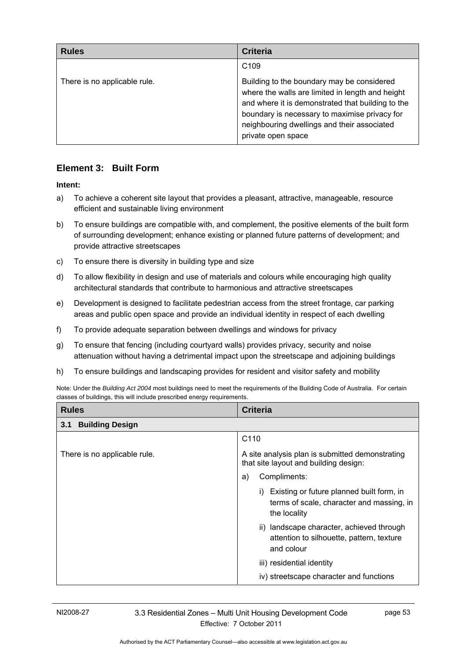| <b>Rules</b>                 | <b>Criteria</b>                                                                                                                                                                                                                                                           |
|------------------------------|---------------------------------------------------------------------------------------------------------------------------------------------------------------------------------------------------------------------------------------------------------------------------|
|                              | C <sub>109</sub>                                                                                                                                                                                                                                                          |
| There is no applicable rule. | Building to the boundary may be considered<br>where the walls are limited in length and height<br>and where it is demonstrated that building to the<br>boundary is necessary to maximise privacy for<br>neighbouring dwellings and their associated<br>private open space |

# **Element 3: Built Form**

### **Intent:**

- a) To achieve a coherent site layout that provides a pleasant, attractive, manageable, resource efficient and sustainable living environment
- b) To ensure buildings are compatible with, and complement, the positive elements of the built form of surrounding development; enhance existing or planned future patterns of development; and provide attractive streetscapes
- c) To ensure there is diversity in building type and size
- d) To allow flexibility in design and use of materials and colours while encouraging high quality architectural standards that contribute to harmonious and attractive streetscapes
- e) Development is designed to facilitate pedestrian access from the street frontage, car parking areas and public open space and provide an individual identity in respect of each dwelling
- f) To provide adequate separation between dwellings and windows for privacy
- g) To ensure that fencing (including courtyard walls) provides privacy, security and noise attenuation without having a detrimental impact upon the streetscape and adjoining buildings
- h) To ensure buildings and landscaping provides for resident and visitor safety and mobility

Note: Under the *Building Act 2004* most buildings need to meet the requirements of the Building Code of Australia. For certain classes of buildings, this will include prescribed energy requirements.

| <b>Rules</b>                  | <b>Criteria</b>                                                                                        |
|-------------------------------|--------------------------------------------------------------------------------------------------------|
| <b>Building Design</b><br>3.1 |                                                                                                        |
|                               | C <sub>110</sub>                                                                                       |
| There is no applicable rule.  | A site analysis plan is submitted demonstrating<br>that site layout and building design:               |
|                               | Compliments:<br>a)                                                                                     |
|                               | Existing or future planned built form, in<br>terms of scale, character and massing, in<br>the locality |
|                               | ii) landscape character, achieved through<br>attention to silhouette, pattern, texture<br>and colour   |
|                               | iii) residential identity                                                                              |
|                               | iv) streetscape character and functions                                                                |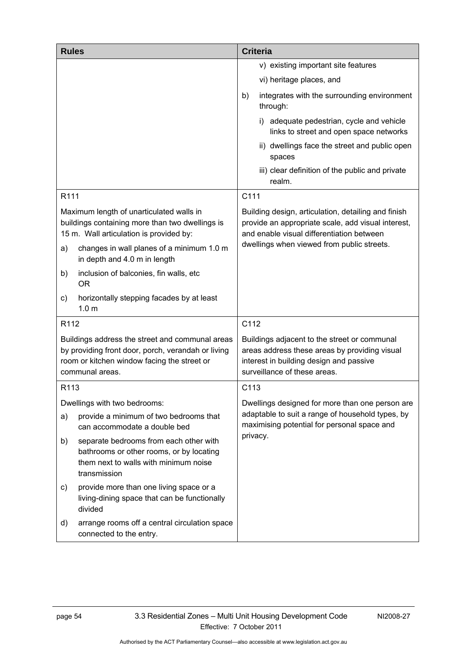| <b>Rules</b>     |                                                                                                                                                                                     |      | <b>Criteria</b>                                                                                                                                                                                      |
|------------------|-------------------------------------------------------------------------------------------------------------------------------------------------------------------------------------|------|------------------------------------------------------------------------------------------------------------------------------------------------------------------------------------------------------|
|                  |                                                                                                                                                                                     |      | v) existing important site features                                                                                                                                                                  |
|                  |                                                                                                                                                                                     |      | vi) heritage places, and                                                                                                                                                                             |
|                  |                                                                                                                                                                                     | b)   | integrates with the surrounding environment<br>through:                                                                                                                                              |
|                  |                                                                                                                                                                                     |      | i) adequate pedestrian, cycle and vehicle<br>links to street and open space networks                                                                                                                 |
|                  |                                                                                                                                                                                     |      | ii) dwellings face the street and public open<br>spaces                                                                                                                                              |
|                  |                                                                                                                                                                                     |      | iii) clear definition of the public and private<br>realm.                                                                                                                                            |
| R111             |                                                                                                                                                                                     | C111 |                                                                                                                                                                                                      |
| a)               | Maximum length of unarticulated walls in<br>buildings containing more than two dwellings is<br>15 m. Wall articulation is provided by:<br>changes in wall planes of a minimum 1.0 m |      | Building design, articulation, detailing and finish<br>provide an appropriate scale, add visual interest,<br>and enable visual differentiation between<br>dwellings when viewed from public streets. |
|                  | in depth and 4.0 m in length                                                                                                                                                        |      |                                                                                                                                                                                                      |
| b)               | inclusion of balconies, fin walls, etc<br><b>OR</b>                                                                                                                                 |      |                                                                                                                                                                                                      |
| C)               | horizontally stepping facades by at least<br>1.0 <sub>m</sub>                                                                                                                       |      |                                                                                                                                                                                                      |
| R112             |                                                                                                                                                                                     | C112 |                                                                                                                                                                                                      |
|                  | Buildings address the street and communal areas<br>by providing front door, porch, verandah or living<br>room or kitchen window facing the street or<br>communal areas.             |      | Buildings adjacent to the street or communal<br>areas address these areas by providing visual<br>interest in building design and passive<br>surveillance of these areas.                             |
| R <sub>113</sub> |                                                                                                                                                                                     | C113 |                                                                                                                                                                                                      |
|                  | Dwellings with two bedrooms:                                                                                                                                                        |      | Dwellings designed for more than one person are                                                                                                                                                      |
| a)               | provide a minimum of two bedrooms that<br>can accommodate a double bed                                                                                                              |      | adaptable to suit a range of household types, by<br>maximising potential for personal space and                                                                                                      |
| b)               | separate bedrooms from each other with<br>bathrooms or other rooms, or by locating<br>them next to walls with minimum noise<br>transmission                                         |      | privacy.                                                                                                                                                                                             |
| C)               | provide more than one living space or a<br>living-dining space that can be functionally<br>divided                                                                                  |      |                                                                                                                                                                                                      |
| d)               | arrange rooms off a central circulation space<br>connected to the entry.                                                                                                            |      |                                                                                                                                                                                                      |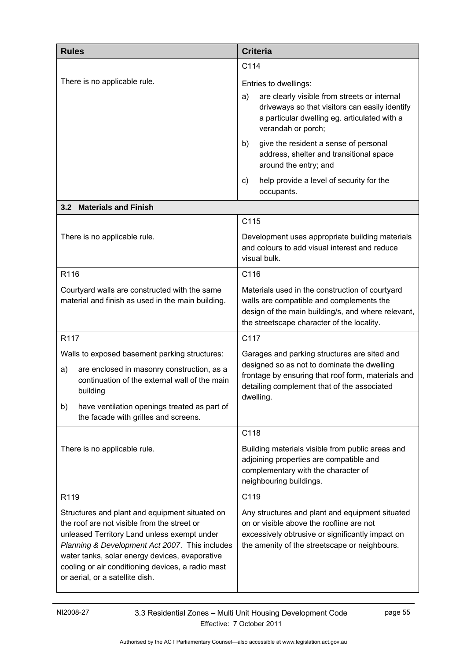| <b>Rules</b>                                                                                                                                                                                                                                                                                                                             | <b>Criteria</b>                                                                                                                                                                                               |  |
|------------------------------------------------------------------------------------------------------------------------------------------------------------------------------------------------------------------------------------------------------------------------------------------------------------------------------------------|---------------------------------------------------------------------------------------------------------------------------------------------------------------------------------------------------------------|--|
|                                                                                                                                                                                                                                                                                                                                          | C114                                                                                                                                                                                                          |  |
| There is no applicable rule.                                                                                                                                                                                                                                                                                                             | Entries to dwellings:<br>are clearly visible from streets or internal<br>a)<br>driveways so that visitors can easily identify<br>a particular dwelling eg. articulated with a<br>verandah or porch;           |  |
|                                                                                                                                                                                                                                                                                                                                          | give the resident a sense of personal<br>b)<br>address, shelter and transitional space<br>around the entry; and                                                                                               |  |
|                                                                                                                                                                                                                                                                                                                                          | help provide a level of security for the<br>C)<br>occupants.                                                                                                                                                  |  |
| 3.2 Materials and Finish                                                                                                                                                                                                                                                                                                                 |                                                                                                                                                                                                               |  |
|                                                                                                                                                                                                                                                                                                                                          | C115                                                                                                                                                                                                          |  |
| There is no applicable rule.                                                                                                                                                                                                                                                                                                             | Development uses appropriate building materials<br>and colours to add visual interest and reduce<br>visual bulk.                                                                                              |  |
| R116                                                                                                                                                                                                                                                                                                                                     | C116                                                                                                                                                                                                          |  |
| Courtyard walls are constructed with the same<br>material and finish as used in the main building.                                                                                                                                                                                                                                       | Materials used in the construction of courtyard<br>walls are compatible and complements the<br>design of the main building/s, and where relevant,<br>the streetscape character of the locality.               |  |
| R117                                                                                                                                                                                                                                                                                                                                     | C117                                                                                                                                                                                                          |  |
| Walls to exposed basement parking structures:<br>are enclosed in masonry construction, as a<br>a)<br>continuation of the external wall of the main<br>building<br>have ventilation openings treated as part of<br>b)<br>the facade with grilles and screens.                                                                             | Garages and parking structures are sited and<br>designed so as not to dominate the dwelling<br>frontage by ensuring that roof form, materials and<br>detailing complement that of the associated<br>dwelling. |  |
|                                                                                                                                                                                                                                                                                                                                          | C118                                                                                                                                                                                                          |  |
| There is no applicable rule.                                                                                                                                                                                                                                                                                                             | Building materials visible from public areas and<br>adjoining properties are compatible and<br>complementary with the character of<br>neighbouring buildings.                                                 |  |
| R119                                                                                                                                                                                                                                                                                                                                     | C119                                                                                                                                                                                                          |  |
| Structures and plant and equipment situated on<br>the roof are not visible from the street or<br>unleased Territory Land unless exempt under<br>Planning & Development Act 2007. This includes<br>water tanks, solar energy devices, evaporative<br>cooling or air conditioning devices, a radio mast<br>or aerial, or a satellite dish. | Any structures and plant and equipment situated<br>on or visible above the roofline are not<br>excessively obtrusive or significantly impact on<br>the amenity of the streetscape or neighbours.              |  |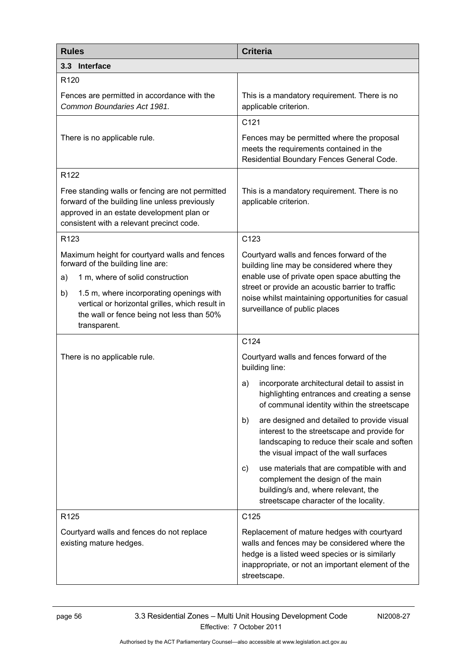| <b>Rules</b>                                                                                                                                                                                                                                                                                   | <b>Criteria</b>                                                                                                                                                                                                                                                                    |  |
|------------------------------------------------------------------------------------------------------------------------------------------------------------------------------------------------------------------------------------------------------------------------------------------------|------------------------------------------------------------------------------------------------------------------------------------------------------------------------------------------------------------------------------------------------------------------------------------|--|
| 3.3 Interface                                                                                                                                                                                                                                                                                  |                                                                                                                                                                                                                                                                                    |  |
| R <sub>120</sub>                                                                                                                                                                                                                                                                               |                                                                                                                                                                                                                                                                                    |  |
| Fences are permitted in accordance with the<br>Common Boundaries Act 1981.                                                                                                                                                                                                                     | This is a mandatory requirement. There is no<br>applicable criterion.                                                                                                                                                                                                              |  |
|                                                                                                                                                                                                                                                                                                | C121                                                                                                                                                                                                                                                                               |  |
| There is no applicable rule.                                                                                                                                                                                                                                                                   | Fences may be permitted where the proposal<br>meets the requirements contained in the<br>Residential Boundary Fences General Code.                                                                                                                                                 |  |
| R <sub>122</sub>                                                                                                                                                                                                                                                                               |                                                                                                                                                                                                                                                                                    |  |
| Free standing walls or fencing are not permitted<br>forward of the building line unless previously<br>approved in an estate development plan or<br>consistent with a relevant precinct code.                                                                                                   | This is a mandatory requirement. There is no<br>applicable criterion.                                                                                                                                                                                                              |  |
| R <sub>123</sub>                                                                                                                                                                                                                                                                               | C123                                                                                                                                                                                                                                                                               |  |
| Maximum height for courtyard walls and fences<br>forward of the building line are:<br>1 m, where of solid construction<br>a)<br>1.5 m, where incorporating openings with<br>b)<br>vertical or horizontal grilles, which result in<br>the wall or fence being not less than 50%<br>transparent. | Courtyard walls and fences forward of the<br>building line may be considered where they<br>enable use of private open space abutting the<br>street or provide an acoustic barrier to traffic<br>noise whilst maintaining opportunities for casual<br>surveillance of public places |  |
|                                                                                                                                                                                                                                                                                                | C124                                                                                                                                                                                                                                                                               |  |
| There is no applicable rule.                                                                                                                                                                                                                                                                   | Courtyard walls and fences forward of the<br>building line:                                                                                                                                                                                                                        |  |
|                                                                                                                                                                                                                                                                                                | incorporate architectural detail to assist in<br>a)<br>highlighting entrances and creating a sense<br>of communal identity within the streetscape                                                                                                                                  |  |
|                                                                                                                                                                                                                                                                                                | are designed and detailed to provide visual<br>b)<br>interest to the streetscape and provide for<br>landscaping to reduce their scale and soften<br>the visual impact of the wall surfaces                                                                                         |  |
|                                                                                                                                                                                                                                                                                                | use materials that are compatible with and<br>C)<br>complement the design of the main<br>building/s and, where relevant, the<br>streetscape character of the locality.                                                                                                             |  |
| R <sub>125</sub>                                                                                                                                                                                                                                                                               | C125                                                                                                                                                                                                                                                                               |  |
| Courtyard walls and fences do not replace<br>existing mature hedges.                                                                                                                                                                                                                           | Replacement of mature hedges with courtyard<br>walls and fences may be considered where the<br>hedge is a listed weed species or is similarly<br>inappropriate, or not an important element of the<br>streetscape.                                                                 |  |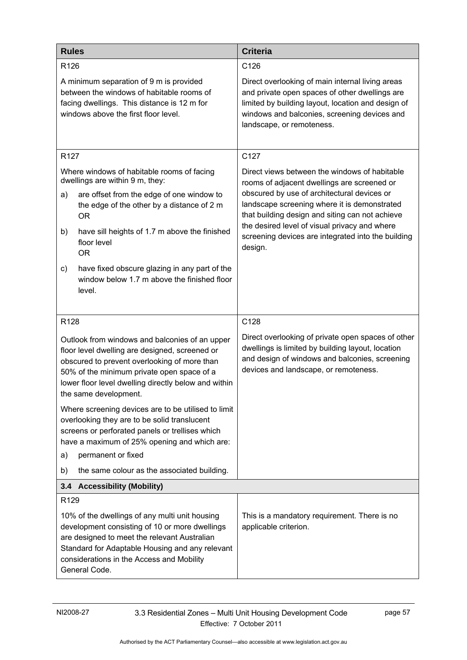| <b>Rules</b>                                                                                                                                                                                                                                                                    | <b>Criteria</b>                                                                                                                                                                                                                       |
|---------------------------------------------------------------------------------------------------------------------------------------------------------------------------------------------------------------------------------------------------------------------------------|---------------------------------------------------------------------------------------------------------------------------------------------------------------------------------------------------------------------------------------|
| R <sub>126</sub>                                                                                                                                                                                                                                                                | C126                                                                                                                                                                                                                                  |
| A minimum separation of 9 m is provided<br>between the windows of habitable rooms of<br>facing dwellings. This distance is 12 m for<br>windows above the first floor level.                                                                                                     | Direct overlooking of main internal living areas<br>and private open spaces of other dwellings are<br>limited by building layout, location and design of<br>windows and balconies, screening devices and<br>landscape, or remoteness. |
| R <sub>127</sub>                                                                                                                                                                                                                                                                | C127                                                                                                                                                                                                                                  |
| Where windows of habitable rooms of facing<br>dwellings are within 9 m, they:<br>are offset from the edge of one window to<br>a)                                                                                                                                                | Direct views between the windows of habitable<br>rooms of adjacent dwellings are screened or<br>obscured by use of architectural devices or                                                                                           |
| the edge of the other by a distance of 2 m<br><b>OR</b>                                                                                                                                                                                                                         | landscape screening where it is demonstrated<br>that building design and siting can not achieve                                                                                                                                       |
| have sill heights of 1.7 m above the finished<br>b)<br>floor level<br><b>OR</b>                                                                                                                                                                                                 | the desired level of visual privacy and where<br>screening devices are integrated into the building<br>design.                                                                                                                        |
| have fixed obscure glazing in any part of the<br>c)<br>window below 1.7 m above the finished floor<br>level.                                                                                                                                                                    |                                                                                                                                                                                                                                       |
| R128                                                                                                                                                                                                                                                                            | C128                                                                                                                                                                                                                                  |
| Outlook from windows and balconies of an upper<br>floor level dwelling are designed, screened or<br>obscured to prevent overlooking of more than<br>50% of the minimum private open space of a<br>lower floor level dwelling directly below and within<br>the same development. | Direct overlooking of private open spaces of other<br>dwellings is limited by building layout, location<br>and design of windows and balconies, screening<br>devices and landscape, or remoteness.                                    |
| Where screening devices are to be utilised to limit<br>overlooking they are to be solid translucent<br>screens or perforated panels or trellises which<br>have a maximum of 25% opening and which are:                                                                          |                                                                                                                                                                                                                                       |
| permanent or fixed<br>a)                                                                                                                                                                                                                                                        |                                                                                                                                                                                                                                       |
| the same colour as the associated building.<br>b)                                                                                                                                                                                                                               |                                                                                                                                                                                                                                       |
| 3.4 Accessibility (Mobility)                                                                                                                                                                                                                                                    |                                                                                                                                                                                                                                       |
| R129<br>10% of the dwellings of any multi unit housing<br>development consisting of 10 or more dwellings<br>are designed to meet the relevant Australian<br>Standard for Adaptable Housing and any relevant<br>considerations in the Access and Mobility<br>General Code.       | This is a mandatory requirement. There is no<br>applicable criterion.                                                                                                                                                                 |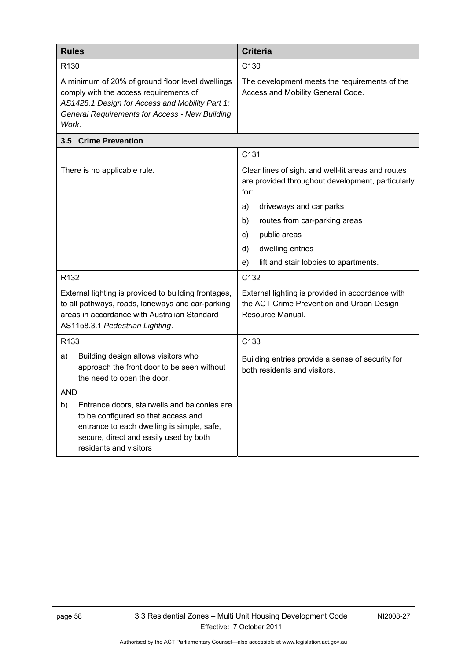| <b>Rules</b>                                                                                                                                                                                                    | <b>Criteria</b>                                                                                                   |
|-----------------------------------------------------------------------------------------------------------------------------------------------------------------------------------------------------------------|-------------------------------------------------------------------------------------------------------------------|
| R <sub>130</sub>                                                                                                                                                                                                | C <sub>130</sub>                                                                                                  |
| A minimum of 20% of ground floor level dwellings<br>comply with the access requirements of<br>AS1428.1 Design for Access and Mobility Part 1:<br><b>General Requirements for Access - New Building</b><br>Work. | The development meets the requirements of the<br>Access and Mobility General Code.                                |
| 3.5 Crime Prevention                                                                                                                                                                                            |                                                                                                                   |
|                                                                                                                                                                                                                 | C131                                                                                                              |
| There is no applicable rule.                                                                                                                                                                                    | Clear lines of sight and well-lit areas and routes<br>are provided throughout development, particularly<br>for:   |
|                                                                                                                                                                                                                 | driveways and car parks<br>a)                                                                                     |
|                                                                                                                                                                                                                 | routes from car-parking areas<br>b)                                                                               |
|                                                                                                                                                                                                                 | public areas<br>C)                                                                                                |
|                                                                                                                                                                                                                 | dwelling entries<br>d)                                                                                            |
|                                                                                                                                                                                                                 | lift and stair lobbies to apartments.<br>e)                                                                       |
| R <sub>132</sub>                                                                                                                                                                                                | C132                                                                                                              |
| External lighting is provided to building frontages,<br>to all pathways, roads, laneways and car-parking<br>areas in accordance with Australian Standard<br>AS1158.3.1 Pedestrian Lighting.                     | External lighting is provided in accordance with<br>the ACT Crime Prevention and Urban Design<br>Resource Manual. |
| R133                                                                                                                                                                                                            | C133                                                                                                              |
| Building design allows visitors who<br>a)<br>approach the front door to be seen without<br>the need to open the door.                                                                                           | Building entries provide a sense of security for<br>both residents and visitors.                                  |
| <b>AND</b>                                                                                                                                                                                                      |                                                                                                                   |
| b)<br>Entrance doors, stairwells and balconies are<br>to be configured so that access and<br>entrance to each dwelling is simple, safe,<br>secure, direct and easily used by both<br>residents and visitors     |                                                                                                                   |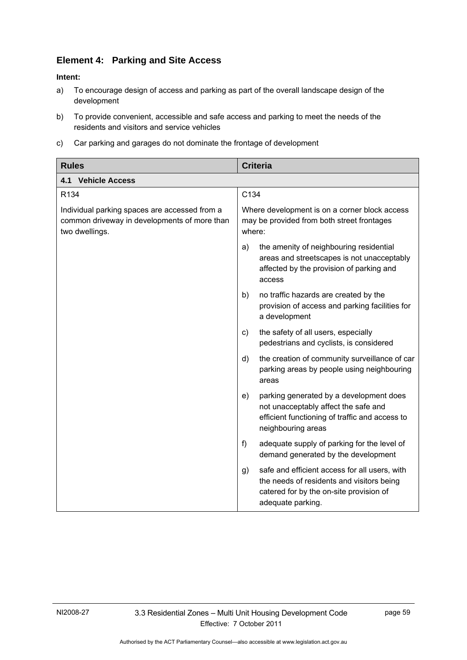# **Element 4: Parking and Site Access**

#### **Intent:**

- a) To encourage design of access and parking as part of the overall landscape design of the development
- b) To provide convenient, accessible and safe access and parking to meet the needs of the residents and visitors and service vehicles
- c) Car parking and garages do not dominate the frontage of development

| <b>Rules</b>                                                                                                    | <b>Criteria</b>                                                                                                                                                  |  |
|-----------------------------------------------------------------------------------------------------------------|------------------------------------------------------------------------------------------------------------------------------------------------------------------|--|
| <b>Vehicle Access</b><br>4.1                                                                                    |                                                                                                                                                                  |  |
| R <sub>134</sub>                                                                                                | C134                                                                                                                                                             |  |
| Individual parking spaces are accessed from a<br>common driveway in developments of more than<br>two dwellings. | Where development is on a corner block access<br>may be provided from both street frontages<br>where:                                                            |  |
|                                                                                                                 | the amenity of neighbouring residential<br>a)<br>areas and streetscapes is not unacceptably<br>affected by the provision of parking and<br>access                |  |
|                                                                                                                 | b)<br>no traffic hazards are created by the<br>provision of access and parking facilities for<br>a development                                                   |  |
|                                                                                                                 | the safety of all users, especially<br>C)<br>pedestrians and cyclists, is considered                                                                             |  |
|                                                                                                                 | the creation of community surveillance of car<br>d)<br>parking areas by people using neighbouring<br>areas                                                       |  |
|                                                                                                                 | parking generated by a development does<br>e)<br>not unacceptably affect the safe and<br>efficient functioning of traffic and access to<br>neighbouring areas    |  |
|                                                                                                                 | adequate supply of parking for the level of<br>f<br>demand generated by the development                                                                          |  |
|                                                                                                                 | safe and efficient access for all users, with<br>g)<br>the needs of residents and visitors being<br>catered for by the on-site provision of<br>adequate parking. |  |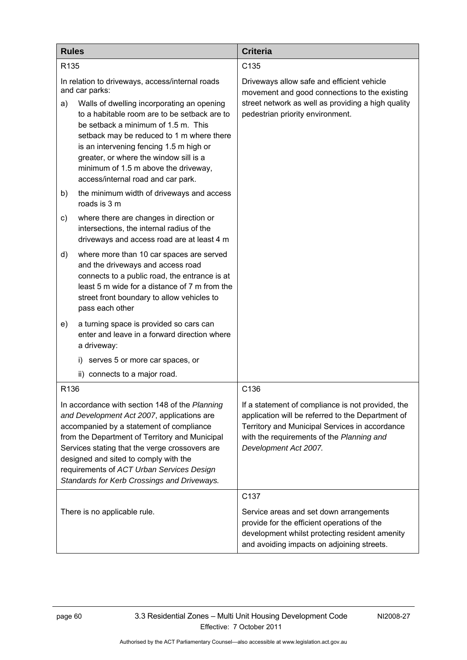| <b>Rules</b>                                                                                                                                                                                                                                                                                                                                                                      |                                                                                                                                                                                                                                                                                                                                                   | <b>Criteria</b>                                                                                                                                                                                                                |
|-----------------------------------------------------------------------------------------------------------------------------------------------------------------------------------------------------------------------------------------------------------------------------------------------------------------------------------------------------------------------------------|---------------------------------------------------------------------------------------------------------------------------------------------------------------------------------------------------------------------------------------------------------------------------------------------------------------------------------------------------|--------------------------------------------------------------------------------------------------------------------------------------------------------------------------------------------------------------------------------|
| R <sub>135</sub>                                                                                                                                                                                                                                                                                                                                                                  |                                                                                                                                                                                                                                                                                                                                                   | C135                                                                                                                                                                                                                           |
| In relation to driveways, access/internal roads<br>and car parks:                                                                                                                                                                                                                                                                                                                 |                                                                                                                                                                                                                                                                                                                                                   | Driveways allow safe and efficient vehicle<br>movement and good connections to the existing                                                                                                                                    |
| a)                                                                                                                                                                                                                                                                                                                                                                                | Walls of dwelling incorporating an opening<br>to a habitable room are to be setback are to<br>be setback a minimum of 1.5 m. This<br>setback may be reduced to 1 m where there<br>is an intervening fencing 1.5 m high or<br>greater, or where the window sill is a<br>minimum of 1.5 m above the driveway,<br>access/internal road and car park. | street network as well as providing a high quality<br>pedestrian priority environment.                                                                                                                                         |
| b)                                                                                                                                                                                                                                                                                                                                                                                | the minimum width of driveways and access<br>roads is 3 m                                                                                                                                                                                                                                                                                         |                                                                                                                                                                                                                                |
| C)                                                                                                                                                                                                                                                                                                                                                                                | where there are changes in direction or<br>intersections, the internal radius of the<br>driveways and access road are at least 4 m                                                                                                                                                                                                                |                                                                                                                                                                                                                                |
| d)                                                                                                                                                                                                                                                                                                                                                                                | where more than 10 car spaces are served<br>and the driveways and access road<br>connects to a public road, the entrance is at<br>least 5 m wide for a distance of 7 m from the<br>street front boundary to allow vehicles to<br>pass each other                                                                                                  |                                                                                                                                                                                                                                |
| e)                                                                                                                                                                                                                                                                                                                                                                                | a turning space is provided so cars can<br>enter and leave in a forward direction where<br>a driveway:                                                                                                                                                                                                                                            |                                                                                                                                                                                                                                |
|                                                                                                                                                                                                                                                                                                                                                                                   | serves 5 or more car spaces, or<br>i)                                                                                                                                                                                                                                                                                                             |                                                                                                                                                                                                                                |
|                                                                                                                                                                                                                                                                                                                                                                                   | ii)<br>connects to a major road.                                                                                                                                                                                                                                                                                                                  |                                                                                                                                                                                                                                |
| R <sub>136</sub>                                                                                                                                                                                                                                                                                                                                                                  |                                                                                                                                                                                                                                                                                                                                                   | C136                                                                                                                                                                                                                           |
| In accordance with section 148 of the Planning<br>and Development Act 2007, applications are<br>accompanied by a statement of compliance<br>from the Department of Territory and Municipal<br>Services stating that the verge crossovers are<br>designed and sited to comply with the<br>requirements of ACT Urban Services Design<br>Standards for Kerb Crossings and Driveways. |                                                                                                                                                                                                                                                                                                                                                   | If a statement of compliance is not provided, the<br>application will be referred to the Department of<br>Territory and Municipal Services in accordance<br>with the requirements of the Planning and<br>Development Act 2007. |
| There is no applicable rule.                                                                                                                                                                                                                                                                                                                                                      |                                                                                                                                                                                                                                                                                                                                                   | C137<br>Service areas and set down arrangements<br>provide for the efficient operations of the<br>development whilst protecting resident amenity<br>and avoiding impacts on adjoining streets.                                 |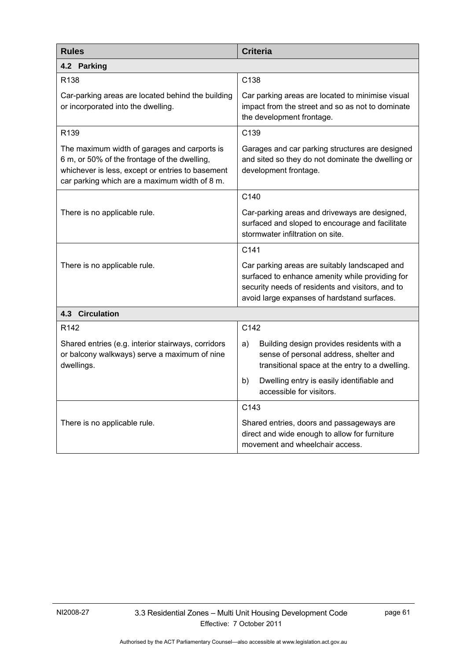| <b>Rules</b>                                                                                                                                                                                      | <b>Criteria</b>                                                                                                                                                                                     |  |  |
|---------------------------------------------------------------------------------------------------------------------------------------------------------------------------------------------------|-----------------------------------------------------------------------------------------------------------------------------------------------------------------------------------------------------|--|--|
| 4.2 Parking                                                                                                                                                                                       |                                                                                                                                                                                                     |  |  |
| R138                                                                                                                                                                                              | C138                                                                                                                                                                                                |  |  |
| Car-parking areas are located behind the building<br>or incorporated into the dwelling.                                                                                                           | Car parking areas are located to minimise visual<br>impact from the street and so as not to dominate<br>the development frontage.                                                                   |  |  |
| R <sub>139</sub>                                                                                                                                                                                  | C139                                                                                                                                                                                                |  |  |
| The maximum width of garages and carports is<br>6 m, or 50% of the frontage of the dwelling,<br>whichever is less, except or entries to basement<br>car parking which are a maximum width of 8 m. | Garages and car parking structures are designed<br>and sited so they do not dominate the dwelling or<br>development frontage.                                                                       |  |  |
|                                                                                                                                                                                                   | C140                                                                                                                                                                                                |  |  |
| There is no applicable rule.                                                                                                                                                                      | Car-parking areas and driveways are designed,<br>surfaced and sloped to encourage and facilitate<br>stormwater infiltration on site.                                                                |  |  |
|                                                                                                                                                                                                   | C141                                                                                                                                                                                                |  |  |
| There is no applicable rule.                                                                                                                                                                      | Car parking areas are suitably landscaped and<br>surfaced to enhance amenity while providing for<br>security needs of residents and visitors, and to<br>avoid large expanses of hardstand surfaces. |  |  |
| <b>4.3 Circulation</b>                                                                                                                                                                            |                                                                                                                                                                                                     |  |  |
| R <sub>142</sub>                                                                                                                                                                                  | C142                                                                                                                                                                                                |  |  |
| Shared entries (e.g. interior stairways, corridors<br>or balcony walkways) serve a maximum of nine<br>dwellings.                                                                                  | Building design provides residents with a<br>a)<br>sense of personal address, shelter and<br>transitional space at the entry to a dwelling.                                                         |  |  |
|                                                                                                                                                                                                   | Dwelling entry is easily identifiable and<br>b)<br>accessible for visitors.                                                                                                                         |  |  |
|                                                                                                                                                                                                   | C143                                                                                                                                                                                                |  |  |
| There is no applicable rule.                                                                                                                                                                      | Shared entries, doors and passageways are<br>direct and wide enough to allow for furniture<br>movement and wheelchair access.                                                                       |  |  |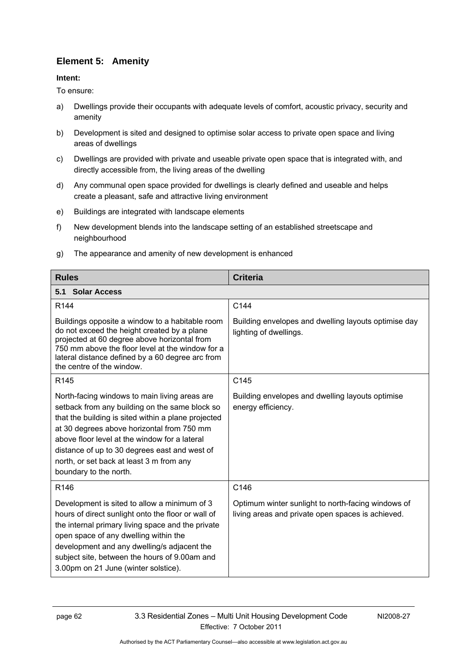# **Element 5: Amenity**

## **Intent:**

To ensure:

- a) Dwellings provide their occupants with adequate levels of comfort, acoustic privacy, security and amenity
- b) Development is sited and designed to optimise solar access to private open space and living areas of dwellings
- c) Dwellings are provided with private and useable private open space that is integrated with, and directly accessible from, the living areas of the dwelling
- d) Any communal open space provided for dwellings is clearly defined and useable and helps create a pleasant, safe and attractive living environment
- e) Buildings are integrated with landscape elements
- f) New development blends into the landscape setting of an established streetscape and neighbourhood
- g) The appearance and amenity of new development is enhanced

| <b>Rules</b>                                                                                                                                                                                                                                                                                                                                                                 | <b>Criteria</b>                                                                                         |  |
|------------------------------------------------------------------------------------------------------------------------------------------------------------------------------------------------------------------------------------------------------------------------------------------------------------------------------------------------------------------------------|---------------------------------------------------------------------------------------------------------|--|
| 5.1 Solar Access                                                                                                                                                                                                                                                                                                                                                             |                                                                                                         |  |
| R <sub>144</sub>                                                                                                                                                                                                                                                                                                                                                             | C144                                                                                                    |  |
| Buildings opposite a window to a habitable room<br>do not exceed the height created by a plane<br>projected at 60 degree above horizontal from<br>750 mm above the floor level at the window for a<br>lateral distance defined by a 60 degree arc from<br>the centre of the window.                                                                                          | Building envelopes and dwelling layouts optimise day<br>lighting of dwellings.                          |  |
| R <sub>145</sub>                                                                                                                                                                                                                                                                                                                                                             | C145                                                                                                    |  |
| North-facing windows to main living areas are<br>setback from any building on the same block so<br>that the building is sited within a plane projected<br>at 30 degrees above horizontal from 750 mm<br>above floor level at the window for a lateral<br>distance of up to 30 degrees east and west of<br>north, or set back at least 3 m from any<br>boundary to the north. | Building envelopes and dwelling layouts optimise<br>energy efficiency.                                  |  |
| R146                                                                                                                                                                                                                                                                                                                                                                         | C146                                                                                                    |  |
| Development is sited to allow a minimum of 3<br>hours of direct sunlight onto the floor or wall of<br>the internal primary living space and the private<br>open space of any dwelling within the<br>development and any dwelling/s adjacent the<br>subject site, between the hours of 9.00am and<br>3.00pm on 21 June (winter solstice).                                     | Optimum winter sunlight to north-facing windows of<br>living areas and private open spaces is achieved. |  |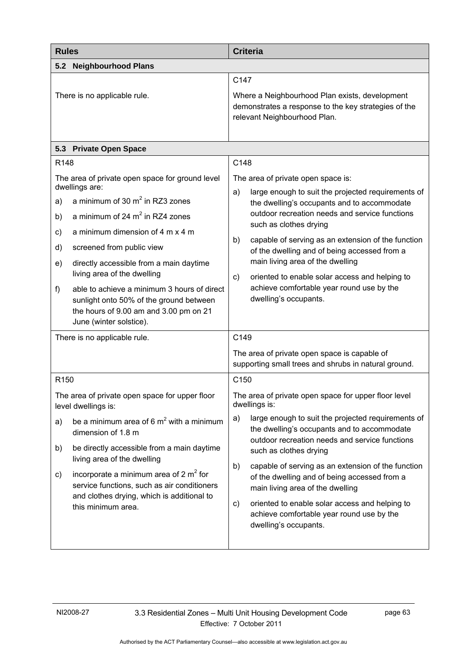| <b>Rules</b>                 |                                                                                                                                                                                                                                   | <b>Criteria</b>                                                                                                                                                                                                                                                            |  |  |  |
|------------------------------|-----------------------------------------------------------------------------------------------------------------------------------------------------------------------------------------------------------------------------------|----------------------------------------------------------------------------------------------------------------------------------------------------------------------------------------------------------------------------------------------------------------------------|--|--|--|
|                              | 5.2 Neighbourhood Plans                                                                                                                                                                                                           |                                                                                                                                                                                                                                                                            |  |  |  |
| There is no applicable rule. |                                                                                                                                                                                                                                   | C147<br>Where a Neighbourhood Plan exists, development<br>demonstrates a response to the key strategies of the<br>relevant Neighbourhood Plan.                                                                                                                             |  |  |  |
| 5.3                          | <b>Private Open Space</b>                                                                                                                                                                                                         |                                                                                                                                                                                                                                                                            |  |  |  |
| R148                         |                                                                                                                                                                                                                                   | C148                                                                                                                                                                                                                                                                       |  |  |  |
| a)<br>b)                     | The area of private open space for ground level<br>dwellings are:<br>a minimum of 30 $m2$ in RZ3 zones<br>a minimum of 24 $m2$ in RZ4 zones                                                                                       | The area of private open space is:<br>large enough to suit the projected requirements of<br>a)<br>the dwelling's occupants and to accommodate<br>outdoor recreation needs and service functions<br>such as clothes drying                                                  |  |  |  |
| c)<br>d)<br>e)<br>f)         | a minimum dimension of 4 m x 4 m<br>screened from public view<br>directly accessible from a main daytime<br>living area of the dwelling<br>able to achieve a minimum 3 hours of direct<br>sunlight onto 50% of the ground between | capable of serving as an extension of the function<br>b)<br>of the dwelling and of being accessed from a<br>main living area of the dwelling<br>oriented to enable solar access and helping to<br>C)<br>achieve comfortable year round use by the<br>dwelling's occupants. |  |  |  |
|                              | the hours of 9.00 am and 3.00 pm on 21<br>June (winter solstice).<br>There is no applicable rule.                                                                                                                                 | C149                                                                                                                                                                                                                                                                       |  |  |  |
|                              |                                                                                                                                                                                                                                   | The area of private open space is capable of<br>supporting small trees and shrubs in natural ground.                                                                                                                                                                       |  |  |  |
| R <sub>150</sub>             |                                                                                                                                                                                                                                   | C <sub>150</sub>                                                                                                                                                                                                                                                           |  |  |  |
|                              | The area of private open space for upper floor<br>level dwellings is:                                                                                                                                                             | The area of private open space for upper floor level<br>dwellings is:                                                                                                                                                                                                      |  |  |  |
| a)                           | be a minimum area of 6 $m2$ with a minimum<br>dimension of 1.8 m                                                                                                                                                                  | a)<br>large enough to suit the projected requirements of<br>the dwelling's occupants and to accommodate<br>outdoor recreation needs and service functions                                                                                                                  |  |  |  |
| b)                           | be directly accessible from a main daytime<br>living area of the dwelling                                                                                                                                                         | such as clothes drying<br>b)<br>capable of serving as an extension of the function                                                                                                                                                                                         |  |  |  |
| c)                           | incorporate a minimum area of 2 $m2$ for<br>service functions, such as air conditioners<br>and clothes drying, which is additional to<br>this minimum area.                                                                       | of the dwelling and of being accessed from a<br>main living area of the dwelling<br>oriented to enable solar access and helping to<br>C)<br>achieve comfortable year round use by the<br>dwelling's occupants.                                                             |  |  |  |
|                              |                                                                                                                                                                                                                                   |                                                                                                                                                                                                                                                                            |  |  |  |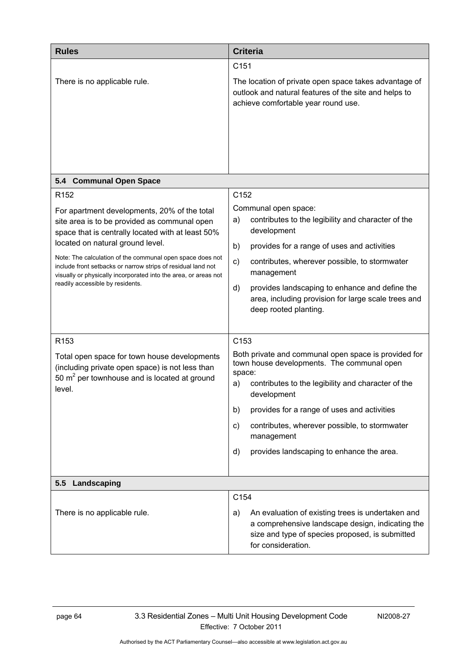| <b>Rules</b>                                                                                                                                                                                                                                                                                                                                                                                                                                  | <b>Criteria</b>                                                                                                                                                                                                                                                                                                                                                                          |  |  |
|-----------------------------------------------------------------------------------------------------------------------------------------------------------------------------------------------------------------------------------------------------------------------------------------------------------------------------------------------------------------------------------------------------------------------------------------------|------------------------------------------------------------------------------------------------------------------------------------------------------------------------------------------------------------------------------------------------------------------------------------------------------------------------------------------------------------------------------------------|--|--|
| There is no applicable rule.                                                                                                                                                                                                                                                                                                                                                                                                                  | C <sub>151</sub><br>The location of private open space takes advantage of<br>outlook and natural features of the site and helps to<br>achieve comfortable year round use.                                                                                                                                                                                                                |  |  |
| 5.4 Communal Open Space                                                                                                                                                                                                                                                                                                                                                                                                                       |                                                                                                                                                                                                                                                                                                                                                                                          |  |  |
| R <sub>152</sub><br>For apartment developments, 20% of the total<br>site area is to be provided as communal open<br>space that is centrally located with at least 50%<br>located on natural ground level.<br>Note: The calculation of the communal open space does not<br>include front setbacks or narrow strips of residual land not<br>visually or physically incorporated into the area, or areas not<br>readily accessible by residents. | C152<br>Communal open space:<br>contributes to the legibility and character of the<br>a)<br>development<br>b)<br>provides for a range of uses and activities<br>contributes, wherever possible, to stormwater<br>c)<br>management<br>provides landscaping to enhance and define the<br>d)<br>area, including provision for large scale trees and<br>deep rooted planting.                |  |  |
| R <sub>153</sub><br>Total open space for town house developments<br>(including private open space) is not less than<br>50 $m2$ per townhouse and is located at ground<br>level.                                                                                                                                                                                                                                                               | C <sub>153</sub><br>Both private and communal open space is provided for<br>town house developments. The communal open<br>space:<br>contributes to the legibility and character of the<br>a)<br>development<br>provides for a range of uses and activities<br>b)<br>contributes, wherever possible, to stormwater<br>C)<br>management<br>provides landscaping to enhance the area.<br>d) |  |  |
| Landscaping<br>5.5                                                                                                                                                                                                                                                                                                                                                                                                                            |                                                                                                                                                                                                                                                                                                                                                                                          |  |  |
| There is no applicable rule.                                                                                                                                                                                                                                                                                                                                                                                                                  | C154<br>An evaluation of existing trees is undertaken and<br>a)<br>a comprehensive landscape design, indicating the<br>size and type of species proposed, is submitted<br>for consideration.                                                                                                                                                                                             |  |  |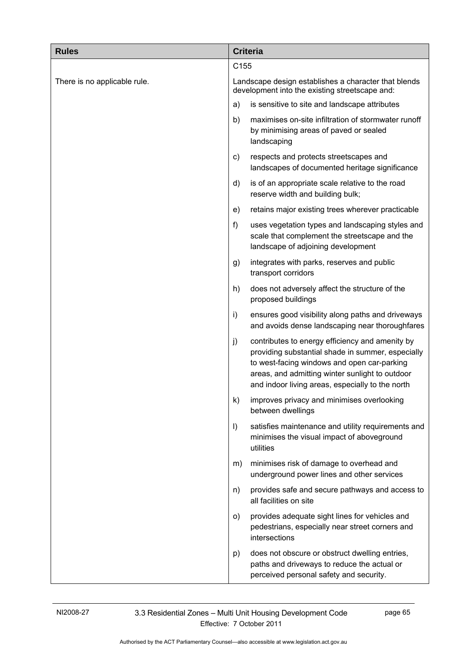| <b>Rules</b>                 |                                                                                                        | <b>Criteria</b>                                                                                                                                                                                                                                            |  |  |
|------------------------------|--------------------------------------------------------------------------------------------------------|------------------------------------------------------------------------------------------------------------------------------------------------------------------------------------------------------------------------------------------------------------|--|--|
|                              |                                                                                                        | C155                                                                                                                                                                                                                                                       |  |  |
| There is no applicable rule. | Landscape design establishes a character that blends<br>development into the existing streetscape and: |                                                                                                                                                                                                                                                            |  |  |
|                              | a)                                                                                                     | is sensitive to site and landscape attributes                                                                                                                                                                                                              |  |  |
|                              | b)                                                                                                     | maximises on-site infiltration of stormwater runoff<br>by minimising areas of paved or sealed<br>landscaping                                                                                                                                               |  |  |
|                              | c)                                                                                                     | respects and protects streetscapes and<br>landscapes of documented heritage significance                                                                                                                                                                   |  |  |
|                              | d)                                                                                                     | is of an appropriate scale relative to the road<br>reserve width and building bulk;                                                                                                                                                                        |  |  |
|                              | e)                                                                                                     | retains major existing trees wherever practicable                                                                                                                                                                                                          |  |  |
|                              | f)                                                                                                     | uses vegetation types and landscaping styles and<br>scale that complement the streetscape and the<br>landscape of adjoining development                                                                                                                    |  |  |
|                              | g)                                                                                                     | integrates with parks, reserves and public<br>transport corridors                                                                                                                                                                                          |  |  |
|                              | h)                                                                                                     | does not adversely affect the structure of the<br>proposed buildings                                                                                                                                                                                       |  |  |
|                              | i)                                                                                                     | ensures good visibility along paths and driveways<br>and avoids dense landscaping near thoroughfares                                                                                                                                                       |  |  |
|                              | j)                                                                                                     | contributes to energy efficiency and amenity by<br>providing substantial shade in summer, especially<br>to west-facing windows and open car-parking<br>areas, and admitting winter sunlight to outdoor<br>and indoor living areas, especially to the north |  |  |
|                              | k)                                                                                                     | improves privacy and minimises overlooking<br>between dwellings                                                                                                                                                                                            |  |  |
|                              | $\vert$                                                                                                | satisfies maintenance and utility requirements and<br>minimises the visual impact of aboveground<br>utilities                                                                                                                                              |  |  |
|                              | m)                                                                                                     | minimises risk of damage to overhead and<br>underground power lines and other services                                                                                                                                                                     |  |  |
|                              | n)                                                                                                     | provides safe and secure pathways and access to<br>all facilities on site                                                                                                                                                                                  |  |  |
|                              | O)                                                                                                     | provides adequate sight lines for vehicles and<br>pedestrians, especially near street corners and<br>intersections                                                                                                                                         |  |  |
|                              | p)                                                                                                     | does not obscure or obstruct dwelling entries,<br>paths and driveways to reduce the actual or<br>perceived personal safety and security.                                                                                                                   |  |  |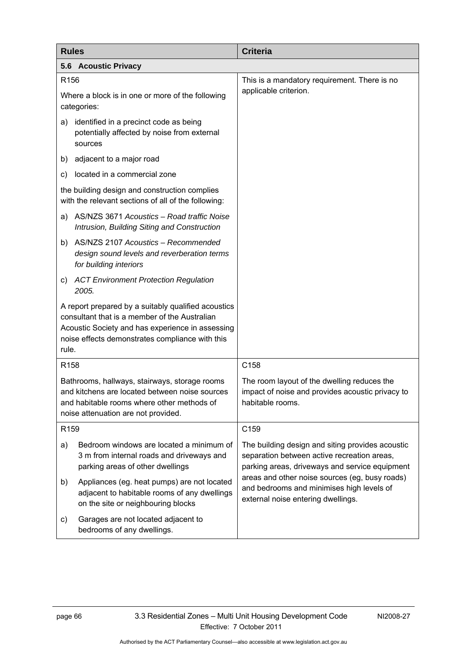| <b>Rules</b>                                                                                                                                                                                                         |                                                                                                                                   | <b>Criteria</b>                                                                                                                                   |  |  |  |
|----------------------------------------------------------------------------------------------------------------------------------------------------------------------------------------------------------------------|-----------------------------------------------------------------------------------------------------------------------------------|---------------------------------------------------------------------------------------------------------------------------------------------------|--|--|--|
|                                                                                                                                                                                                                      | 5.6 Acoustic Privacy                                                                                                              |                                                                                                                                                   |  |  |  |
| R156                                                                                                                                                                                                                 |                                                                                                                                   | This is a mandatory requirement. There is no                                                                                                      |  |  |  |
| Where a block is in one or more of the following<br>categories:                                                                                                                                                      |                                                                                                                                   | applicable criterion.                                                                                                                             |  |  |  |
| a)                                                                                                                                                                                                                   | identified in a precinct code as being<br>potentially affected by noise from external<br>sources                                  |                                                                                                                                                   |  |  |  |
| b)                                                                                                                                                                                                                   | adjacent to a major road                                                                                                          |                                                                                                                                                   |  |  |  |
| C)                                                                                                                                                                                                                   | located in a commercial zone                                                                                                      |                                                                                                                                                   |  |  |  |
| the building design and construction complies<br>with the relevant sections of all of the following:                                                                                                                 |                                                                                                                                   |                                                                                                                                                   |  |  |  |
| a)                                                                                                                                                                                                                   | AS/NZS 3671 Acoustics - Road traffic Noise<br>Intrusion, Building Siting and Construction                                         |                                                                                                                                                   |  |  |  |
| b)                                                                                                                                                                                                                   | AS/NZS 2107 Acoustics - Recommended<br>design sound levels and reverberation terms<br>for building interiors                      |                                                                                                                                                   |  |  |  |
| C)                                                                                                                                                                                                                   | <b>ACT Environment Protection Regulation</b><br>2005.                                                                             |                                                                                                                                                   |  |  |  |
| A report prepared by a suitably qualified acoustics<br>consultant that is a member of the Australian<br>Acoustic Society and has experience in assessing<br>noise effects demonstrates compliance with this<br>rule. |                                                                                                                                   |                                                                                                                                                   |  |  |  |
| R <sub>158</sub>                                                                                                                                                                                                     |                                                                                                                                   | C158                                                                                                                                              |  |  |  |
| Bathrooms, hallways, stairways, storage rooms<br>and kitchens are located between noise sources<br>and habitable rooms where other methods of<br>noise attenuation are not provided.                                 |                                                                                                                                   | The room layout of the dwelling reduces the<br>impact of noise and provides acoustic privacy to<br>habitable rooms.                               |  |  |  |
| R <sub>159</sub>                                                                                                                                                                                                     |                                                                                                                                   | C159                                                                                                                                              |  |  |  |
| a)                                                                                                                                                                                                                   | Bedroom windows are located a minimum of<br>3 m from internal roads and driveways and<br>parking areas of other dwellings         | The building design and siting provides acoustic<br>separation between active recreation areas,<br>parking areas, driveways and service equipment |  |  |  |
| b)                                                                                                                                                                                                                   | Appliances (eg. heat pumps) are not located<br>adjacent to habitable rooms of any dwellings<br>on the site or neighbouring blocks | areas and other noise sources (eg, busy roads)<br>and bedrooms and minimises high levels of<br>external noise entering dwellings.                 |  |  |  |
| c)                                                                                                                                                                                                                   | Garages are not located adjacent to<br>bedrooms of any dwellings.                                                                 |                                                                                                                                                   |  |  |  |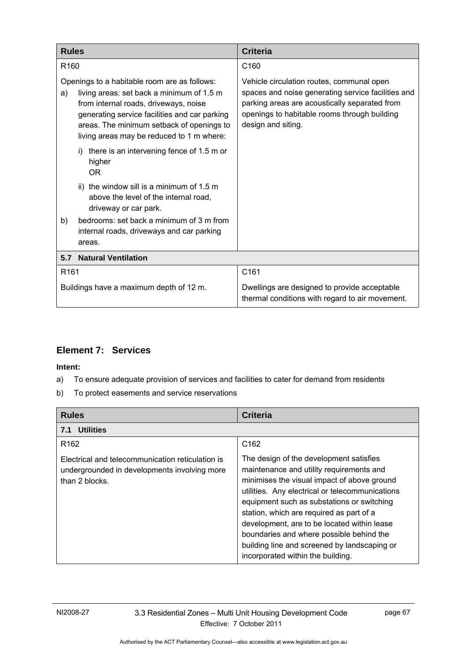| <b>Rules</b>                                                                                                                                                                                                                                                                        | <b>Criteria</b>                                                                                                                                                                                                        |
|-------------------------------------------------------------------------------------------------------------------------------------------------------------------------------------------------------------------------------------------------------------------------------------|------------------------------------------------------------------------------------------------------------------------------------------------------------------------------------------------------------------------|
| R <sub>160</sub>                                                                                                                                                                                                                                                                    | C <sub>160</sub>                                                                                                                                                                                                       |
| Openings to a habitable room are as follows:<br>living areas: set back a minimum of 1.5 m<br>a)<br>from internal roads, driveways, noise<br>generating service facilities and car parking<br>areas. The minimum setback of openings to<br>living areas may be reduced to 1 m where: | Vehicle circulation routes, communal open<br>spaces and noise generating service facilities and<br>parking areas are acoustically separated from<br>openings to habitable rooms through building<br>design and siting. |
| there is an intervening fence of 1.5 m or<br>i)<br>higher<br>0 <sub>R</sub>                                                                                                                                                                                                         |                                                                                                                                                                                                                        |
| ii) the window sill is a minimum of 1.5 m<br>above the level of the internal road,<br>driveway or car park.                                                                                                                                                                         |                                                                                                                                                                                                                        |
| bedrooms: set back a minimum of 3 m from<br>b)<br>internal roads, driveways and car parking<br>areas.                                                                                                                                                                               |                                                                                                                                                                                                                        |
| <b>Natural Ventilation</b><br>5.7                                                                                                                                                                                                                                                   |                                                                                                                                                                                                                        |
| R <sub>161</sub>                                                                                                                                                                                                                                                                    | C161                                                                                                                                                                                                                   |
| Buildings have a maximum depth of 12 m.                                                                                                                                                                                                                                             | Dwellings are designed to provide acceptable<br>thermal conditions with regard to air movement.                                                                                                                        |

## **Element 7: Services**

- a) To ensure adequate provision of services and facilities to cater for demand from residents
- b) To protect easements and service reservations

| <b>Rules</b>                                                                                                       | <b>Criteria</b>                                                                                                                                                                                                                                                                                                                                                                                                                                                 |
|--------------------------------------------------------------------------------------------------------------------|-----------------------------------------------------------------------------------------------------------------------------------------------------------------------------------------------------------------------------------------------------------------------------------------------------------------------------------------------------------------------------------------------------------------------------------------------------------------|
| 7.1 Utilities                                                                                                      |                                                                                                                                                                                                                                                                                                                                                                                                                                                                 |
| R <sub>162</sub>                                                                                                   | C <sub>162</sub>                                                                                                                                                                                                                                                                                                                                                                                                                                                |
| Electrical and telecommunication reticulation is<br>undergrounded in developments involving more<br>than 2 blocks. | The design of the development satisfies<br>maintenance and utility requirements and<br>minimises the visual impact of above ground<br>utilities. Any electrical or telecommunications<br>equipment such as substations or switching<br>station, which are required as part of a<br>development, are to be located within lease<br>boundaries and where possible behind the<br>building line and screened by landscaping or<br>incorporated within the building. |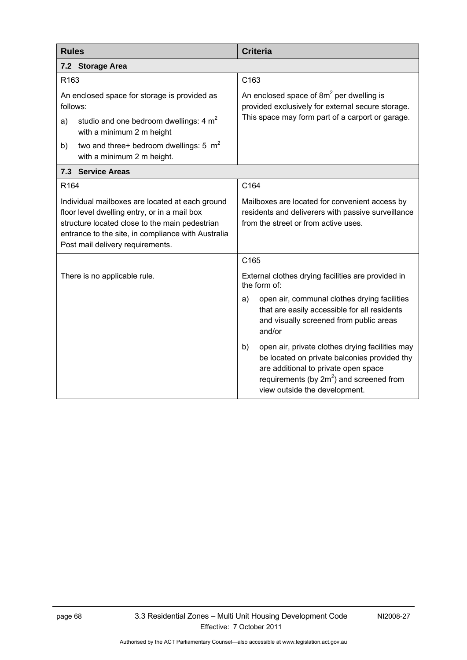| <b>Rules</b>                                                                                                                                                                                                                                | <b>Criteria</b>                                                                                                                                                                                                               |
|---------------------------------------------------------------------------------------------------------------------------------------------------------------------------------------------------------------------------------------------|-------------------------------------------------------------------------------------------------------------------------------------------------------------------------------------------------------------------------------|
| 7.2 Storage Area                                                                                                                                                                                                                            |                                                                                                                                                                                                                               |
| R <sub>163</sub>                                                                                                                                                                                                                            | C163                                                                                                                                                                                                                          |
| An enclosed space for storage is provided as<br>follows:                                                                                                                                                                                    | An enclosed space of $8m^2$ per dwelling is<br>provided exclusively for external secure storage.<br>This space may form part of a carport or garage.                                                                          |
| studio and one bedroom dwellings: $4 m2$<br>a)<br>with a minimum 2 m height                                                                                                                                                                 |                                                                                                                                                                                                                               |
| two and three+ bedroom dwellings: 5 $m2$<br>b)<br>with a minimum 2 m height.                                                                                                                                                                |                                                                                                                                                                                                                               |
| 7.3 Service Areas                                                                                                                                                                                                                           |                                                                                                                                                                                                                               |
| R <sub>164</sub>                                                                                                                                                                                                                            | C164                                                                                                                                                                                                                          |
| Individual mailboxes are located at each ground<br>floor level dwelling entry, or in a mail box<br>structure located close to the main pedestrian<br>entrance to the site, in compliance with Australia<br>Post mail delivery requirements. | Mailboxes are located for convenient access by<br>residents and deliverers with passive surveillance<br>from the street or from active uses.                                                                                  |
|                                                                                                                                                                                                                                             | C165                                                                                                                                                                                                                          |
| There is no applicable rule.                                                                                                                                                                                                                | External clothes drying facilities are provided in<br>the form of:                                                                                                                                                            |
|                                                                                                                                                                                                                                             | open air, communal clothes drying facilities<br>a)<br>that are easily accessible for all residents<br>and visually screened from public areas<br>and/or                                                                       |
|                                                                                                                                                                                                                                             | open air, private clothes drying facilities may<br>b)<br>be located on private balconies provided thy<br>are additional to private open space<br>requirements (by $2m^2$ ) and screened from<br>view outside the development. |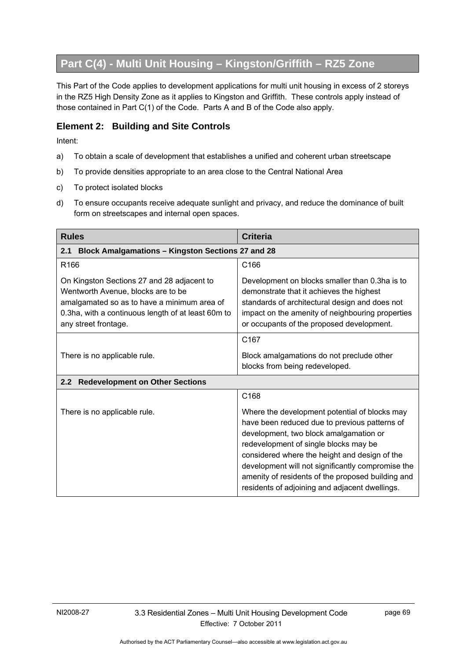# **Part C(4) - Multi Unit Housing – Kingston/Griffith – RZ5 Zone**

This Part of the Code applies to development applications for multi unit housing in excess of 2 storeys in the RZ5 High Density Zone as it applies to Kingston and Griffith. These controls apply instead of those contained in Part C(1) of the Code. Parts A and B of the Code also apply.

### **Element 2: Building and Site Controls**

- a) To obtain a scale of development that establishes a unified and coherent urban streetscape
- b) To provide densities appropriate to an area close to the Central National Area
- c) To protect isolated blocks
- d) To ensure occupants receive adequate sunlight and privacy, and reduce the dominance of built form on streetscapes and internal open spaces.

| <b>Rules</b>                                                                                                                                                                                                  | <b>Criteria</b>                                                                                                                                                                                                                                                                                                                                                                                |
|---------------------------------------------------------------------------------------------------------------------------------------------------------------------------------------------------------------|------------------------------------------------------------------------------------------------------------------------------------------------------------------------------------------------------------------------------------------------------------------------------------------------------------------------------------------------------------------------------------------------|
| <b>Block Amalgamations - Kingston Sections 27 and 28</b><br>2.1                                                                                                                                               |                                                                                                                                                                                                                                                                                                                                                                                                |
| R <sub>166</sub>                                                                                                                                                                                              | C <sub>166</sub>                                                                                                                                                                                                                                                                                                                                                                               |
| On Kingston Sections 27 and 28 adjacent to<br>Wentworth Avenue, blocks are to be<br>amalgamated so as to have a minimum area of<br>0.3ha, with a continuous length of at least 60m to<br>any street frontage. | Development on blocks smaller than 0.3ha is to<br>demonstrate that it achieves the highest<br>standards of architectural design and does not<br>impact on the amenity of neighbouring properties<br>or occupants of the proposed development.                                                                                                                                                  |
|                                                                                                                                                                                                               | C <sub>167</sub>                                                                                                                                                                                                                                                                                                                                                                               |
| There is no applicable rule.                                                                                                                                                                                  | Block amalgamations do not preclude other<br>blocks from being redeveloped.                                                                                                                                                                                                                                                                                                                    |
| 2.2<br><b>Redevelopment on Other Sections</b>                                                                                                                                                                 |                                                                                                                                                                                                                                                                                                                                                                                                |
|                                                                                                                                                                                                               | C168                                                                                                                                                                                                                                                                                                                                                                                           |
| There is no applicable rule.                                                                                                                                                                                  | Where the development potential of blocks may<br>have been reduced due to previous patterns of<br>development, two block amalgamation or<br>redevelopment of single blocks may be<br>considered where the height and design of the<br>development will not significantly compromise the<br>amenity of residents of the proposed building and<br>residents of adjoining and adjacent dwellings. |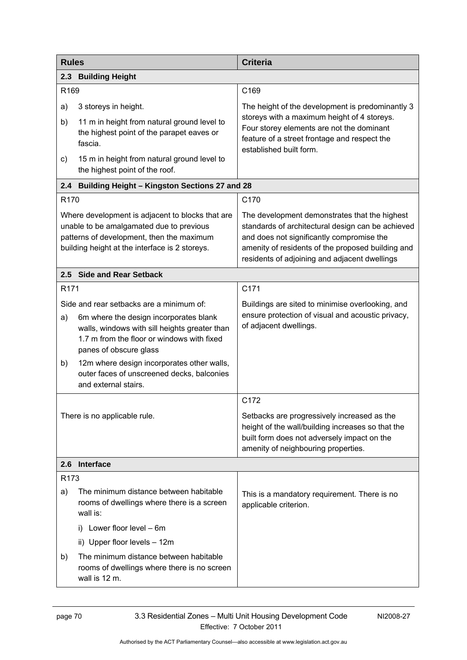| <b>Rules</b>     |                                                                                                                                                                                                             | <b>Criteria</b>                                                                                                                                                                                                                                       |
|------------------|-------------------------------------------------------------------------------------------------------------------------------------------------------------------------------------------------------------|-------------------------------------------------------------------------------------------------------------------------------------------------------------------------------------------------------------------------------------------------------|
|                  | 2.3 Building Height                                                                                                                                                                                         |                                                                                                                                                                                                                                                       |
| R169             |                                                                                                                                                                                                             | C169                                                                                                                                                                                                                                                  |
| a)               | 3 storeys in height.                                                                                                                                                                                        | The height of the development is predominantly 3                                                                                                                                                                                                      |
| b)               | 11 m in height from natural ground level to<br>the highest point of the parapet eaves or<br>fascia.                                                                                                         | storeys with a maximum height of 4 storeys.<br>Four storey elements are not the dominant<br>feature of a street frontage and respect the<br>established built form.                                                                                   |
| c)               | 15 m in height from natural ground level to<br>the highest point of the roof.                                                                                                                               |                                                                                                                                                                                                                                                       |
| 2.4              | <b>Building Height - Kingston Sections 27 and 28</b>                                                                                                                                                        |                                                                                                                                                                                                                                                       |
| R <sub>170</sub> |                                                                                                                                                                                                             | C170                                                                                                                                                                                                                                                  |
|                  | Where development is adjacent to blocks that are<br>unable to be amalgamated due to previous<br>patterns of development, then the maximum<br>building height at the interface is 2 storeys.                 | The development demonstrates that the highest<br>standards of architectural design can be achieved<br>and does not significantly compromise the<br>amenity of residents of the proposed building and<br>residents of adjoining and adjacent dwellings |
|                  | 2.5 Side and Rear Setback                                                                                                                                                                                   |                                                                                                                                                                                                                                                       |
| R <sub>171</sub> |                                                                                                                                                                                                             | C171                                                                                                                                                                                                                                                  |
| a)               | Side and rear setbacks are a minimum of:<br>6m where the design incorporates blank<br>walls, windows with sill heights greater than<br>1.7 m from the floor or windows with fixed<br>panes of obscure glass | Buildings are sited to minimise overlooking, and<br>ensure protection of visual and acoustic privacy,<br>of adjacent dwellings.                                                                                                                       |
| b)               | 12m where design incorporates other walls,<br>outer faces of unscreened decks, balconies<br>and external stairs.                                                                                            |                                                                                                                                                                                                                                                       |
|                  |                                                                                                                                                                                                             | C172                                                                                                                                                                                                                                                  |
|                  | There is no applicable rule.                                                                                                                                                                                | Setbacks are progressively increased as the<br>height of the wall/building increases so that the<br>built form does not adversely impact on the<br>amenity of neighbouring properties.                                                                |
| 2.6              | <b>Interface</b>                                                                                                                                                                                            |                                                                                                                                                                                                                                                       |
| R <sub>173</sub> |                                                                                                                                                                                                             |                                                                                                                                                                                                                                                       |
| a)               | The minimum distance between habitable<br>rooms of dwellings where there is a screen<br>wall is:                                                                                                            | This is a mandatory requirement. There is no<br>applicable criterion.                                                                                                                                                                                 |
|                  | i) Lower floor level - 6m                                                                                                                                                                                   |                                                                                                                                                                                                                                                       |
|                  | ii) Upper floor levels - 12m                                                                                                                                                                                |                                                                                                                                                                                                                                                       |
| b)               | The minimum distance between habitable<br>rooms of dwellings where there is no screen<br>wall is 12 m.                                                                                                      |                                                                                                                                                                                                                                                       |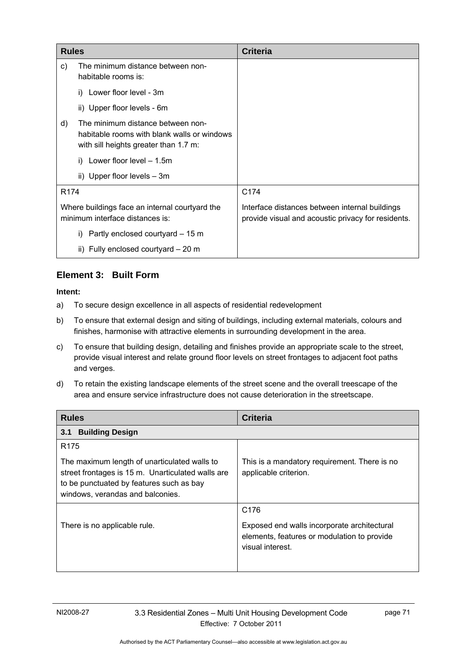| <b>Rules</b>     |                                                                                                                           | <b>Criteria</b>                                                                                      |
|------------------|---------------------------------------------------------------------------------------------------------------------------|------------------------------------------------------------------------------------------------------|
| C)               | The minimum distance between non-<br>habitable rooms is:                                                                  |                                                                                                      |
|                  | i) Lower floor level - 3m                                                                                                 |                                                                                                      |
|                  | ii) Upper floor levels - 6m                                                                                               |                                                                                                      |
| d)               | The minimum distance between non-<br>habitable rooms with blank walls or windows<br>with sill heights greater than 1.7 m: |                                                                                                      |
|                  | Lower floor level – 1.5m                                                                                                  |                                                                                                      |
|                  | ii) Upper floor levels $-3m$                                                                                              |                                                                                                      |
| R <sub>174</sub> |                                                                                                                           | C174                                                                                                 |
|                  | Where buildings face an internal courtyard the<br>minimum interface distances is:                                         | Interface distances between internal buildings<br>provide visual and acoustic privacy for residents. |
|                  | Partly enclosed courtyard – 15 m<br>$\mathbf{I}$                                                                          |                                                                                                      |
|                  | ii) Fully enclosed courtyard $-20$ m                                                                                      |                                                                                                      |

### **Element 3: Built Form**

- a) To secure design excellence in all aspects of residential redevelopment
- b) To ensure that external design and siting of buildings, including external materials, colours and finishes, harmonise with attractive elements in surrounding development in the area.
- c) To ensure that building design, detailing and finishes provide an appropriate scale to the street, provide visual interest and relate ground floor levels on street frontages to adjacent foot paths and verges.
- d) To retain the existing landscape elements of the street scene and the overall treescape of the area and ensure service infrastructure does not cause deterioration in the streetscape.

| <b>Rules</b>                                                                                                                                                                                          | <b>Criteria</b>                                                                                                                    |
|-------------------------------------------------------------------------------------------------------------------------------------------------------------------------------------------------------|------------------------------------------------------------------------------------------------------------------------------------|
| <b>Building Design</b><br>3.1                                                                                                                                                                         |                                                                                                                                    |
| R <sub>175</sub><br>The maximum length of unarticulated walls to<br>street frontages is 15 m. Unarticulated walls are<br>to be punctuated by features such as bay<br>windows, verandas and balconies. | This is a mandatory requirement. There is no<br>applicable criterion.                                                              |
| There is no applicable rule.                                                                                                                                                                          | C <sub>176</sub><br>Exposed end walls incorporate architectural<br>elements, features or modulation to provide<br>visual interest. |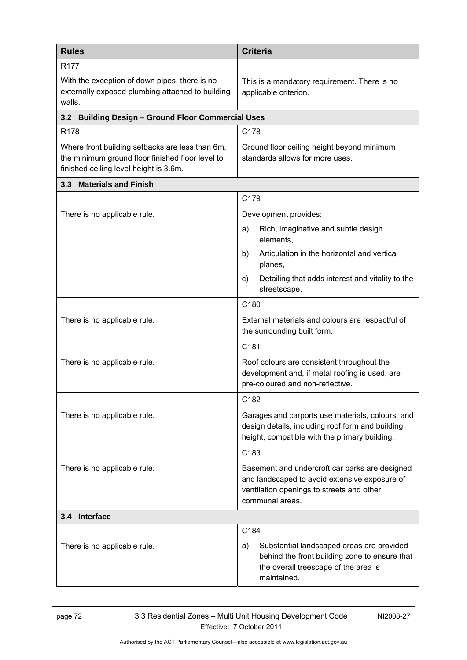| <b>Rules</b>                                                                                                                                  | <b>Criteria</b>                                                                                                                                                 |  |
|-----------------------------------------------------------------------------------------------------------------------------------------------|-----------------------------------------------------------------------------------------------------------------------------------------------------------------|--|
| R <sub>177</sub><br>With the exception of down pipes, there is no<br>externally exposed plumbing attached to building<br>walls.               | This is a mandatory requirement. There is no<br>applicable criterion.                                                                                           |  |
| 3.2 Building Design - Ground Floor Commercial Uses                                                                                            |                                                                                                                                                                 |  |
| R178                                                                                                                                          | C178                                                                                                                                                            |  |
| Where front building setbacks are less than 6m,<br>the minimum ground floor finished floor level to<br>finished ceiling level height is 3.6m. | Ground floor ceiling height beyond minimum<br>standards allows for more uses.                                                                                   |  |
| 3.3 Materials and Finish                                                                                                                      |                                                                                                                                                                 |  |
|                                                                                                                                               | C179                                                                                                                                                            |  |
| There is no applicable rule.                                                                                                                  | Development provides:                                                                                                                                           |  |
|                                                                                                                                               | Rich, imaginative and subtle design<br>a)<br>elements,                                                                                                          |  |
|                                                                                                                                               | Articulation in the horizontal and vertical<br>b)<br>planes,                                                                                                    |  |
|                                                                                                                                               | Detailing that adds interest and vitality to the<br>C)<br>streetscape.                                                                                          |  |
|                                                                                                                                               | C180                                                                                                                                                            |  |
| There is no applicable rule.                                                                                                                  | External materials and colours are respectful of<br>the surrounding built form.                                                                                 |  |
|                                                                                                                                               | C181                                                                                                                                                            |  |
| There is no applicable rule.                                                                                                                  | Roof colours are consistent throughout the<br>development and, if metal roofing is used, are<br>pre-coloured and non-reflective.                                |  |
|                                                                                                                                               | C182                                                                                                                                                            |  |
| There is no applicable rule.                                                                                                                  | Garages and carports use materials, colours, and<br>design details, including roof form and building<br>height, compatible with the primary building.           |  |
|                                                                                                                                               | C183                                                                                                                                                            |  |
| There is no applicable rule.                                                                                                                  | Basement and undercroft car parks are designed<br>and landscaped to avoid extensive exposure of<br>ventilation openings to streets and other<br>communal areas. |  |
| 3.4 Interface                                                                                                                                 |                                                                                                                                                                 |  |
|                                                                                                                                               | C184                                                                                                                                                            |  |
| There is no applicable rule.                                                                                                                  | Substantial landscaped areas are provided<br>a)<br>behind the front building zone to ensure that<br>the overall treescape of the area is<br>maintained.         |  |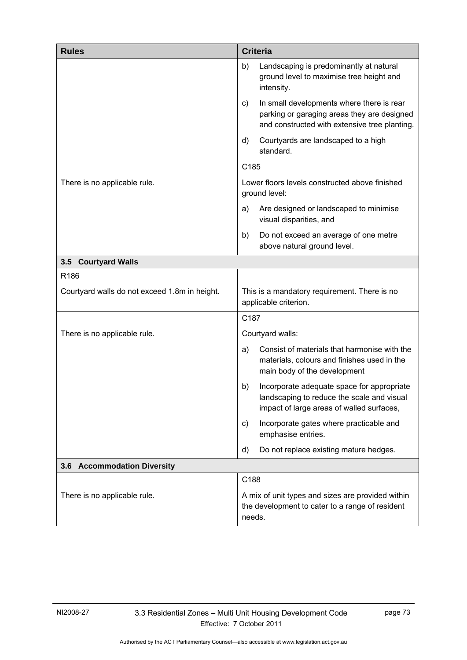| <b>Rules</b>                                  | <b>Criteria</b>                                                                                                                                 |
|-----------------------------------------------|-------------------------------------------------------------------------------------------------------------------------------------------------|
|                                               | Landscaping is predominantly at natural<br>b)<br>ground level to maximise tree height and<br>intensity.                                         |
|                                               | In small developments where there is rear<br>C)<br>parking or garaging areas they are designed<br>and constructed with extensive tree planting. |
|                                               | Courtyards are landscaped to a high<br>d)<br>standard.                                                                                          |
|                                               | C185                                                                                                                                            |
| There is no applicable rule.                  | Lower floors levels constructed above finished<br>ground level:                                                                                 |
|                                               | Are designed or landscaped to minimise<br>a)<br>visual disparities, and                                                                         |
|                                               | Do not exceed an average of one metre<br>b)<br>above natural ground level.                                                                      |
| 3.5 Courtyard Walls                           |                                                                                                                                                 |
| R186                                          |                                                                                                                                                 |
| Courtyard walls do not exceed 1.8m in height. | This is a mandatory requirement. There is no<br>applicable criterion.                                                                           |
|                                               | C187                                                                                                                                            |
| There is no applicable rule.                  | Courtyard walls:                                                                                                                                |
|                                               | Consist of materials that harmonise with the<br>a)<br>materials, colours and finishes used in the<br>main body of the development               |
|                                               | Incorporate adequate space for appropriate<br>b)<br>landscaping to reduce the scale and visual<br>impact of large areas of walled surfaces,     |
|                                               | Incorporate gates where practicable and<br>C)<br>emphasise entries.                                                                             |
|                                               | Do not replace existing mature hedges.<br>d)                                                                                                    |
| 3.6 Accommodation Diversity                   |                                                                                                                                                 |
|                                               | C188                                                                                                                                            |
| There is no applicable rule.                  | A mix of unit types and sizes are provided within<br>the development to cater to a range of resident<br>needs.                                  |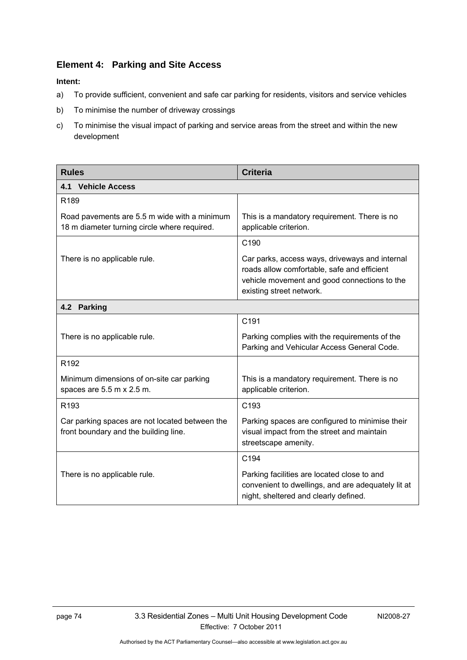### **Element 4: Parking and Site Access**

- a) To provide sufficient, convenient and safe car parking for residents, visitors and service vehicles
- b) To minimise the number of driveway crossings
- c) To minimise the visual impact of parking and service areas from the street and within the new development

| <b>Rules</b>                                                                                 | <b>Criteria</b>                                                                                                                                                           |
|----------------------------------------------------------------------------------------------|---------------------------------------------------------------------------------------------------------------------------------------------------------------------------|
| 4.1 Vehicle Access                                                                           |                                                                                                                                                                           |
| R189                                                                                         |                                                                                                                                                                           |
| Road pavements are 5.5 m wide with a minimum<br>18 m diameter turning circle where required. | This is a mandatory requirement. There is no<br>applicable criterion.                                                                                                     |
|                                                                                              | C <sub>190</sub>                                                                                                                                                          |
| There is no applicable rule.                                                                 | Car parks, access ways, driveways and internal<br>roads allow comfortable, safe and efficient<br>vehicle movement and good connections to the<br>existing street network. |
| 4.2 Parking                                                                                  |                                                                                                                                                                           |
|                                                                                              | C191                                                                                                                                                                      |
| There is no applicable rule.                                                                 | Parking complies with the requirements of the<br>Parking and Vehicular Access General Code.                                                                               |
| R <sub>192</sub>                                                                             |                                                                                                                                                                           |
| Minimum dimensions of on-site car parking<br>spaces are 5.5 m x 2.5 m.                       | This is a mandatory requirement. There is no<br>applicable criterion.                                                                                                     |
| R193                                                                                         | C <sub>193</sub>                                                                                                                                                          |
| Car parking spaces are not located between the<br>front boundary and the building line.      | Parking spaces are configured to minimise their<br>visual impact from the street and maintain<br>streetscape amenity.                                                     |
|                                                                                              | C194                                                                                                                                                                      |
| There is no applicable rule.                                                                 | Parking facilities are located close to and<br>convenient to dwellings, and are adequately lit at<br>night, sheltered and clearly defined.                                |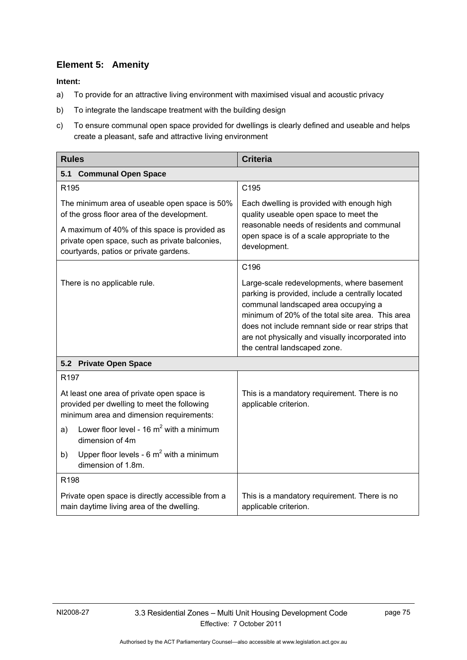# **Element 5: Amenity**

- a) To provide for an attractive living environment with maximised visual and acoustic privacy
- b) To integrate the landscape treatment with the building design
- c) To ensure communal open space provided for dwellings is clearly defined and useable and helps create a pleasant, safe and attractive living environment

| <b>Rules</b>                                                                                                                                                                                                                              | <b>Criteria</b>                                                                                                                                                                                                                                                                                                                      |
|-------------------------------------------------------------------------------------------------------------------------------------------------------------------------------------------------------------------------------------------|--------------------------------------------------------------------------------------------------------------------------------------------------------------------------------------------------------------------------------------------------------------------------------------------------------------------------------------|
| <b>Communal Open Space</b><br>5.1                                                                                                                                                                                                         |                                                                                                                                                                                                                                                                                                                                      |
| R195                                                                                                                                                                                                                                      | C195                                                                                                                                                                                                                                                                                                                                 |
| The minimum area of useable open space is 50%<br>of the gross floor area of the development.<br>A maximum of 40% of this space is provided as<br>private open space, such as private balconies,<br>courtyards, patios or private gardens. | Each dwelling is provided with enough high<br>quality useable open space to meet the<br>reasonable needs of residents and communal<br>open space is of a scale appropriate to the<br>development.                                                                                                                                    |
|                                                                                                                                                                                                                                           | C196                                                                                                                                                                                                                                                                                                                                 |
| There is no applicable rule.                                                                                                                                                                                                              | Large-scale redevelopments, where basement<br>parking is provided, include a centrally located<br>communal landscaped area occupying a<br>minimum of 20% of the total site area. This area<br>does not include remnant side or rear strips that<br>are not physically and visually incorporated into<br>the central landscaped zone. |
| <b>Private Open Space</b><br>5.2                                                                                                                                                                                                          |                                                                                                                                                                                                                                                                                                                                      |
| R <sub>197</sub>                                                                                                                                                                                                                          |                                                                                                                                                                                                                                                                                                                                      |
| At least one area of private open space is<br>provided per dwelling to meet the following<br>minimum area and dimension requirements:                                                                                                     | This is a mandatory requirement. There is no<br>applicable criterion.                                                                                                                                                                                                                                                                |
| Lower floor level - 16 $m^2$ with a minimum<br>a)<br>dimension of 4m                                                                                                                                                                      |                                                                                                                                                                                                                                                                                                                                      |
| Upper floor levels - $6 \text{ m}^2$ with a minimum<br>b)<br>dimension of 1.8m.                                                                                                                                                           |                                                                                                                                                                                                                                                                                                                                      |
| R <sub>198</sub>                                                                                                                                                                                                                          |                                                                                                                                                                                                                                                                                                                                      |
| Private open space is directly accessible from a<br>main daytime living area of the dwelling.                                                                                                                                             | This is a mandatory requirement. There is no<br>applicable criterion.                                                                                                                                                                                                                                                                |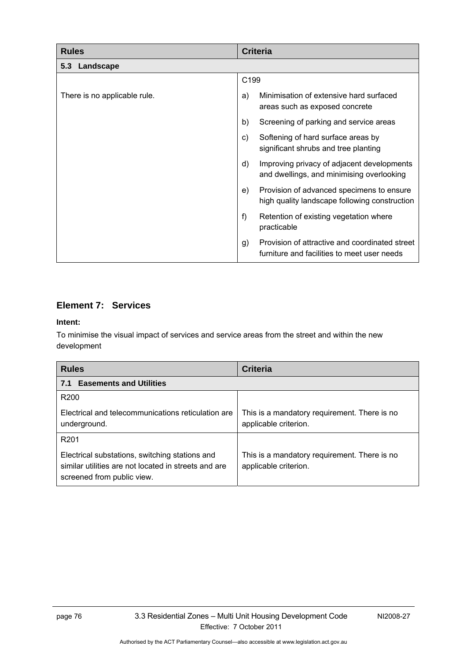| <b>Rules</b>                 | <b>Criteria</b>                                                                                     |
|------------------------------|-----------------------------------------------------------------------------------------------------|
| 5.3 Landscape                |                                                                                                     |
|                              | C199                                                                                                |
| There is no applicable rule. | Minimisation of extensive hard surfaced<br>a)<br>areas such as exposed concrete                     |
|                              | b)<br>Screening of parking and service areas                                                        |
|                              | Softening of hard surface areas by<br>$\mathsf{c}$ )<br>significant shrubs and tree planting        |
|                              | d)<br>Improving privacy of adjacent developments<br>and dwellings, and minimising overlooking       |
|                              | Provision of advanced specimens to ensure<br>e)<br>high quality landscape following construction    |
|                              | f)<br>Retention of existing vegetation where<br>practicable                                         |
|                              | Provision of attractive and coordinated street<br>g)<br>furniture and facilities to meet user needs |

## **Element 7: Services**

#### **Intent:**

To minimise the visual impact of services and service areas from the street and within the new development

| <b>Rules</b>                                                                                                                         | <b>Criteria</b>                                                       |
|--------------------------------------------------------------------------------------------------------------------------------------|-----------------------------------------------------------------------|
| <b>Easements and Utilities</b><br>7.1                                                                                                |                                                                       |
| R <sub>200</sub>                                                                                                                     |                                                                       |
| Electrical and telecommunications reticulation are<br>underground.                                                                   | This is a mandatory requirement. There is no<br>applicable criterion. |
| R <sub>201</sub>                                                                                                                     |                                                                       |
| Electrical substations, switching stations and<br>similar utilities are not located in streets and are<br>screened from public view. | This is a mandatory requirement. There is no<br>applicable criterion. |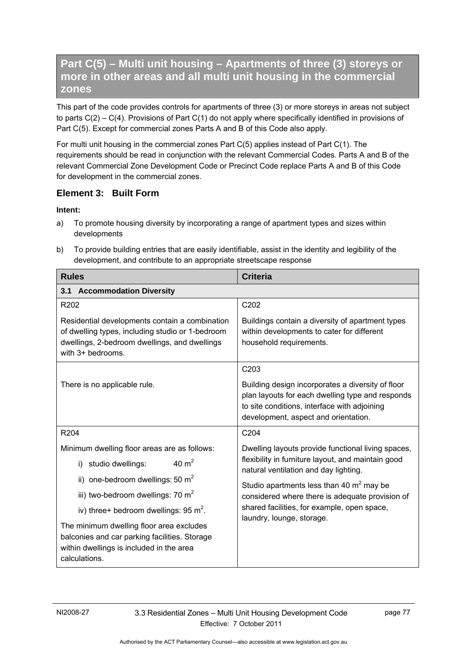# **Part C(5) – Multi unit housing – Apartments of three (3) storeys or more in other areas and all multi unit housing in the commercial zones**

This part of the code provides controls for apartments of three (3) or more storeys in areas not subject to parts C(2) – C(4). Provisions of Part C(1) do not apply where specifically identified in provisions of Part C(5). Except for commercial zones Parts A and B of this Code also apply.

For multi unit housing in the commercial zones Part C(5) applies instead of Part C(1). The requirements should be read in conjunction with the relevant Commercial Codes. Parts A and B of the relevant Commercial Zone Development Code or Precinct Code replace Parts A and B of this Code for development in the commercial zones.

### **Element 3: Built Form**

- a) To promote housing diversity by incorporating a range of apartment types and sizes within developments
- b) To provide building entries that are easily identifiable, assist in the identity and legibility of the development, and contribute to an appropriate streetscape response

| <b>Rules</b>                                                                                                                                                             | <b>Criteria</b>                                                                                                                                                                               |  |  |  |
|--------------------------------------------------------------------------------------------------------------------------------------------------------------------------|-----------------------------------------------------------------------------------------------------------------------------------------------------------------------------------------------|--|--|--|
| 3.1 Accommodation Diversity                                                                                                                                              |                                                                                                                                                                                               |  |  |  |
| R <sub>202</sub>                                                                                                                                                         | C202                                                                                                                                                                                          |  |  |  |
| Residential developments contain a combination<br>of dwelling types, including studio or 1-bedroom<br>dwellings, 2-bedroom dwellings, and dwellings<br>with 3+ bedrooms. | Buildings contain a diversity of apartment types<br>within developments to cater for different<br>household requirements.                                                                     |  |  |  |
|                                                                                                                                                                          | C <sub>203</sub>                                                                                                                                                                              |  |  |  |
| There is no applicable rule.                                                                                                                                             | Building design incorporates a diversity of floor<br>plan layouts for each dwelling type and responds<br>to site conditions, interface with adjoining<br>development, aspect and orientation. |  |  |  |
| R204                                                                                                                                                                     | C204                                                                                                                                                                                          |  |  |  |
| Minimum dwelling floor areas are as follows:                                                                                                                             | Dwelling layouts provide functional living spaces,                                                                                                                                            |  |  |  |
| 40 $m2$<br>i) studio dwellings:                                                                                                                                          | flexibility in furniture layout, and maintain good<br>natural ventilation and day lighting.                                                                                                   |  |  |  |
| ii) one-bedroom dwellings: 50 $m2$                                                                                                                                       | Studio apartments less than 40 m <sup>2</sup> may be                                                                                                                                          |  |  |  |
| iii) two-bedroom dwellings: 70 m <sup>2</sup>                                                                                                                            | considered where there is adequate provision of                                                                                                                                               |  |  |  |
| iv) three+ bedroom dwellings: $95 \text{ m}^2$ .                                                                                                                         | shared facilities, for example, open space,<br>laundry, lounge, storage.                                                                                                                      |  |  |  |
| The minimum dwelling floor area excludes<br>balconies and car parking facilities. Storage<br>within dwellings is included in the area<br>calculations.                   |                                                                                                                                                                                               |  |  |  |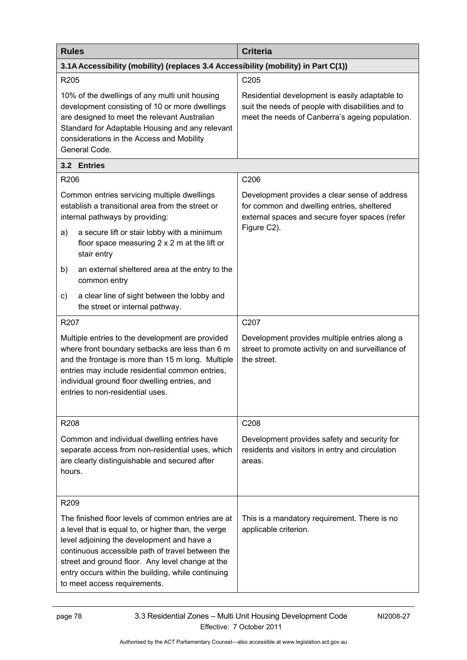| <b>Rules</b>                                                                                                                                                                                                                                                                                                                                          | <b>Criteria</b>                                                                                                                                        |  |  |
|-------------------------------------------------------------------------------------------------------------------------------------------------------------------------------------------------------------------------------------------------------------------------------------------------------------------------------------------------------|--------------------------------------------------------------------------------------------------------------------------------------------------------|--|--|
| 3.1A Accessibility (mobility) (replaces 3.4 Accessibility (mobility) in Part C(1))                                                                                                                                                                                                                                                                    |                                                                                                                                                        |  |  |
| R205                                                                                                                                                                                                                                                                                                                                                  | C205                                                                                                                                                   |  |  |
| 10% of the dwellings of any multi unit housing<br>development consisting of 10 or more dwellings<br>are designed to meet the relevant Australian<br>Standard for Adaptable Housing and any relevant<br>considerations in the Access and Mobility<br>General Code.                                                                                     | Residential development is easily adaptable to<br>suit the needs of people with disabilities and to<br>meet the needs of Canberra's ageing population. |  |  |
| 3.2 Entries                                                                                                                                                                                                                                                                                                                                           |                                                                                                                                                        |  |  |
| R206                                                                                                                                                                                                                                                                                                                                                  | C206                                                                                                                                                   |  |  |
| Common entries servicing multiple dwellings<br>establish a transitional area from the street or<br>internal pathways by providing:                                                                                                                                                                                                                    | Development provides a clear sense of address<br>for common and dwelling entries, sheltered<br>external spaces and secure foyer spaces (refer          |  |  |
| a secure lift or stair lobby with a minimum<br>a)<br>floor space measuring 2 x 2 m at the lift or<br>stair entry                                                                                                                                                                                                                                      | Figure C2).                                                                                                                                            |  |  |
| an external sheltered area at the entry to the<br>b)<br>common entry                                                                                                                                                                                                                                                                                  |                                                                                                                                                        |  |  |
| a clear line of sight between the lobby and<br>c)<br>the street or internal pathway.                                                                                                                                                                                                                                                                  |                                                                                                                                                        |  |  |
| R207                                                                                                                                                                                                                                                                                                                                                  | C207                                                                                                                                                   |  |  |
| Multiple entries to the development are provided<br>where front boundary setbacks are less than 6 m<br>and the frontage is more than 15 m long. Multiple<br>entries may include residential common entries,<br>individual ground floor dwelling entries, and<br>entries to non-residential uses.                                                      | Development provides multiple entries along a<br>street to promote activity on and surveillance of<br>the street.                                      |  |  |
| R208                                                                                                                                                                                                                                                                                                                                                  | C208                                                                                                                                                   |  |  |
| Common and individual dwelling entries have<br>separate access from non-residential uses, which<br>are clearly distinguishable and secured after<br>hours.                                                                                                                                                                                            | Development provides safety and security for<br>residents and visitors in entry and circulation<br>areas.                                              |  |  |
| R <sub>209</sub>                                                                                                                                                                                                                                                                                                                                      |                                                                                                                                                        |  |  |
| The finished floor levels of common entries are at<br>a level that is equal to, or higher than, the verge<br>level adjoining the development and have a<br>continuous accessible path of travel between the<br>street and ground floor. Any level change at the<br>entry occurs within the building, while continuing<br>to meet access requirements. | This is a mandatory requirement. There is no<br>applicable criterion.                                                                                  |  |  |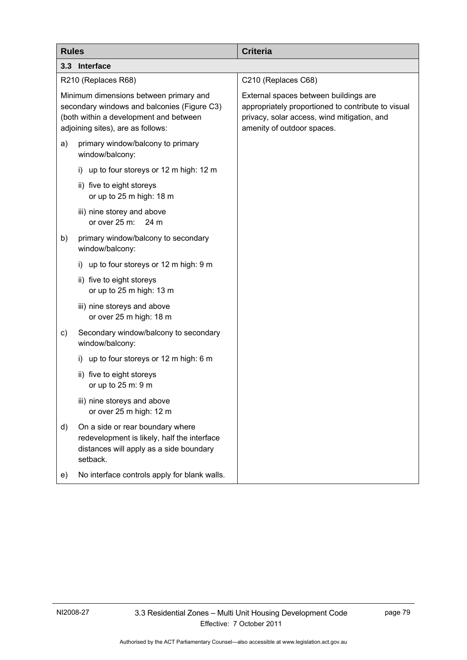| <b>Rules</b>                                                                                                                                                         | <b>Criteria</b>                                                                                                                                                          |
|----------------------------------------------------------------------------------------------------------------------------------------------------------------------|--------------------------------------------------------------------------------------------------------------------------------------------------------------------------|
| 3.3 Interface                                                                                                                                                        |                                                                                                                                                                          |
| R210 (Replaces R68)                                                                                                                                                  | C210 (Replaces C68)                                                                                                                                                      |
| Minimum dimensions between primary and<br>secondary windows and balconies (Figure C3)<br>(both within a development and between<br>adjoining sites), are as follows: | External spaces between buildings are<br>appropriately proportioned to contribute to visual<br>privacy, solar access, wind mitigation, and<br>amenity of outdoor spaces. |
| primary window/balcony to primary<br>a)<br>window/balcony:                                                                                                           |                                                                                                                                                                          |
| i) up to four storeys or 12 m high: 12 m                                                                                                                             |                                                                                                                                                                          |
| ii) five to eight storeys<br>or up to 25 m high: 18 m                                                                                                                |                                                                                                                                                                          |
| iii) nine storey and above<br>or over 25 m:<br>24 m                                                                                                                  |                                                                                                                                                                          |
| primary window/balcony to secondary<br>b)<br>window/balcony:                                                                                                         |                                                                                                                                                                          |
| i) up to four storeys or 12 m high: 9 m                                                                                                                              |                                                                                                                                                                          |
| ii) five to eight storeys<br>or up to 25 m high: 13 m                                                                                                                |                                                                                                                                                                          |
| iii) nine storeys and above<br>or over 25 m high: 18 m                                                                                                               |                                                                                                                                                                          |
| Secondary window/balcony to secondary<br>c)<br>window/balcony:                                                                                                       |                                                                                                                                                                          |
| i) up to four storeys or 12 m high: 6 m                                                                                                                              |                                                                                                                                                                          |
| ii) five to eight storeys<br>or up to 25 m: 9 m                                                                                                                      |                                                                                                                                                                          |
| iii) nine storeys and above<br>or over 25 m high: 12 m                                                                                                               |                                                                                                                                                                          |
| On a side or rear boundary where<br>d)<br>redevelopment is likely, half the interface<br>distances will apply as a side boundary<br>setback.                         |                                                                                                                                                                          |
| No interface controls apply for blank walls.<br>e)                                                                                                                   |                                                                                                                                                                          |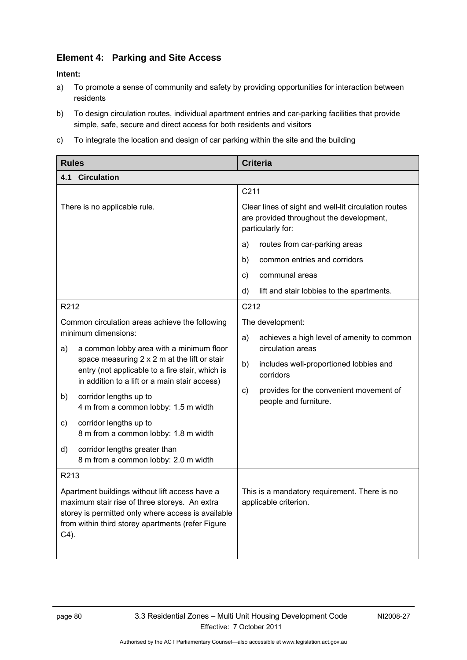## **Element 4: Parking and Site Access**

- a) To promote a sense of community and safety by providing opportunities for interaction between residents
- b) To design circulation routes, individual apartment entries and car-parking facilities that provide simple, safe, secure and direct access for both residents and visitors
- c) To integrate the location and design of car parking within the site and the building

| <b>Rules</b>                 |                                                                                                                                                                                                            | <b>Criteria</b> |                                                                                                                       |
|------------------------------|------------------------------------------------------------------------------------------------------------------------------------------------------------------------------------------------------------|-----------------|-----------------------------------------------------------------------------------------------------------------------|
| 4.1                          | <b>Circulation</b>                                                                                                                                                                                         |                 |                                                                                                                       |
|                              |                                                                                                                                                                                                            | C211            |                                                                                                                       |
| There is no applicable rule. |                                                                                                                                                                                                            |                 | Clear lines of sight and well-lit circulation routes<br>are provided throughout the development,<br>particularly for: |
|                              |                                                                                                                                                                                                            | a)              | routes from car-parking areas                                                                                         |
|                              |                                                                                                                                                                                                            | b)              | common entries and corridors                                                                                          |
|                              |                                                                                                                                                                                                            | C)              | communal areas                                                                                                        |
|                              |                                                                                                                                                                                                            | d)              | lift and stair lobbies to the apartments.                                                                             |
| R212                         |                                                                                                                                                                                                            | C212            |                                                                                                                       |
|                              | Common circulation areas achieve the following                                                                                                                                                             |                 | The development:                                                                                                      |
| a)                           | minimum dimensions:<br>a common lobby area with a minimum floor                                                                                                                                            | a)              | achieves a high level of amenity to common<br>circulation areas                                                       |
|                              | space measuring 2 x 2 m at the lift or stair<br>entry (not applicable to a fire stair, which is<br>in addition to a lift or a main stair access)                                                           | b)              | includes well-proportioned lobbies and<br>corridors                                                                   |
| b)                           | corridor lengths up to<br>4 m from a common lobby: 1.5 m width                                                                                                                                             | C)              | provides for the convenient movement of<br>people and furniture.                                                      |
| c)                           | corridor lengths up to<br>8 m from a common lobby: 1.8 m width                                                                                                                                             |                 |                                                                                                                       |
| d)                           | corridor lengths greater than<br>8 m from a common lobby: 2.0 m width                                                                                                                                      |                 |                                                                                                                       |
| R213                         |                                                                                                                                                                                                            |                 |                                                                                                                       |
| $C4$ ).                      | Apartment buildings without lift access have a<br>maximum stair rise of three storeys. An extra<br>storey is permitted only where access is available<br>from within third storey apartments (refer Figure |                 | This is a mandatory requirement. There is no<br>applicable criterion.                                                 |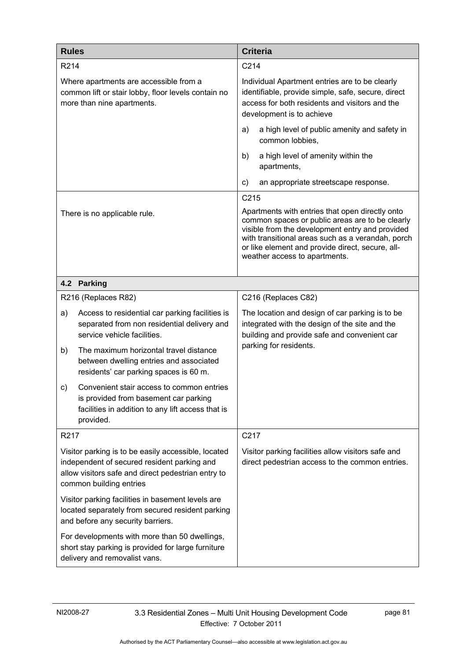| <b>Rules</b>                                                                                                                                                                        |                                                                                                                                                      | <b>Criteria</b>                                                                                                                                                                                                                                                                                 |                                                                                                                                                                                     |
|-------------------------------------------------------------------------------------------------------------------------------------------------------------------------------------|------------------------------------------------------------------------------------------------------------------------------------------------------|-------------------------------------------------------------------------------------------------------------------------------------------------------------------------------------------------------------------------------------------------------------------------------------------------|-------------------------------------------------------------------------------------------------------------------------------------------------------------------------------------|
| R214                                                                                                                                                                                |                                                                                                                                                      | C214                                                                                                                                                                                                                                                                                            |                                                                                                                                                                                     |
|                                                                                                                                                                                     | Where apartments are accessible from a<br>common lift or stair lobby, floor levels contain no<br>more than nine apartments.                          |                                                                                                                                                                                                                                                                                                 | Individual Apartment entries are to be clearly<br>identifiable, provide simple, safe, secure, direct<br>access for both residents and visitors and the<br>development is to achieve |
|                                                                                                                                                                                     |                                                                                                                                                      | a)                                                                                                                                                                                                                                                                                              | a high level of public amenity and safety in<br>common lobbies,                                                                                                                     |
|                                                                                                                                                                                     |                                                                                                                                                      | b)                                                                                                                                                                                                                                                                                              | a high level of amenity within the<br>apartments,                                                                                                                                   |
|                                                                                                                                                                                     |                                                                                                                                                      | $\mathsf{c})$                                                                                                                                                                                                                                                                                   | an appropriate streetscape response.                                                                                                                                                |
|                                                                                                                                                                                     |                                                                                                                                                      | C215                                                                                                                                                                                                                                                                                            |                                                                                                                                                                                     |
| There is no applicable rule.                                                                                                                                                        |                                                                                                                                                      | Apartments with entries that open directly onto<br>common spaces or public areas are to be clearly<br>visible from the development entry and provided<br>with transitional areas such as a verandah, porch<br>or like element and provide direct, secure, all-<br>weather access to apartments. |                                                                                                                                                                                     |
|                                                                                                                                                                                     | 4.2 Parking                                                                                                                                          |                                                                                                                                                                                                                                                                                                 |                                                                                                                                                                                     |
|                                                                                                                                                                                     | R216 (Replaces R82)                                                                                                                                  |                                                                                                                                                                                                                                                                                                 | C216 (Replaces C82)                                                                                                                                                                 |
| a)                                                                                                                                                                                  | Access to residential car parking facilities is<br>separated from non residential delivery and<br>service vehicle facilities.                        |                                                                                                                                                                                                                                                                                                 | The location and design of car parking is to be<br>integrated with the design of the site and the<br>building and provide safe and convenient car                                   |
| b)                                                                                                                                                                                  | The maximum horizontal travel distance<br>between dwelling entries and associated<br>residents' car parking spaces is 60 m.                          | parking for residents.                                                                                                                                                                                                                                                                          |                                                                                                                                                                                     |
| c)                                                                                                                                                                                  | Convenient stair access to common entries<br>is provided from basement car parking<br>facilities in addition to any lift access that is<br>provided. |                                                                                                                                                                                                                                                                                                 |                                                                                                                                                                                     |
| R <sub>2</sub> 17                                                                                                                                                                   |                                                                                                                                                      | C217                                                                                                                                                                                                                                                                                            |                                                                                                                                                                                     |
| Visitor parking is to be easily accessible, located<br>independent of secured resident parking and<br>allow visitors safe and direct pedestrian entry to<br>common building entries |                                                                                                                                                      |                                                                                                                                                                                                                                                                                                 | Visitor parking facilities allow visitors safe and<br>direct pedestrian access to the common entries.                                                                               |
|                                                                                                                                                                                     | Visitor parking facilities in basement levels are<br>located separately from secured resident parking<br>and before any security barriers.           |                                                                                                                                                                                                                                                                                                 |                                                                                                                                                                                     |
| For developments with more than 50 dwellings,<br>short stay parking is provided for large furniture<br>delivery and removalist vans.                                                |                                                                                                                                                      |                                                                                                                                                                                                                                                                                                 |                                                                                                                                                                                     |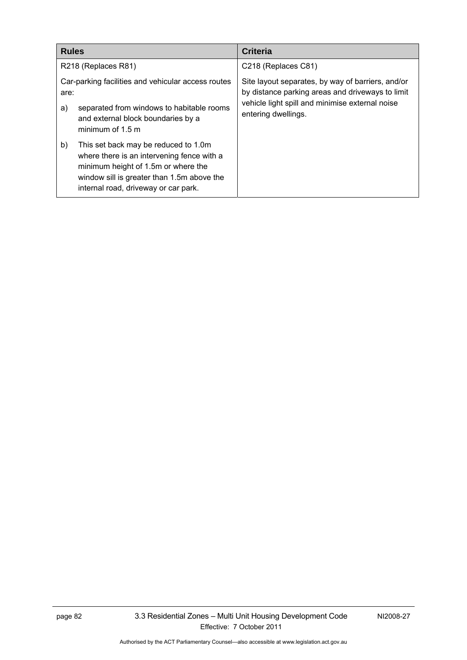| <b>Rules</b> |                                                                                                                                                                                                                 | <b>Criteria</b>                                                                                                                                                                 |
|--------------|-----------------------------------------------------------------------------------------------------------------------------------------------------------------------------------------------------------------|---------------------------------------------------------------------------------------------------------------------------------------------------------------------------------|
|              | R218 (Replaces R81)                                                                                                                                                                                             | C218 (Replaces C81)                                                                                                                                                             |
| are:<br>a)   | Car-parking facilities and vehicular access routes<br>separated from windows to habitable rooms<br>and external block boundaries by a<br>minimum of $1.5$ m                                                     | Site layout separates, by way of barriers, and/or<br>by distance parking areas and driveways to limit<br>vehicle light spill and minimise external noise<br>entering dwellings. |
| b)           | This set back may be reduced to 1.0m<br>where there is an intervening fence with a<br>minimum height of 1.5m or where the<br>window sill is greater than 1.5m above the<br>internal road, driveway or car park. |                                                                                                                                                                                 |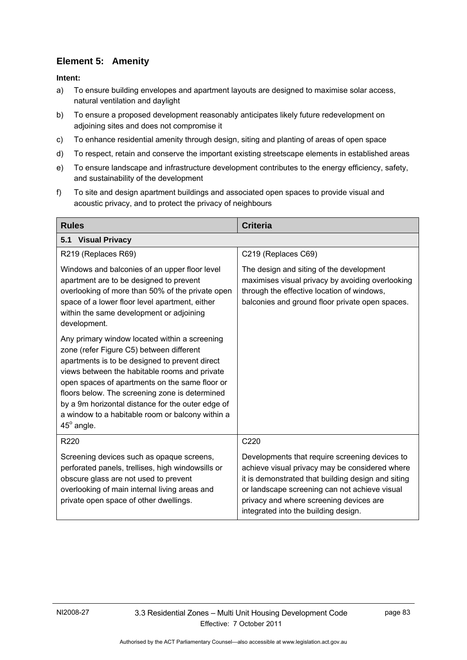# **Element 5: Amenity**

- a) To ensure building envelopes and apartment layouts are designed to maximise solar access, natural ventilation and daylight
- b) To ensure a proposed development reasonably anticipates likely future redevelopment on adjoining sites and does not compromise it
- c) To enhance residential amenity through design, siting and planting of areas of open space
- d) To respect, retain and conserve the important existing streetscape elements in established areas
- e) To ensure landscape and infrastructure development contributes to the energy efficiency, safety, and sustainability of the development
- f) To site and design apartment buildings and associated open spaces to provide visual and acoustic privacy, and to protect the privacy of neighbours

| <b>Rules</b>                                                                                                                                                                                                                                                                                                                                                                                                                   | <b>Criteria</b>                                                                                                                                                                                                                                                                            |  |  |
|--------------------------------------------------------------------------------------------------------------------------------------------------------------------------------------------------------------------------------------------------------------------------------------------------------------------------------------------------------------------------------------------------------------------------------|--------------------------------------------------------------------------------------------------------------------------------------------------------------------------------------------------------------------------------------------------------------------------------------------|--|--|
| <b>Visual Privacy</b><br>5.1                                                                                                                                                                                                                                                                                                                                                                                                   |                                                                                                                                                                                                                                                                                            |  |  |
| R219 (Replaces R69)                                                                                                                                                                                                                                                                                                                                                                                                            | C219 (Replaces C69)                                                                                                                                                                                                                                                                        |  |  |
| Windows and balconies of an upper floor level<br>apartment are to be designed to prevent<br>overlooking of more than 50% of the private open<br>space of a lower floor level apartment, either<br>within the same development or adjoining<br>development.                                                                                                                                                                     | The design and siting of the development<br>maximises visual privacy by avoiding overlooking<br>through the effective location of windows,<br>balconies and ground floor private open spaces.                                                                                              |  |  |
| Any primary window located within a screening<br>zone (refer Figure C5) between different<br>apartments is to be designed to prevent direct<br>views between the habitable rooms and private<br>open spaces of apartments on the same floor or<br>floors below. The screening zone is determined<br>by a 9m horizontal distance for the outer edge of<br>a window to a habitable room or balcony within a<br>$45^\circ$ angle. |                                                                                                                                                                                                                                                                                            |  |  |
| R220                                                                                                                                                                                                                                                                                                                                                                                                                           | C220                                                                                                                                                                                                                                                                                       |  |  |
| Screening devices such as opaque screens,<br>perforated panels, trellises, high windowsills or<br>obscure glass are not used to prevent<br>overlooking of main internal living areas and<br>private open space of other dwellings.                                                                                                                                                                                             | Developments that require screening devices to<br>achieve visual privacy may be considered where<br>it is demonstrated that building design and siting<br>or landscape screening can not achieve visual<br>privacy and where screening devices are<br>integrated into the building design. |  |  |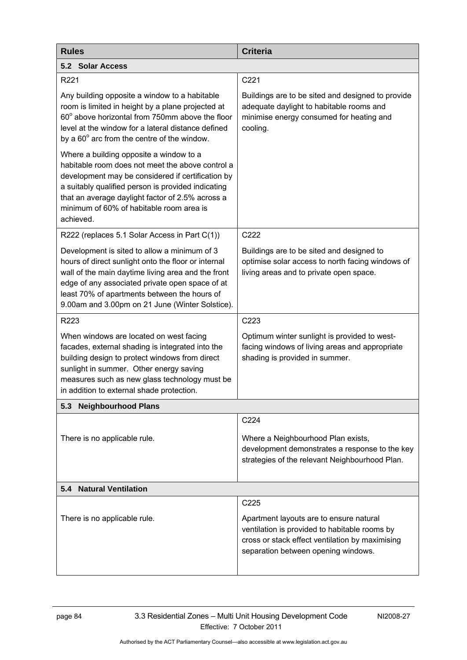| <b>Rules</b>                                                                                                                                                                                                                                                                                                        | <b>Criteria</b>                                                                                                                                                                    |  |
|---------------------------------------------------------------------------------------------------------------------------------------------------------------------------------------------------------------------------------------------------------------------------------------------------------------------|------------------------------------------------------------------------------------------------------------------------------------------------------------------------------------|--|
| 5.2 Solar Access                                                                                                                                                                                                                                                                                                    |                                                                                                                                                                                    |  |
| R221                                                                                                                                                                                                                                                                                                                | C221                                                                                                                                                                               |  |
| Any building opposite a window to a habitable<br>room is limited in height by a plane projected at<br>60° above horizontal from 750mm above the floor<br>level at the window for a lateral distance defined<br>by a $60^\circ$ arc from the centre of the window.                                                   | Buildings are to be sited and designed to provide<br>adequate daylight to habitable rooms and<br>minimise energy consumed for heating and<br>cooling.                              |  |
| Where a building opposite a window to a<br>habitable room does not meet the above control a<br>development may be considered if certification by<br>a suitably qualified person is provided indicating<br>that an average daylight factor of 2.5% across a<br>minimum of 60% of habitable room area is<br>achieved. |                                                                                                                                                                                    |  |
| R222 (replaces 5.1 Solar Access in Part C(1))                                                                                                                                                                                                                                                                       | C222                                                                                                                                                                               |  |
| Development is sited to allow a minimum of 3<br>hours of direct sunlight onto the floor or internal<br>wall of the main daytime living area and the front<br>edge of any associated private open space of at<br>least 70% of apartments between the hours of<br>9.00am and 3.00pm on 21 June (Winter Solstice).     | Buildings are to be sited and designed to<br>optimise solar access to north facing windows of<br>living areas and to private open space.                                           |  |
| R223                                                                                                                                                                                                                                                                                                                | C223                                                                                                                                                                               |  |
| When windows are located on west facing<br>facades, external shading is integrated into the<br>building design to protect windows from direct<br>sunlight in summer. Other energy saving<br>measures such as new glass technology must be<br>in addition to external shade protection.                              | Optimum winter sunlight is provided to west-<br>facing windows of living areas and appropriate<br>shading is provided in summer.                                                   |  |
| <b>Neighbourhood Plans</b><br>5.3                                                                                                                                                                                                                                                                                   |                                                                                                                                                                                    |  |
| There is no applicable rule.                                                                                                                                                                                                                                                                                        | C224<br>Where a Neighbourhood Plan exists,<br>development demonstrates a response to the key<br>strategies of the relevant Neighbourhood Plan.                                     |  |
| <b>Natural Ventilation</b><br>5.4                                                                                                                                                                                                                                                                                   |                                                                                                                                                                                    |  |
|                                                                                                                                                                                                                                                                                                                     | C225                                                                                                                                                                               |  |
| There is no applicable rule.                                                                                                                                                                                                                                                                                        | Apartment layouts are to ensure natural<br>ventilation is provided to habitable rooms by<br>cross or stack effect ventilation by maximising<br>separation between opening windows. |  |
|                                                                                                                                                                                                                                                                                                                     |                                                                                                                                                                                    |  |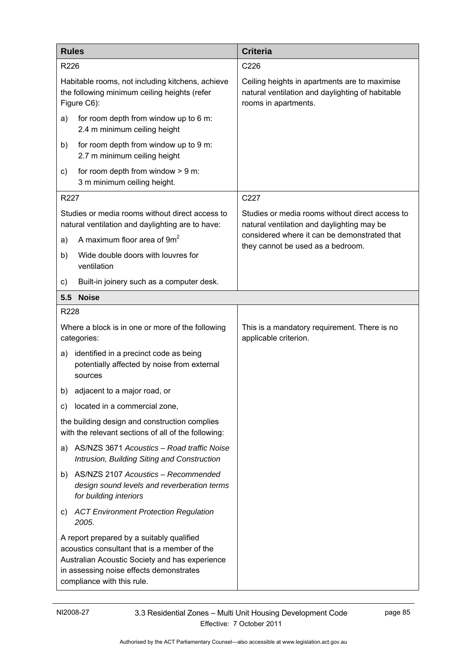| <b>Rules</b> |                                                                                                                                                                                                                      | <b>Criteria</b>                                                                                                           |  |
|--------------|----------------------------------------------------------------------------------------------------------------------------------------------------------------------------------------------------------------------|---------------------------------------------------------------------------------------------------------------------------|--|
| R226         |                                                                                                                                                                                                                      | C226                                                                                                                      |  |
|              | Habitable rooms, not including kitchens, achieve<br>the following minimum ceiling heights (refer<br>Figure C6):                                                                                                      | Ceiling heights in apartments are to maximise<br>natural ventilation and daylighting of habitable<br>rooms in apartments. |  |
| a)           | for room depth from window up to 6 m:<br>2.4 m minimum ceiling height                                                                                                                                                |                                                                                                                           |  |
| b)           | for room depth from window up to 9 m:<br>2.7 m minimum ceiling height                                                                                                                                                |                                                                                                                           |  |
| C)           | for room depth from window $> 9$ m:<br>3 m minimum ceiling height.                                                                                                                                                   |                                                                                                                           |  |
| R227         |                                                                                                                                                                                                                      | C227                                                                                                                      |  |
|              | Studies or media rooms without direct access to<br>natural ventilation and daylighting are to have:                                                                                                                  | Studies or media rooms without direct access to<br>natural ventilation and daylighting may be                             |  |
| a)           | A maximum floor area of 9m <sup>2</sup>                                                                                                                                                                              | considered where it can be demonstrated that<br>they cannot be used as a bedroom.                                         |  |
| b)           | Wide double doors with louvres for<br>ventilation                                                                                                                                                                    |                                                                                                                           |  |
| C)           | Built-in joinery such as a computer desk.                                                                                                                                                                            |                                                                                                                           |  |
| 5.5          | <b>Noise</b>                                                                                                                                                                                                         |                                                                                                                           |  |
| R228         |                                                                                                                                                                                                                      |                                                                                                                           |  |
|              | Where a block is in one or more of the following<br>categories:                                                                                                                                                      | This is a mandatory requirement. There is no<br>applicable criterion.                                                     |  |
| a)           | identified in a precinct code as being<br>potentially affected by noise from external<br>sources                                                                                                                     |                                                                                                                           |  |
|              | b) adjacent to a major road, or                                                                                                                                                                                      |                                                                                                                           |  |
| C)           | located in a commercial zone,                                                                                                                                                                                        |                                                                                                                           |  |
|              | the building design and construction complies<br>with the relevant sections of all of the following:                                                                                                                 |                                                                                                                           |  |
| a)           | AS/NZS 3671 Acoustics - Road traffic Noise<br>Intrusion, Building Siting and Construction                                                                                                                            |                                                                                                                           |  |
| b)           | AS/NZS 2107 Acoustics - Recommended<br>design sound levels and reverberation terms<br>for building interiors                                                                                                         |                                                                                                                           |  |
| C)           | <b>ACT Environment Protection Regulation</b><br>2005.                                                                                                                                                                |                                                                                                                           |  |
|              | A report prepared by a suitably qualified<br>acoustics consultant that is a member of the<br>Australian Acoustic Society and has experience<br>in assessing noise effects demonstrates<br>compliance with this rule. |                                                                                                                           |  |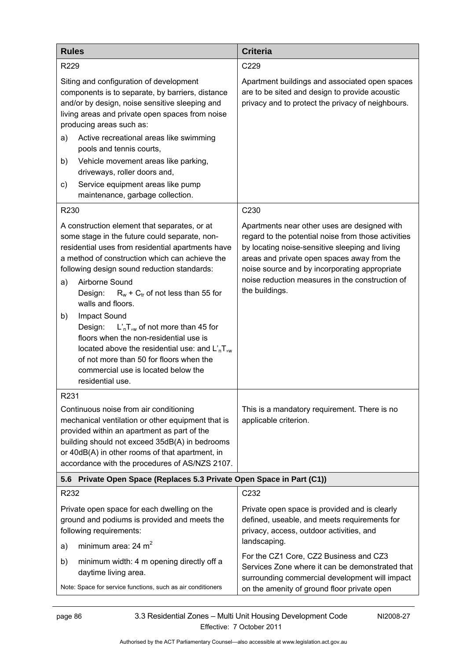| <b>Rules</b>                                                                                                                                                                                                                                                                                                                                                                                                                                                                                                                                                                                                                         | <b>Criteria</b>                                                                                                                                                                                                                                                                                                             |  |
|--------------------------------------------------------------------------------------------------------------------------------------------------------------------------------------------------------------------------------------------------------------------------------------------------------------------------------------------------------------------------------------------------------------------------------------------------------------------------------------------------------------------------------------------------------------------------------------------------------------------------------------|-----------------------------------------------------------------------------------------------------------------------------------------------------------------------------------------------------------------------------------------------------------------------------------------------------------------------------|--|
| R229                                                                                                                                                                                                                                                                                                                                                                                                                                                                                                                                                                                                                                 | C229                                                                                                                                                                                                                                                                                                                        |  |
| Siting and configuration of development<br>components is to separate, by barriers, distance<br>and/or by design, noise sensitive sleeping and<br>living areas and private open spaces from noise<br>producing areas such as:<br>Active recreational areas like swimming<br>a)                                                                                                                                                                                                                                                                                                                                                        | Apartment buildings and associated open spaces<br>are to be sited and design to provide acoustic<br>privacy and to protect the privacy of neighbours.                                                                                                                                                                       |  |
| pools and tennis courts,                                                                                                                                                                                                                                                                                                                                                                                                                                                                                                                                                                                                             |                                                                                                                                                                                                                                                                                                                             |  |
| Vehicle movement areas like parking,<br>b)<br>driveways, roller doors and,                                                                                                                                                                                                                                                                                                                                                                                                                                                                                                                                                           |                                                                                                                                                                                                                                                                                                                             |  |
| Service equipment areas like pump<br>C)<br>maintenance, garbage collection.                                                                                                                                                                                                                                                                                                                                                                                                                                                                                                                                                          |                                                                                                                                                                                                                                                                                                                             |  |
| R230                                                                                                                                                                                                                                                                                                                                                                                                                                                                                                                                                                                                                                 | C230                                                                                                                                                                                                                                                                                                                        |  |
| A construction element that separates, or at<br>some stage in the future could separate, non-<br>residential uses from residential apartments have<br>a method of construction which can achieve the<br>following design sound reduction standards:<br>Airborne Sound<br>a)<br>Design:<br>$R_w$ + $C_{tr}$ of not less than 55 for<br>walls and floors.<br>Impact Sound<br>b)<br>Design:<br>$L'_n$ , of not more than 45 for<br>floors when the non-residential use is<br>located above the residential use: and $L'_nT_{n_k}$<br>of not more than 50 for floors when the<br>commercial use is located below the<br>residential use. | Apartments near other uses are designed with<br>regard to the potential noise from those activities<br>by locating noise-sensitive sleeping and living<br>areas and private open spaces away from the<br>noise source and by incorporating appropriate<br>noise reduction measures in the construction of<br>the buildings. |  |
| R231                                                                                                                                                                                                                                                                                                                                                                                                                                                                                                                                                                                                                                 |                                                                                                                                                                                                                                                                                                                             |  |
| Continuous noise from air conditioning<br>mechanical ventilation or other equipment that is<br>provided within an apartment as part of the<br>building should not exceed 35dB(A) in bedrooms<br>or 40dB(A) in other rooms of that apartment, in<br>accordance with the procedures of AS/NZS 2107.                                                                                                                                                                                                                                                                                                                                    | This is a mandatory requirement. There is no<br>applicable criterion.                                                                                                                                                                                                                                                       |  |
| 5.6 Private Open Space (Replaces 5.3 Private Open Space in Part (C1))                                                                                                                                                                                                                                                                                                                                                                                                                                                                                                                                                                |                                                                                                                                                                                                                                                                                                                             |  |
| R232                                                                                                                                                                                                                                                                                                                                                                                                                                                                                                                                                                                                                                 | C232                                                                                                                                                                                                                                                                                                                        |  |
| Private open space for each dwelling on the<br>ground and podiums is provided and meets the<br>following requirements:                                                                                                                                                                                                                                                                                                                                                                                                                                                                                                               | Private open space is provided and is clearly<br>defined, useable, and meets requirements for<br>privacy, access, outdoor activities, and<br>landscaping.                                                                                                                                                                   |  |
| minimum area: $24 \text{ m}^2$<br>a)                                                                                                                                                                                                                                                                                                                                                                                                                                                                                                                                                                                                 | For the CZ1 Core, CZ2 Business and CZ3                                                                                                                                                                                                                                                                                      |  |
| minimum width: 4 m opening directly off a<br>b)<br>daytime living area.                                                                                                                                                                                                                                                                                                                                                                                                                                                                                                                                                              | Services Zone where it can be demonstrated that<br>surrounding commercial development will impact                                                                                                                                                                                                                           |  |
| Note: Space for service functions, such as air conditioners                                                                                                                                                                                                                                                                                                                                                                                                                                                                                                                                                                          | on the amenity of ground floor private open                                                                                                                                                                                                                                                                                 |  |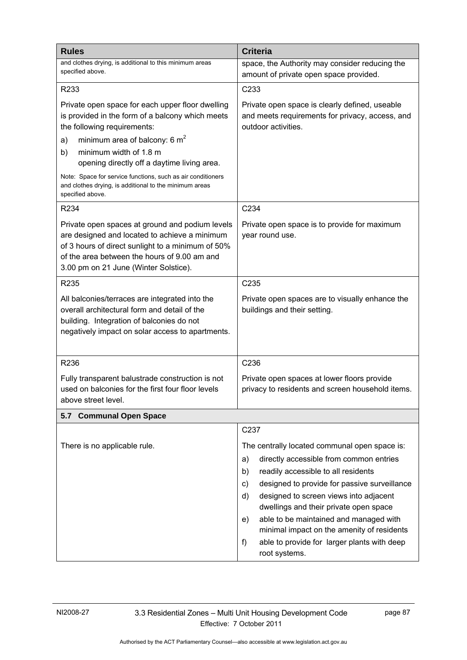| <b>Rules</b>                                                                                                                                                                                                                                   | <b>Criteria</b>                                                                                                                                                                                                                                                                                                                                                                                                                                                |  |
|------------------------------------------------------------------------------------------------------------------------------------------------------------------------------------------------------------------------------------------------|----------------------------------------------------------------------------------------------------------------------------------------------------------------------------------------------------------------------------------------------------------------------------------------------------------------------------------------------------------------------------------------------------------------------------------------------------------------|--|
| and clothes drying, is additional to this minimum areas<br>specified above.                                                                                                                                                                    | space, the Authority may consider reducing the<br>amount of private open space provided.                                                                                                                                                                                                                                                                                                                                                                       |  |
| R233                                                                                                                                                                                                                                           | C233                                                                                                                                                                                                                                                                                                                                                                                                                                                           |  |
| Private open space for each upper floor dwelling<br>is provided in the form of a balcony which meets<br>the following requirements:                                                                                                            | Private open space is clearly defined, useable<br>and meets requirements for privacy, access, and<br>outdoor activities.                                                                                                                                                                                                                                                                                                                                       |  |
| minimum area of balcony: 6 $m2$<br>a)<br>minimum width of 1.8 m<br>b)<br>opening directly off a daytime living area.                                                                                                                           |                                                                                                                                                                                                                                                                                                                                                                                                                                                                |  |
| Note: Space for service functions, such as air conditioners<br>and clothes drying, is additional to the minimum areas<br>specified above.                                                                                                      |                                                                                                                                                                                                                                                                                                                                                                                                                                                                |  |
| R234                                                                                                                                                                                                                                           | C234                                                                                                                                                                                                                                                                                                                                                                                                                                                           |  |
| Private open spaces at ground and podium levels<br>are designed and located to achieve a minimum<br>of 3 hours of direct sunlight to a minimum of 50%<br>of the area between the hours of 9.00 am and<br>3.00 pm on 21 June (Winter Solstice). | Private open space is to provide for maximum<br>year round use.                                                                                                                                                                                                                                                                                                                                                                                                |  |
| R235                                                                                                                                                                                                                                           | C235                                                                                                                                                                                                                                                                                                                                                                                                                                                           |  |
| All balconies/terraces are integrated into the<br>overall architectural form and detail of the<br>building. Integration of balconies do not<br>negatively impact on solar access to apartments.                                                | Private open spaces are to visually enhance the<br>buildings and their setting.                                                                                                                                                                                                                                                                                                                                                                                |  |
| R236                                                                                                                                                                                                                                           | C236                                                                                                                                                                                                                                                                                                                                                                                                                                                           |  |
| Fully transparent balustrade construction is not<br>used on balconies for the first four floor levels<br>above street level.                                                                                                                   | Private open spaces at lower floors provide<br>privacy to residents and screen household items.                                                                                                                                                                                                                                                                                                                                                                |  |
| 5.7 Communal Open Space                                                                                                                                                                                                                        |                                                                                                                                                                                                                                                                                                                                                                                                                                                                |  |
|                                                                                                                                                                                                                                                | C237                                                                                                                                                                                                                                                                                                                                                                                                                                                           |  |
| There is no applicable rule.                                                                                                                                                                                                                   | The centrally located communal open space is:<br>directly accessible from common entries<br>a)<br>readily accessible to all residents<br>b)<br>designed to provide for passive surveillance<br>C)<br>designed to screen views into adjacent<br>d)<br>dwellings and their private open space<br>able to be maintained and managed with<br>e)<br>minimal impact on the amenity of residents<br>able to provide for larger plants with deep<br>f<br>root systems. |  |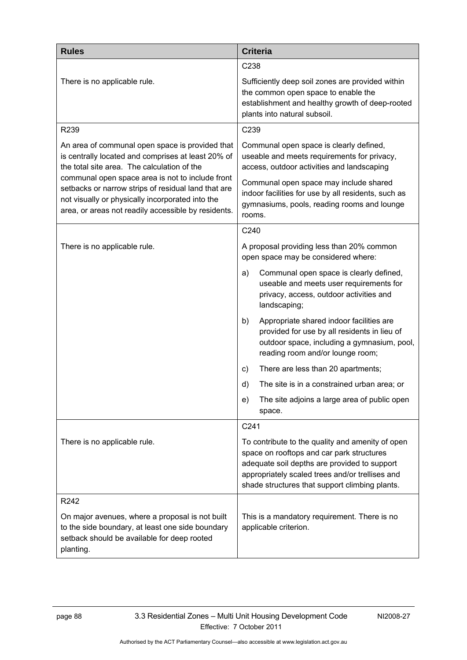| <b>Rules</b>                                                                                                                                                                                                                                                                                                                                                               | <b>Criteria</b>                                                                                                                                                                                                                                    |
|----------------------------------------------------------------------------------------------------------------------------------------------------------------------------------------------------------------------------------------------------------------------------------------------------------------------------------------------------------------------------|----------------------------------------------------------------------------------------------------------------------------------------------------------------------------------------------------------------------------------------------------|
|                                                                                                                                                                                                                                                                                                                                                                            | C <sub>238</sub>                                                                                                                                                                                                                                   |
| There is no applicable rule.                                                                                                                                                                                                                                                                                                                                               | Sufficiently deep soil zones are provided within<br>the common open space to enable the<br>establishment and healthy growth of deep-rooted<br>plants into natural subsoil.                                                                         |
| R239                                                                                                                                                                                                                                                                                                                                                                       | C239                                                                                                                                                                                                                                               |
| An area of communal open space is provided that<br>is centrally located and comprises at least 20% of<br>the total site area. The calculation of the<br>communal open space area is not to include front<br>setbacks or narrow strips of residual land that are<br>not visually or physically incorporated into the<br>area, or areas not readily accessible by residents. | Communal open space is clearly defined,<br>useable and meets requirements for privacy,<br>access, outdoor activities and landscaping                                                                                                               |
|                                                                                                                                                                                                                                                                                                                                                                            | Communal open space may include shared<br>indoor facilities for use by all residents, such as<br>gymnasiums, pools, reading rooms and lounge<br>rooms.                                                                                             |
|                                                                                                                                                                                                                                                                                                                                                                            | C240                                                                                                                                                                                                                                               |
| There is no applicable rule.                                                                                                                                                                                                                                                                                                                                               | A proposal providing less than 20% common<br>open space may be considered where:                                                                                                                                                                   |
|                                                                                                                                                                                                                                                                                                                                                                            | Communal open space is clearly defined,<br>a)<br>useable and meets user requirements for<br>privacy, access, outdoor activities and<br>landscaping;                                                                                                |
|                                                                                                                                                                                                                                                                                                                                                                            | Appropriate shared indoor facilities are<br>b)<br>provided for use by all residents in lieu of<br>outdoor space, including a gymnasium, pool,<br>reading room and/or lounge room;                                                                  |
|                                                                                                                                                                                                                                                                                                                                                                            | There are less than 20 apartments;<br>C)                                                                                                                                                                                                           |
|                                                                                                                                                                                                                                                                                                                                                                            | The site is in a constrained urban area; or<br>d)                                                                                                                                                                                                  |
|                                                                                                                                                                                                                                                                                                                                                                            | The site adjoins a large area of public open<br>e)<br>space.                                                                                                                                                                                       |
|                                                                                                                                                                                                                                                                                                                                                                            | C241                                                                                                                                                                                                                                               |
| There is no applicable rule.                                                                                                                                                                                                                                                                                                                                               | To contribute to the quality and amenity of open<br>space on rooftops and car park structures<br>adequate soil depths are provided to support<br>appropriately scaled trees and/or trellises and<br>shade structures that support climbing plants. |
| R242                                                                                                                                                                                                                                                                                                                                                                       |                                                                                                                                                                                                                                                    |
| On major avenues, where a proposal is not built<br>to the side boundary, at least one side boundary<br>setback should be available for deep rooted<br>planting.                                                                                                                                                                                                            | This is a mandatory requirement. There is no<br>applicable criterion.                                                                                                                                                                              |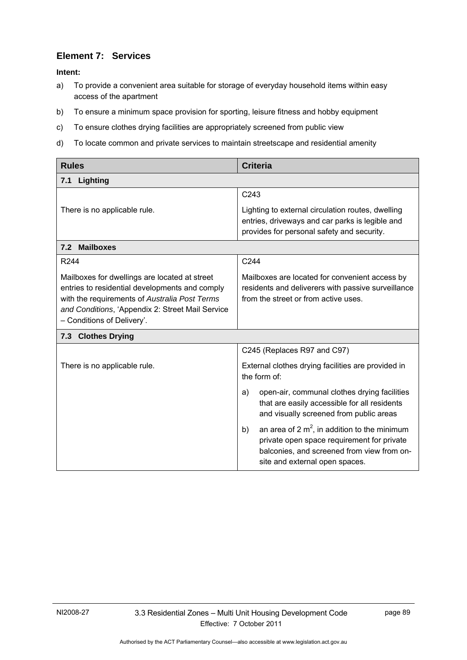### **Element 7: Services**

- a) To provide a convenient area suitable for storage of everyday household items within easy access of the apartment
- b) To ensure a minimum space provision for sporting, leisure fitness and hobby equipment
- c) To ensure clothes drying facilities are appropriately screened from public view
- d) To locate common and private services to maintain streetscape and residential amenity

| <b>Rules</b>                                                                                                                                                                                                                       | <b>Criteria</b>                                                                                                                                                                     |
|------------------------------------------------------------------------------------------------------------------------------------------------------------------------------------------------------------------------------------|-------------------------------------------------------------------------------------------------------------------------------------------------------------------------------------|
| Lighting<br>7.1                                                                                                                                                                                                                    |                                                                                                                                                                                     |
|                                                                                                                                                                                                                                    | C243                                                                                                                                                                                |
| There is no applicable rule.                                                                                                                                                                                                       | Lighting to external circulation routes, dwelling<br>entries, driveways and car parks is legible and<br>provides for personal safety and security.                                  |
| 7.2 Mailboxes                                                                                                                                                                                                                      |                                                                                                                                                                                     |
| R244                                                                                                                                                                                                                               | C244                                                                                                                                                                                |
| Mailboxes for dwellings are located at street<br>entries to residential developments and comply<br>with the requirements of Australia Post Terms<br>and Conditions, 'Appendix 2: Street Mail Service<br>- Conditions of Delivery'. | Mailboxes are located for convenient access by<br>residents and deliverers with passive surveillance<br>from the street or from active uses.                                        |
| 7.3 Clothes Drying                                                                                                                                                                                                                 |                                                                                                                                                                                     |
|                                                                                                                                                                                                                                    | C245 (Replaces R97 and C97)                                                                                                                                                         |
| There is no applicable rule.                                                                                                                                                                                                       | External clothes drying facilities are provided in<br>the form of:                                                                                                                  |
|                                                                                                                                                                                                                                    | open-air, communal clothes drying facilities<br>a)<br>that are easily accessible for all residents<br>and visually screened from public areas                                       |
|                                                                                                                                                                                                                                    | an area of 2 $m^2$ , in addition to the minimum<br>b)<br>private open space requirement for private<br>balconies, and screened from view from on-<br>site and external open spaces. |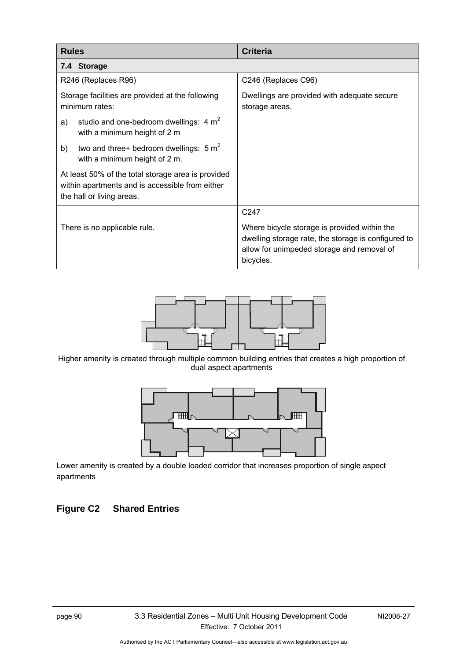| <b>Rules</b>                                                                                                                       | <b>Criteria</b>                                                                                                                                                |
|------------------------------------------------------------------------------------------------------------------------------------|----------------------------------------------------------------------------------------------------------------------------------------------------------------|
| 7.4 Storage                                                                                                                        |                                                                                                                                                                |
| R246 (Replaces R96)                                                                                                                | C246 (Replaces C96)                                                                                                                                            |
| Storage facilities are provided at the following<br>minimum rates:                                                                 | Dwellings are provided with adequate secure<br>storage areas.                                                                                                  |
| studio and one-bedroom dwellings: $4 m2$<br>a)<br>with a minimum height of 2 m                                                     |                                                                                                                                                                |
| two and three+ bedroom dwellings: $5 m2$<br>b)<br>with a minimum height of 2 m.                                                    |                                                                                                                                                                |
| At least 50% of the total storage area is provided<br>within apartments and is accessible from either<br>the hall or living areas. |                                                                                                                                                                |
|                                                                                                                                    | C247                                                                                                                                                           |
| There is no applicable rule.                                                                                                       | Where bicycle storage is provided within the<br>dwelling storage rate, the storage is configured to<br>allow for unimpeded storage and removal of<br>bicycles. |



Higher amenity is created through multiple common building entries that creates a high proportion of dual aspect apartments



Lower amenity is created by a double loaded corridor that increases proportion of single aspect apartments

# **Figure C2 Shared Entries**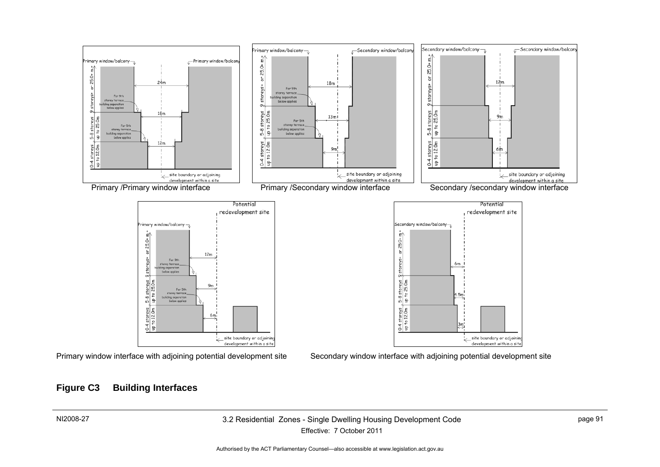

### **Figure C3 Building Interfaces**

#### NI2008-27 3.2 Residential Zones - Single Dwelling Housing Development Code Effective: 7 October 2011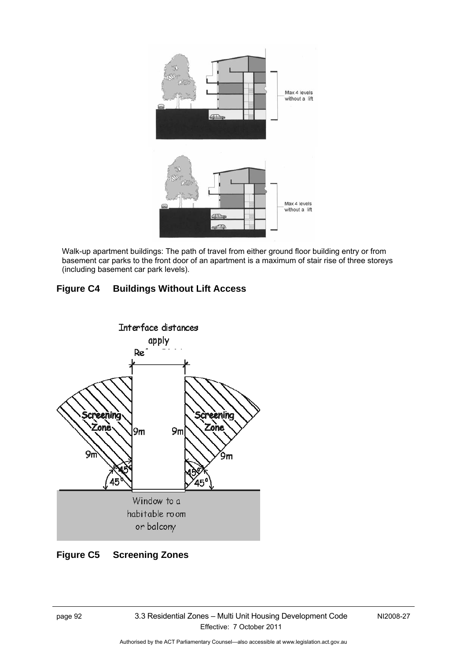

Walk-up apartment buildings: The path of travel from either ground floor building entry or from basement car parks to the front door of an apartment is a maximum of stair rise of three storeys (including basement car park levels).

# **Figure C4 Buildings Without Lift Access**



# **Figure C5 Screening Zones**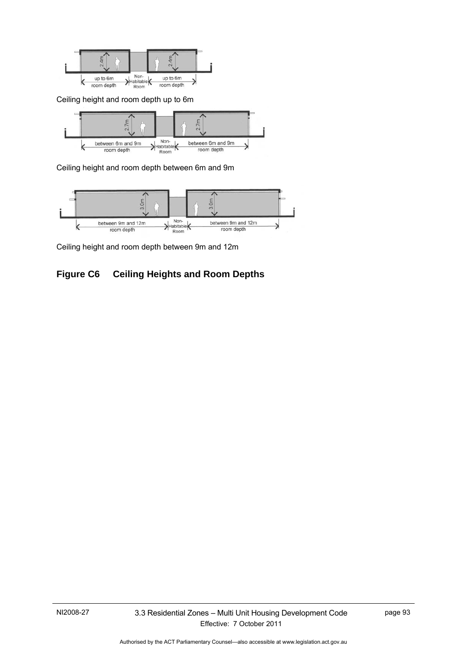

Ceiling height and room depth up to 6m



Ceiling height and room depth between 6m and 9m



Ceiling height and room depth between 9m and 12m

# **Figure C6 Ceiling Heights and Room Depths**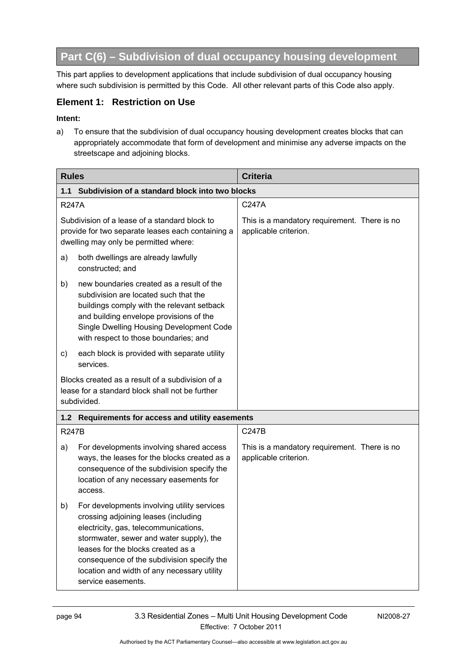# **Part C(6) – Subdivision of dual occupancy housing development**

This part applies to development applications that include subdivision of dual occupancy housing where such subdivision is permitted by this Code. All other relevant parts of this Code also apply.

### **Element 1: Restriction on Use**

#### **Intent:**

a) To ensure that the subdivision of dual occupancy housing development creates blocks that can appropriately accommodate that form of development and minimise any adverse impacts on the streetscape and adjoining blocks.

| <b>Rules</b> |                                                                                                                                                                                                                                                                                                                                   | <b>Criteria</b>                                                       |  |
|--------------|-----------------------------------------------------------------------------------------------------------------------------------------------------------------------------------------------------------------------------------------------------------------------------------------------------------------------------------|-----------------------------------------------------------------------|--|
| 1.1          | Subdivision of a standard block into two blocks                                                                                                                                                                                                                                                                                   |                                                                       |  |
| <b>R247A</b> |                                                                                                                                                                                                                                                                                                                                   | C247A                                                                 |  |
|              | Subdivision of a lease of a standard block to<br>provide for two separate leases each containing a<br>dwelling may only be permitted where:                                                                                                                                                                                       | This is a mandatory requirement. There is no<br>applicable criterion. |  |
| a)           | both dwellings are already lawfully<br>constructed; and                                                                                                                                                                                                                                                                           |                                                                       |  |
| b)           | new boundaries created as a result of the<br>subdivision are located such that the<br>buildings comply with the relevant setback<br>and building envelope provisions of the<br>Single Dwelling Housing Development Code<br>with respect to those boundaries; and                                                                  |                                                                       |  |
| c)           | each block is provided with separate utility<br>services.                                                                                                                                                                                                                                                                         |                                                                       |  |
|              | Blocks created as a result of a subdivision of a<br>lease for a standard block shall not be further<br>subdivided.                                                                                                                                                                                                                |                                                                       |  |
|              | 1.2 Requirements for access and utility easements                                                                                                                                                                                                                                                                                 |                                                                       |  |
| <b>R247B</b> |                                                                                                                                                                                                                                                                                                                                   | C247B                                                                 |  |
| a)           | For developments involving shared access<br>ways, the leases for the blocks created as a<br>consequence of the subdivision specify the<br>location of any necessary easements for<br>access.                                                                                                                                      | This is a mandatory requirement. There is no<br>applicable criterion. |  |
| b)           | For developments involving utility services<br>crossing adjoining leases (including<br>electricity, gas, telecommunications,<br>stormwater, sewer and water supply), the<br>leases for the blocks created as a<br>consequence of the subdivision specify the<br>location and width of any necessary utility<br>service easements. |                                                                       |  |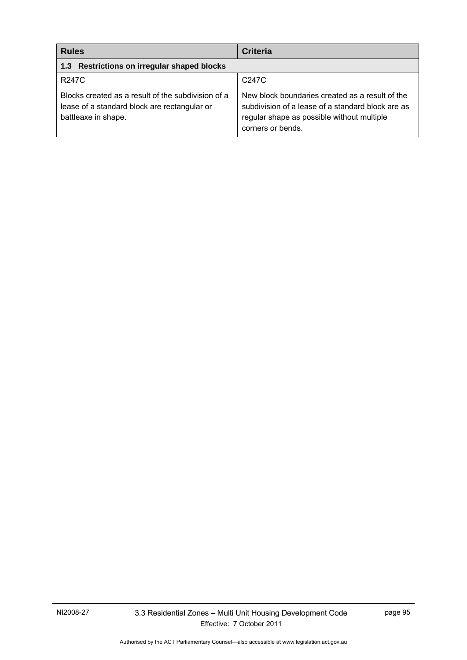| <b>Rules</b>                                                                                                              | <b>Criteria</b>                                                                                                                                                         |
|---------------------------------------------------------------------------------------------------------------------------|-------------------------------------------------------------------------------------------------------------------------------------------------------------------------|
| 1.3 Restrictions on irregular shaped blocks                                                                               |                                                                                                                                                                         |
| <b>R247C</b>                                                                                                              | C247C                                                                                                                                                                   |
| Blocks created as a result of the subdivision of a<br>lease of a standard block are rectangular or<br>battleaxe in shape. | New block boundaries created as a result of the<br>subdivision of a lease of a standard block are as<br>regular shape as possible without multiple<br>corners or bends. |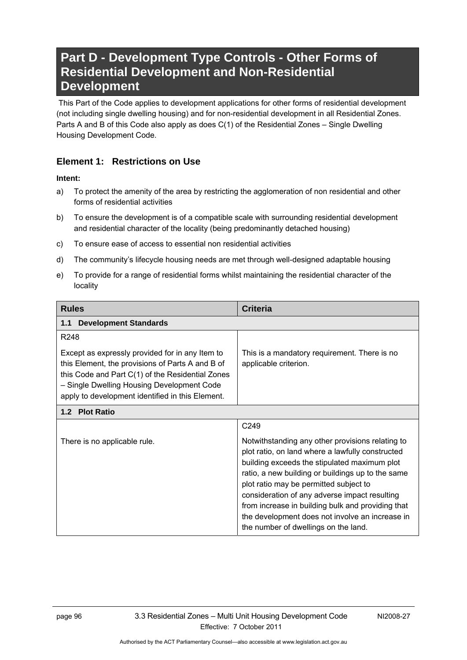# **Part D - Development Type Controls - Other Forms of Residential Development and Non-Residential Development**

 This Part of the Code applies to development applications for other forms of residential development (not including single dwelling housing) and for non-residential development in all Residential Zones. Parts A and B of this Code also apply as does C(1) of the Residential Zones – Single Dwelling Housing Development Code.

### **Element 1: Restrictions on Use**

- a) To protect the amenity of the area by restricting the agglomeration of non residential and other forms of residential activities
- b) To ensure the development is of a compatible scale with surrounding residential development and residential character of the locality (being predominantly detached housing)
- c) To ensure ease of access to essential non residential activities
- d) The community's lifecycle housing needs are met through well-designed adaptable housing
- e) To provide for a range of residential forms whilst maintaining the residential character of the locality

| <b>Rules</b>                                                                                                                                                                                                                                              | <b>Criteria</b>                                                                                                                                                                                                                                                                                                                                                                                                                                      |  |
|-----------------------------------------------------------------------------------------------------------------------------------------------------------------------------------------------------------------------------------------------------------|------------------------------------------------------------------------------------------------------------------------------------------------------------------------------------------------------------------------------------------------------------------------------------------------------------------------------------------------------------------------------------------------------------------------------------------------------|--|
| <b>Development Standards</b><br>1.1                                                                                                                                                                                                                       |                                                                                                                                                                                                                                                                                                                                                                                                                                                      |  |
| R <sub>248</sub>                                                                                                                                                                                                                                          |                                                                                                                                                                                                                                                                                                                                                                                                                                                      |  |
| Except as expressly provided for in any Item to<br>this Element, the provisions of Parts A and B of<br>this Code and Part C(1) of the Residential Zones<br>- Single Dwelling Housing Development Code<br>apply to development identified in this Element. | This is a mandatory requirement. There is no<br>applicable criterion.                                                                                                                                                                                                                                                                                                                                                                                |  |
| 1.2 Plot Ratio                                                                                                                                                                                                                                            |                                                                                                                                                                                                                                                                                                                                                                                                                                                      |  |
|                                                                                                                                                                                                                                                           | C249                                                                                                                                                                                                                                                                                                                                                                                                                                                 |  |
| There is no applicable rule.                                                                                                                                                                                                                              | Notwithstanding any other provisions relating to<br>plot ratio, on land where a lawfully constructed<br>building exceeds the stipulated maximum plot<br>ratio, a new building or buildings up to the same<br>plot ratio may be permitted subject to<br>consideration of any adverse impact resulting<br>from increase in building bulk and providing that<br>the development does not involve an increase in<br>the number of dwellings on the land. |  |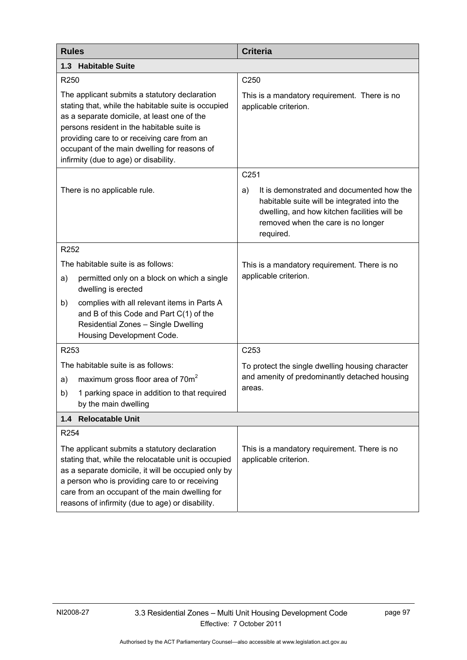| <b>Rules</b> |                                                                                                                                                                                                                                                                                                                                           | <b>Criteria</b>                                                                                                                                                                                   |  |
|--------------|-------------------------------------------------------------------------------------------------------------------------------------------------------------------------------------------------------------------------------------------------------------------------------------------------------------------------------------------|---------------------------------------------------------------------------------------------------------------------------------------------------------------------------------------------------|--|
|              | 1.3 Habitable Suite                                                                                                                                                                                                                                                                                                                       |                                                                                                                                                                                                   |  |
| R250         |                                                                                                                                                                                                                                                                                                                                           | C <sub>250</sub>                                                                                                                                                                                  |  |
|              | The applicant submits a statutory declaration<br>stating that, while the habitable suite is occupied<br>as a separate domicile, at least one of the<br>persons resident in the habitable suite is<br>providing care to or receiving care from an<br>occupant of the main dwelling for reasons of<br>infirmity (due to age) or disability. | This is a mandatory requirement. There is no<br>applicable criterion.                                                                                                                             |  |
|              |                                                                                                                                                                                                                                                                                                                                           | C251                                                                                                                                                                                              |  |
|              | There is no applicable rule.                                                                                                                                                                                                                                                                                                              | It is demonstrated and documented how the<br>a)<br>habitable suite will be integrated into the<br>dwelling, and how kitchen facilities will be<br>removed when the care is no longer<br>required. |  |
| R252         |                                                                                                                                                                                                                                                                                                                                           |                                                                                                                                                                                                   |  |
|              | The habitable suite is as follows:                                                                                                                                                                                                                                                                                                        | This is a mandatory requirement. There is no                                                                                                                                                      |  |
| a)           | permitted only on a block on which a single<br>dwelling is erected                                                                                                                                                                                                                                                                        | applicable criterion.                                                                                                                                                                             |  |
| b)           | complies with all relevant items in Parts A<br>and B of this Code and Part C(1) of the<br>Residential Zones - Single Dwelling<br>Housing Development Code.                                                                                                                                                                                |                                                                                                                                                                                                   |  |
| R253         |                                                                                                                                                                                                                                                                                                                                           | C <sub>253</sub>                                                                                                                                                                                  |  |
|              | The habitable suite is as follows:                                                                                                                                                                                                                                                                                                        | To protect the single dwelling housing character                                                                                                                                                  |  |
| a)           | maximum gross floor area of 70m <sup>2</sup>                                                                                                                                                                                                                                                                                              | and amenity of predominantly detached housing                                                                                                                                                     |  |
| b)           | 1 parking space in addition to that required<br>by the main dwelling                                                                                                                                                                                                                                                                      | areas.                                                                                                                                                                                            |  |
| 1.4          | <b>Relocatable Unit</b>                                                                                                                                                                                                                                                                                                                   |                                                                                                                                                                                                   |  |
| R254         |                                                                                                                                                                                                                                                                                                                                           |                                                                                                                                                                                                   |  |
|              | The applicant submits a statutory declaration<br>stating that, while the relocatable unit is occupied<br>as a separate domicile, it will be occupied only by<br>a person who is providing care to or receiving<br>care from an occupant of the main dwelling for<br>reasons of infirmity (due to age) or disability.                      | This is a mandatory requirement. There is no<br>applicable criterion.                                                                                                                             |  |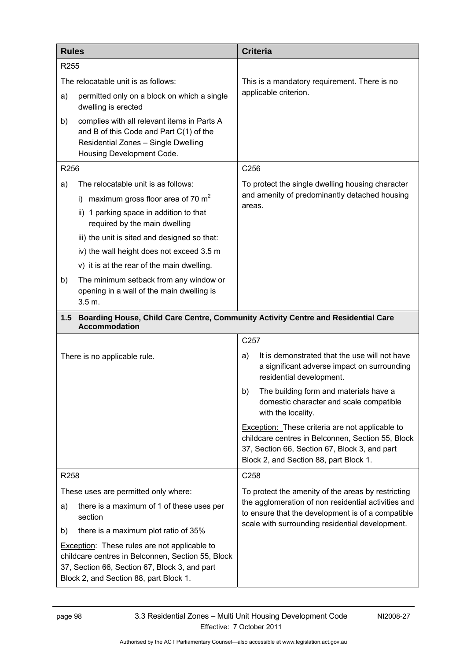| <b>Rules</b>     |                                                                                                                                                                                                     | <b>Criteria</b>                                                                                                                                                                                                   |
|------------------|-----------------------------------------------------------------------------------------------------------------------------------------------------------------------------------------------------|-------------------------------------------------------------------------------------------------------------------------------------------------------------------------------------------------------------------|
| R <sub>255</sub> |                                                                                                                                                                                                     |                                                                                                                                                                                                                   |
|                  | The relocatable unit is as follows:                                                                                                                                                                 | This is a mandatory requirement. There is no                                                                                                                                                                      |
| a)               | permitted only on a block on which a single<br>dwelling is erected                                                                                                                                  | applicable criterion.                                                                                                                                                                                             |
| b)               | complies with all relevant items in Parts A<br>and B of this Code and Part C(1) of the<br>Residential Zones - Single Dwelling<br>Housing Development Code.                                          |                                                                                                                                                                                                                   |
| R256             |                                                                                                                                                                                                     | C256                                                                                                                                                                                                              |
| a)               | The relocatable unit is as follows:                                                                                                                                                                 | To protect the single dwelling housing character                                                                                                                                                                  |
|                  | maximum gross floor area of 70 $m2$<br>İ).                                                                                                                                                          | and amenity of predominantly detached housing<br>areas.                                                                                                                                                           |
|                  | ii) 1 parking space in addition to that<br>required by the main dwelling                                                                                                                            |                                                                                                                                                                                                                   |
|                  | iii) the unit is sited and designed so that:                                                                                                                                                        |                                                                                                                                                                                                                   |
|                  | iv) the wall height does not exceed 3.5 m                                                                                                                                                           |                                                                                                                                                                                                                   |
|                  | v) it is at the rear of the main dwelling.                                                                                                                                                          |                                                                                                                                                                                                                   |
| b)               | The minimum setback from any window or<br>opening in a wall of the main dwelling is<br>3.5 m.                                                                                                       |                                                                                                                                                                                                                   |
| $1.5$            | Boarding House, Child Care Centre, Community Activity Centre and Residential Care<br><b>Accommodation</b>                                                                                           |                                                                                                                                                                                                                   |
|                  |                                                                                                                                                                                                     | C <sub>257</sub>                                                                                                                                                                                                  |
|                  | There is no applicable rule.                                                                                                                                                                        | It is demonstrated that the use will not have<br>a)<br>a significant adverse impact on surrounding<br>residential development.                                                                                    |
|                  |                                                                                                                                                                                                     | The building form and materials have a<br>b)<br>domestic character and scale compatible<br>with the locality.                                                                                                     |
|                  |                                                                                                                                                                                                     | Exception: These criteria are not applicable to<br>childcare centres in Belconnen, Section 55, Block<br>37, Section 66, Section 67, Block 3, and part<br>Block 2, and Section 88, part Block 1.                   |
| R258             |                                                                                                                                                                                                     | C258                                                                                                                                                                                                              |
|                  | These uses are permitted only where:                                                                                                                                                                | To protect the amenity of the areas by restricting<br>the agglomeration of non residential activities and<br>to ensure that the development is of a compatible<br>scale with surrounding residential development. |
| a)               | there is a maximum of 1 of these uses per<br>section                                                                                                                                                |                                                                                                                                                                                                                   |
| b)               | there is a maximum plot ratio of 35%                                                                                                                                                                |                                                                                                                                                                                                                   |
|                  | <b>Exception:</b> These rules are not applicable to<br>childcare centres in Belconnen, Section 55, Block<br>37, Section 66, Section 67, Block 3, and part<br>Block 2, and Section 88, part Block 1. |                                                                                                                                                                                                                   |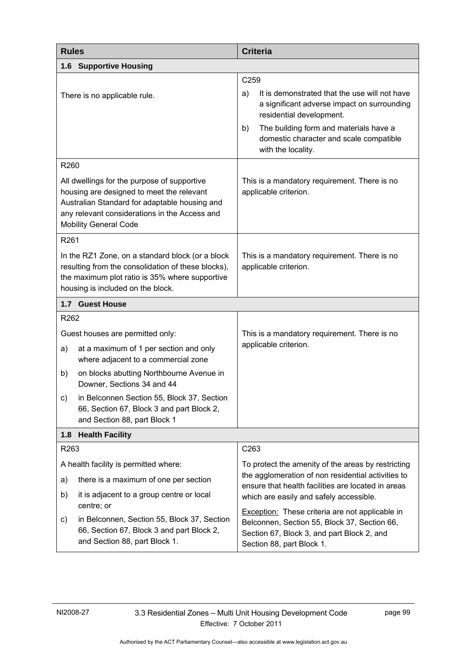| <b>Rules</b>                                                                                                                                                                                                               | <b>Criteria</b>                                                                                                                                                                   |  |
|----------------------------------------------------------------------------------------------------------------------------------------------------------------------------------------------------------------------------|-----------------------------------------------------------------------------------------------------------------------------------------------------------------------------------|--|
| <b>Supportive Housing</b><br>1.6                                                                                                                                                                                           |                                                                                                                                                                                   |  |
|                                                                                                                                                                                                                            | C259                                                                                                                                                                              |  |
| There is no applicable rule.                                                                                                                                                                                               | It is demonstrated that the use will not have<br>a)<br>a significant adverse impact on surrounding<br>residential development.                                                    |  |
|                                                                                                                                                                                                                            | The building form and materials have a<br>b)<br>domestic character and scale compatible<br>with the locality.                                                                     |  |
| R260                                                                                                                                                                                                                       |                                                                                                                                                                                   |  |
| All dwellings for the purpose of supportive<br>housing are designed to meet the relevant<br>Australian Standard for adaptable housing and<br>any relevant considerations in the Access and<br><b>Mobility General Code</b> | This is a mandatory requirement. There is no<br>applicable criterion.                                                                                                             |  |
| R261                                                                                                                                                                                                                       |                                                                                                                                                                                   |  |
| In the RZ1 Zone, on a standard block (or a block<br>resulting from the consolidation of these blocks),<br>the maximum plot ratio is 35% where supportive<br>housing is included on the block.                              | This is a mandatory requirement. There is no<br>applicable criterion.                                                                                                             |  |
| 1.7 Guest House                                                                                                                                                                                                            |                                                                                                                                                                                   |  |
| R262                                                                                                                                                                                                                       |                                                                                                                                                                                   |  |
| Guest houses are permitted only:                                                                                                                                                                                           | This is a mandatory requirement. There is no                                                                                                                                      |  |
| at a maximum of 1 per section and only<br>a)<br>where adjacent to a commercial zone                                                                                                                                        | applicable criterion.                                                                                                                                                             |  |
| on blocks abutting Northbourne Avenue in<br>b)<br>Downer, Sections 34 and 44                                                                                                                                               |                                                                                                                                                                                   |  |
| in Belconnen Section 55, Block 37, Section<br>C)<br>66, Section 67, Block 3 and part Block 2,<br>and Section 88, part Block 1                                                                                              |                                                                                                                                                                                   |  |
| <b>Health Facility</b><br>1.8                                                                                                                                                                                              |                                                                                                                                                                                   |  |
| R263                                                                                                                                                                                                                       | C263                                                                                                                                                                              |  |
| A health facility is permitted where:                                                                                                                                                                                      | To protect the amenity of the areas by restricting                                                                                                                                |  |
| there is a maximum of one per section<br>a)                                                                                                                                                                                | the agglomeration of non residential activities to<br>ensure that health facilities are located in areas                                                                          |  |
| b)<br>it is adjacent to a group centre or local<br>centre; or                                                                                                                                                              | which are easily and safely accessible.                                                                                                                                           |  |
| in Belconnen, Section 55, Block 37, Section<br>c)<br>66, Section 67, Block 3 and part Block 2,<br>and Section 88, part Block 1.                                                                                            | <b>Exception:</b> These criteria are not applicable in<br>Belconnen, Section 55, Block 37, Section 66,<br>Section 67, Block 3, and part Block 2, and<br>Section 88, part Block 1. |  |